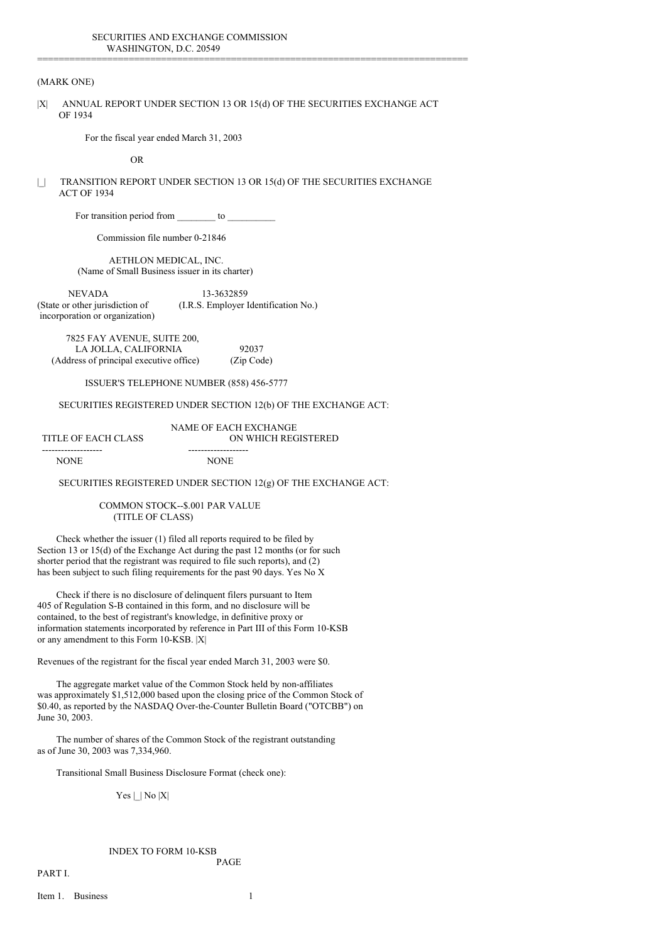# (MARK ONE)

|X| ANNUAL REPORT UNDER SECTION 13 OR 15(d) OF THE SECURITIES EXCHANGE ACT OF 1934

================================================================================

For the fiscal year ended March 31, 2003

OR

| | TRANSITION REPORT UNDER SECTION 13 OR 15(d) OF THE SECURITIES EXCHANGE ACT OF 1934

For transition period from \_\_\_\_\_\_\_\_ to \_\_\_\_\_\_\_\_\_\_

Commission file number 0-21846

AETHLON MEDICAL, INC. (Name of Small Business issuer in its charter)

NEVADA 13-3632859 (State or other jurisdiction of (I.R.S. Employer Identification No.) incorporation or organization)

7825 FAY AVENUE, SUITE 200, LA JOLLA, CALIFORNIA 92037 (Address of principal executive office) (Zip Code)

ISSUER'S TELEPHONE NUMBER (858) 456-5777

#### SECURITIES REGISTERED UNDER SECTION 12(b) OF THE EXCHANGE ACT:

NAME OF EACH EXCHANGE TITLE OF EACH CLASS ON WHICH REGISTERED ------------------- -------------------

NONE NONE

SECURITIES REGISTERED UNDER SECTION 12(g) OF THE EXCHANGE ACT:

COMMON STOCK--\$.001 PAR VALUE (TITLE OF CLASS)

Check whether the issuer (1) filed all reports required to be filed by Section 13 or 15(d) of the Exchange Act during the past 12 months (or for such shorter period that the registrant was required to file such reports), and (2) has been subject to such filing requirements for the past 90 days. Yes No X

Check if there is no disclosure of delinquent filers pursuant to Item 405 of Regulation S-B contained in this form, and no disclosure will be contained, to the best of registrant's knowledge, in definitive proxy or information statements incorporated by reference in Part III of this Form 10-KSB or any amendment to this Form 10-KSB. |X|

Revenues of the registrant for the fiscal year ended March 31, 2003 were \$0.

The aggregate market value of the Common Stock held by non-affiliates was approximately \$1,512,000 based upon the closing price of the Common Stock of \$0.40, as reported by the NASDAQ Over-the-Counter Bulletin Board ("OTCBB") on June 30, 2003.

The number of shares of the Common Stock of the registrant outstanding as of June 30, 2003 was 7,334,960.

Transitional Small Business Disclosure Format (check one):

 $Yes \mid \text{No } |X|$ 

# INDEX TO FORM 10-KSB

PART I.

Item 1. Business 1

PAGE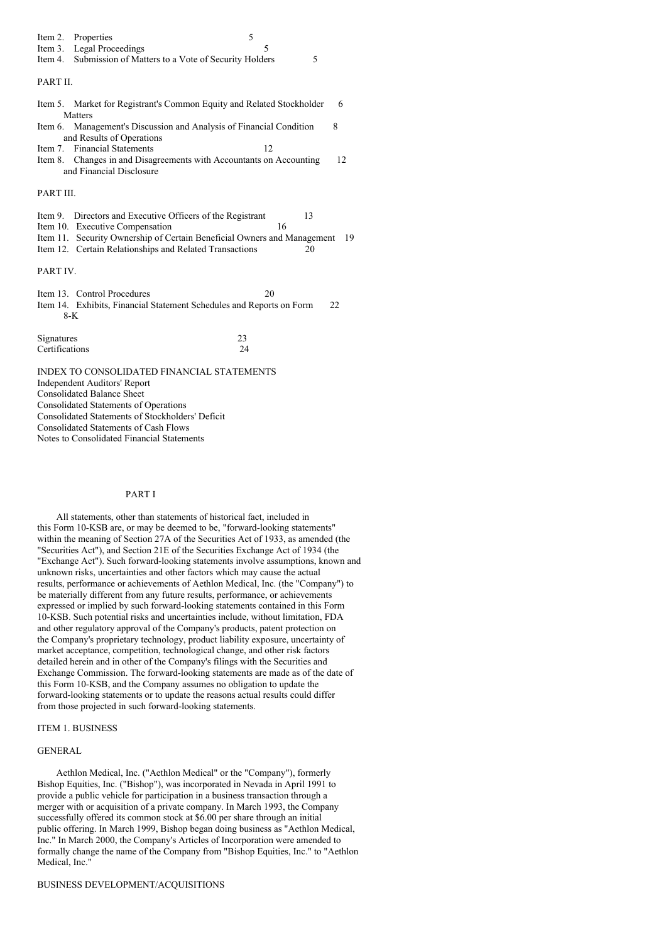|                | Item 2. Properties                                                                            | 5        |    |
|----------------|-----------------------------------------------------------------------------------------------|----------|----|
| Item 3.        | Legal Proceedings                                                                             | 5        |    |
|                | Item 4. Submission of Matters to a Vote of Security Holders                                   | 5        |    |
|                |                                                                                               |          |    |
| PART II.       |                                                                                               |          |    |
|                |                                                                                               |          | 6  |
|                | Item 5. Market for Registrant's Common Equity and Related Stockholder<br>Matters              |          |    |
|                | Item 6. Management's Discussion and Analysis of Financial Condition                           |          | 8  |
|                | and Results of Operations                                                                     |          |    |
| Item 7.        | <b>Financial Statements</b>                                                                   | 12       |    |
|                | Item 8. Changes in and Disagreements with Accountants on Accounting                           |          | 12 |
|                | and Financial Disclosure                                                                      |          |    |
|                |                                                                                               |          |    |
| PART III.      |                                                                                               |          |    |
|                |                                                                                               |          |    |
|                | Item 9. Directors and Executive Officers of the Registrant<br>Item 10. Executive Compensation | 13<br>16 |    |
|                | Item 11. Security Ownership of Certain Beneficial Owners and Management 19                    |          |    |
|                | Item 12. Certain Relationships and Related Transactions                                       | 20       |    |
|                |                                                                                               |          |    |
| PART IV.       |                                                                                               |          |    |
|                |                                                                                               |          |    |
|                | Item 13. Control Procedures                                                                   | 20       |    |
|                | Item 14. Exhibits, Financial Statement Schedules and Reports on Form                          |          | 22 |
|                | 8-K                                                                                           |          |    |
|                |                                                                                               |          |    |
| Signatures     |                                                                                               | 23       |    |
| Certifications |                                                                                               | 24       |    |
|                | INDEX TO CONSOLIDATED FINANCIAL STATEMENTS                                                    |          |    |
|                | Independent Auditors' Report                                                                  |          |    |
|                |                                                                                               |          |    |

Consolidated Balance Sheet

Consolidated Statements of Operations

Consolidated Statements of Stockholders' Deficit

Consolidated Statements of Cash Flows

Notes to Consolidated Financial Statements

## PART I

All statements, other than statements of historical fact, included in this Form 10-KSB are, or may be deemed to be, "forward-looking statements" within the meaning of Section 27A of the Securities Act of 1933, as amended (the "Securities Act"), and Section 21E of the Securities Exchange Act of 1934 (the "Exchange Act"). Such forward-looking statements involve assumptions, known and unknown risks, uncertainties and other factors which may cause the actual results, performance or achievements of Aethlon Medical, Inc. (the "Company") to be materially different from any future results, performance, or achievements expressed or implied by such forward-looking statements contained in this Form 10-KSB. Such potential risks and uncertainties include, without limitation, FDA and other regulatory approval of the Company's products, patent protection on the Company's proprietary technology, product liability exposure, uncertainty of market acceptance, competition, technological change, and other risk factors detailed herein and in other of the Company's filings with the Securities and Exchange Commission. The forward-looking statements are made as of the date of this Form 10-KSB, and the Company assumes no obligation to update the forward-looking statements or to update the reasons actual results could differ from those projected in such forward-looking statements.

## ITEM 1. BUSINESS

#### GENERAL

Aethlon Medical, Inc. ("Aethlon Medical" or the "Company"), formerly Bishop Equities, Inc. ("Bishop"), was incorporated in Nevada in April 1991 to provide a public vehicle for participation in a business transaction through a merger with or acquisition of a private company. In March 1993, the Company successfully offered its common stock at \$6.00 per share through an initial public offering. In March 1999, Bishop began doing business as "Aethlon Medical, Inc." In March 2000, the Company's Articles of Incorporation were amended to formally change the name of the Company from "Bishop Equities, Inc." to "Aethlon Medical, Inc."

BUSINESS DEVELOPMENT/ACQUISITIONS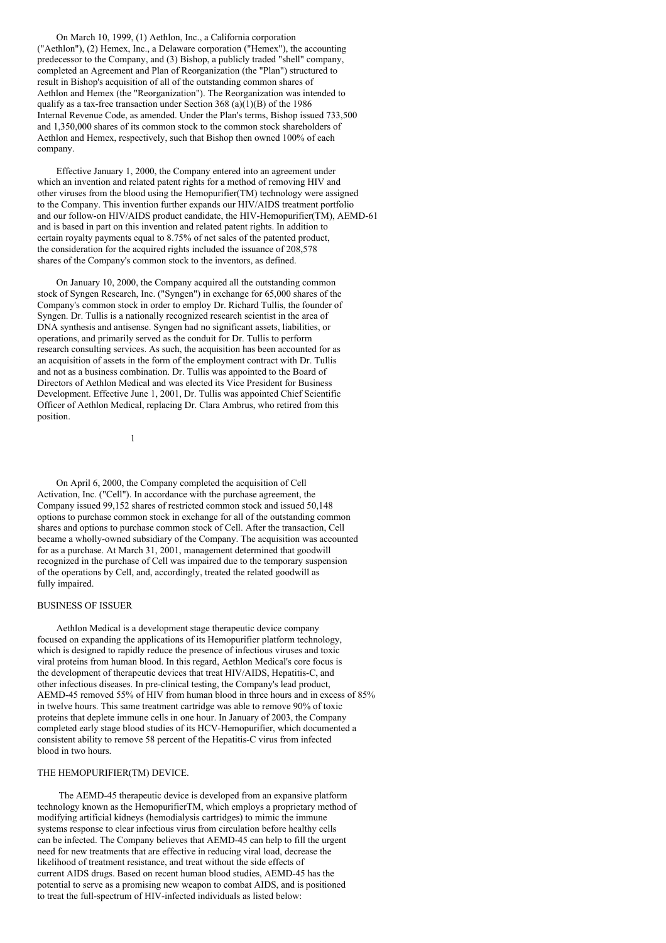On March 10, 1999, (1) Aethlon, Inc., a California corporation ("Aethlon"), (2) Hemex, Inc., a Delaware corporation ("Hemex"), the accounting predecessor to the Company, and (3) Bishop, a publicly traded "shell" company, completed an Agreement and Plan of Reorganization (the "Plan") structured to result in Bishop's acquisition of all of the outstanding common shares of Aethlon and Hemex (the "Reorganization"). The Reorganization was intended to qualify as a tax-free transaction under Section  $368 \text{ (a)(1)(B)}$  of the 1986 Internal Revenue Code, as amended. Under the Plan's terms, Bishop issued 733,500 and 1,350,000 shares of its common stock to the common stock shareholders of Aethlon and Hemex, respectively, such that Bishop then owned 100% of each company.

Effective January 1, 2000, the Company entered into an agreement under which an invention and related patent rights for a method of removing HIV and other viruses from the blood using the Hemopurifier(TM) technology were assigned to the Company. This invention further expands our HIV/AIDS treatment portfolio and our follow-on HIV/AIDS product candidate, the HIV-Hemopurifier(TM), AEMD-61 and is based in part on this invention and related patent rights. In addition to certain royalty payments equal to 8.75% of net sales of the patented product, the consideration for the acquired rights included the issuance of 208,578 shares of the Company's common stock to the inventors, as defined.

On January 10, 2000, the Company acquired all the outstanding common stock of Syngen Research, Inc. ("Syngen") in exchange for 65,000 shares of the Company's common stock in order to employ Dr. Richard Tullis, the founder of Syngen. Dr. Tullis is a nationally recognized research scientist in the area of DNA synthesis and antisense. Syngen had no significant assets, liabilities, or operations, and primarily served as the conduit for Dr. Tullis to perform research consulting services. As such, the acquisition has been accounted for as an acquisition of assets in the form of the employment contract with Dr. Tullis and not as a business combination. Dr. Tullis was appointed to the Board of Directors of Aethlon Medical and was elected its Vice President for Business Development. Effective June 1, 2001, Dr. Tullis was appointed Chief Scientific Officer of Aethlon Medical, replacing Dr. Clara Ambrus, who retired from this position.

1

On April 6, 2000, the Company completed the acquisition of Cell Activation, Inc. ("Cell"). In accordance with the purchase agreement, the Company issued 99,152 shares of restricted common stock and issued 50,148 options to purchase common stock in exchange for all of the outstanding common shares and options to purchase common stock of Cell. After the transaction, Cell became a wholly-owned subsidiary of the Company. The acquisition was accounted for as a purchase. At March 31, 2001, management determined that goodwill recognized in the purchase of Cell was impaired due to the temporary suspension of the operations by Cell, and, accordingly, treated the related goodwill as fully impaired.

#### BUSINESS OF ISSUER

Aethlon Medical is a development stage therapeutic device company focused on expanding the applications of its Hemopurifier platform technology, which is designed to rapidly reduce the presence of infectious viruses and toxic viral proteins from human blood. In this regard, Aethlon Medical's core focus is the development of therapeutic devices that treat HIV/AIDS, Hepatitis-C, and other infectious diseases. In pre-clinical testing, the Company's lead product, AEMD-45 removed 55% of HIV from human blood in three hours and in excess of 85% in twelve hours. This same treatment cartridge was able to remove 90% of toxic proteins that deplete immune cells in one hour. In January of 2003, the Company completed early stage blood studies of its HCV-Hemopurifier, which documented a consistent ability to remove 58 percent of the Hepatitis-C virus from infected blood in two hours.

## THE HEMOPURIFIER(TM) DEVICE.

The AEMD-45 therapeutic device is developed from an expansive platform technology known as the HemopurifierTM, which employs a proprietary method of modifying artificial kidneys (hemodialysis cartridges) to mimic the immune systems response to clear infectious virus from circulation before healthy cells can be infected. The Company believes that AEMD-45 can help to fill the urgent need for new treatments that are effective in reducing viral load, decrease the likelihood of treatment resistance, and treat without the side effects of current AIDS drugs. Based on recent human blood studies, AEMD-45 has the potential to serve as a promising new weapon to combat AIDS, and is positioned to treat the full-spectrum of HIV-infected individuals as listed below: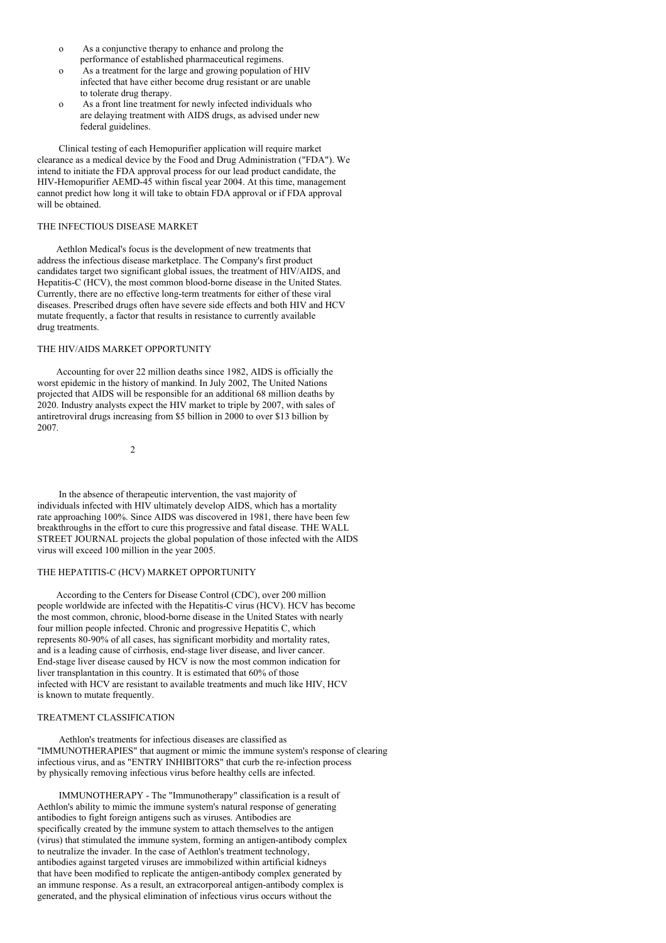- o As a conjunctive therapy to enhance and prolong the performance of established pharmaceutical regimens.
- o As a treatment for the large and growing population of HIV infected that have either become drug resistant or are unable to tolerate drug therapy.
- o As a front line treatment for newly infected individuals who are delaying treatment with AIDS drugs, as advised under new federal guidelines.

Clinical testing of each Hemopurifier application will require market clearance as a medical device by the Food and Drug Administration ("FDA"). We intend to initiate the FDA approval process for our lead product candidate, the HIV-Hemopurifier AEMD-45 within fiscal year 2004. At this time, management cannot predict how long it will take to obtain FDA approval or if FDA approval will be obtained.

# THE INFECTIOUS DISEASE MARKET

Aethlon Medical's focus is the development of new treatments that address the infectious disease marketplace. The Company's first product candidates target two significant global issues, the treatment of HIV/AIDS, and Hepatitis-C (HCV), the most common blood-borne disease in the United States. Currently, there are no effective long-term treatments for either of these viral diseases. Prescribed drugs often have severe side effects and both HIV and HCV mutate frequently, a factor that results in resistance to currently available drug treatments.

# THE HIV/AIDS MARKET OPPORTUNITY

Accounting for over 22 million deaths since 1982, AIDS is officially the worst epidemic in the history of mankind. In July 2002, The United Nations projected that AIDS will be responsible for an additional 68 million deaths by 2020. Industry analysts expect the HIV market to triple by 2007, with sales of antiretroviral drugs increasing from \$5 billion in 2000 to over \$13 billion by 2007.

 $\overline{2}$ 

In the absence of therapeutic intervention, the vast majority of individuals infected with HIV ultimately develop AIDS, which has a mortality rate approaching 100%. Since AIDS was discovered in 1981, there have been few breakthroughs in the effort to cure this progressive and fatal disease. THE WALL STREET JOURNAL projects the global population of those infected with the AIDS virus will exceed 100 million in the year 2005.

## THE HEPATITIS-C (HCV) MARKET OPPORTUNITY

According to the Centers for Disease Control (CDC), over 200 million people worldwide are infected with the Hepatitis-C virus (HCV). HCV has become the most common, chronic, blood-borne disease in the United States with nearly four million people infected. Chronic and progressive Hepatitis C, which represents 80-90% of all cases, has significant morbidity and mortality rates, and is a leading cause of cirrhosis, end-stage liver disease, and liver cancer. End-stage liver disease caused by HCV is now the most common indication for liver transplantation in this country. It is estimated that 60% of those infected with HCV are resistant to available treatments and much like HIV, HCV is known to mutate frequently.

### TREATMENT CLASSIFICATION

Aethlon's treatments for infectious diseases are classified as "IMMUNOTHERAPIES" that augment or mimic the immune system's response of clearing infectious virus, and as "ENTRY INHIBITORS" that curb the re-infection process by physically removing infectious virus before healthy cells are infected.

IMMUNOTHERAPY - The "Immunotherapy" classification is a result of Aethlon's ability to mimic the immune system's natural response of generating antibodies to fight foreign antigens such as viruses. Antibodies are specifically created by the immune system to attach themselves to the antigen (virus) that stimulated the immune system, forming an antigen-antibody complex to neutralize the invader. In the case of Aethlon's treatment technology, antibodies against targeted viruses are immobilized within artificial kidneys that have been modified to replicate the antigen-antibody complex generated by an immune response. As a result, an extracorporeal antigen-antibody complex is generated, and the physical elimination of infectious virus occurs without the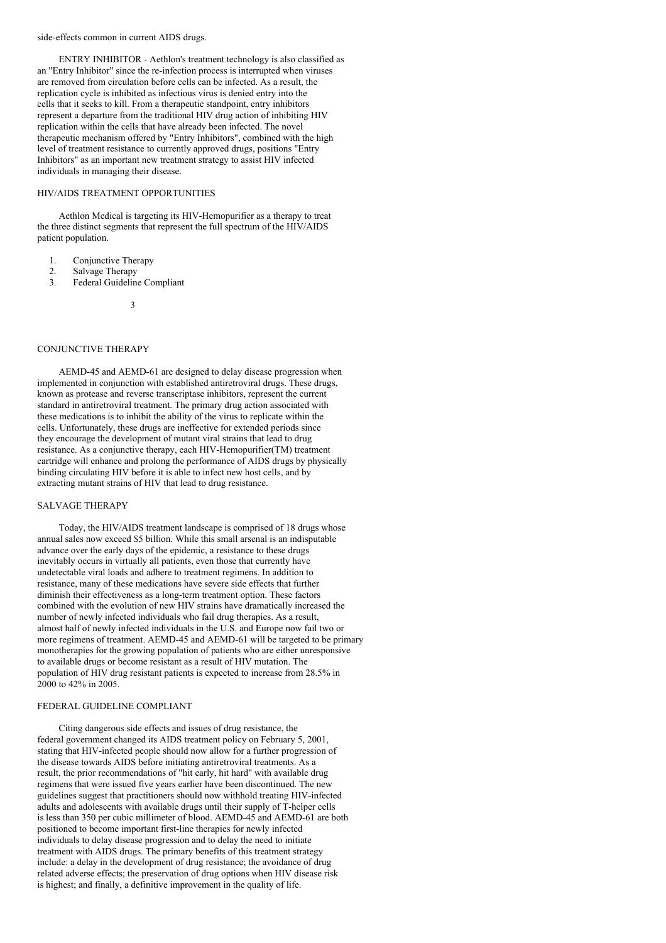#### side-effects common in current AIDS drugs.

ENTRY INHIBITOR - Aethlon's treatment technology is also classified as an "Entry Inhibitor" since the re-infection process is interrupted when viruses are removed from circulation before cells can be infected. As a result, the replication cycle is inhibited as infectious virus is denied entry into the cells that it seeks to kill. From a therapeutic standpoint, entry inhibitors represent a departure from the traditional HIV drug action of inhibiting HIV replication within the cells that have already been infected. The novel therapeutic mechanism offered by "Entry Inhibitors", combined with the high level of treatment resistance to currently approved drugs, positions "Entry Inhibitors" as an important new treatment strategy to assist HIV infected individuals in managing their disease.

# HIV/AIDS TREATMENT OPPORTUNITIES

Aethlon Medical is targeting its HIV-Hemopurifier as a therapy to treat the three distinct segments that represent the full spectrum of the HIV/AIDS patient population.

- 1. Conjunctive Therapy
- 2. Salvage Therapy
- 3. Federal Guideline Compliant
	- 3

# CONJUNCTIVE THERAPY

AEMD-45 and AEMD-61 are designed to delay disease progression when implemented in conjunction with established antiretroviral drugs. These drugs, known as protease and reverse transcriptase inhibitors, represent the current standard in antiretroviral treatment. The primary drug action associated with these medications is to inhibit the ability of the virus to replicate within the cells. Unfortunately, these drugs are ineffective for extended periods since they encourage the development of mutant viral strains that lead to drug resistance. As a conjunctive therapy, each HIV-Hemopurifier(TM) treatment cartridge will enhance and prolong the performance of AIDS drugs by physically binding circulating HIV before it is able to infect new host cells, and by extracting mutant strains of HIV that lead to drug resistance.

#### SALVAGE THERAPY

Today, the HIV/AIDS treatment landscape is comprised of 18 drugs whose annual sales now exceed \$5 billion. While this small arsenal is an indisputable advance over the early days of the epidemic, a resistance to these drugs inevitably occurs in virtually all patients, even those that currently have undetectable viral loads and adhere to treatment regimens. In addition to resistance, many of these medications have severe side effects that further diminish their effectiveness as a long-term treatment option. These factors combined with the evolution of new HIV strains have dramatically increased the number of newly infected individuals who fail drug therapies. As a result, almost half of newly infected individuals in the U.S. and Europe now fail two or more regimens of treatment. AEMD-45 and AEMD-61 will be targeted to be primary monotherapies for the growing population of patients who are either unresponsive to available drugs or become resistant as a result of HIV mutation. The population of HIV drug resistant patients is expected to increase from 28.5% in 2000 to 42% in 2005.

#### FEDERAL GUIDELINE COMPLIANT

Citing dangerous side effects and issues of drug resistance, the federal government changed its AIDS treatment policy on February 5, 2001, stating that HIV-infected people should now allow for a further progression of the disease towards AIDS before initiating antiretroviral treatments. As a result, the prior recommendations of "hit early, hit hard" with available drug regimens that were issued five years earlier have been discontinued. The new guidelines suggest that practitioners should now withhold treating HIV-infected adults and adolescents with available drugs until their supply of T-helper cells is less than 350 per cubic millimeter of blood. AEMD-45 and AEMD-61 are both positioned to become important first-line therapies for newly infected individuals to delay disease progression and to delay the need to initiate treatment with AIDS drugs. The primary benefits of this treatment strategy include: a delay in the development of drug resistance; the avoidance of drug related adverse effects; the preservation of drug options when HIV disease risk is highest; and finally, a definitive improvement in the quality of life.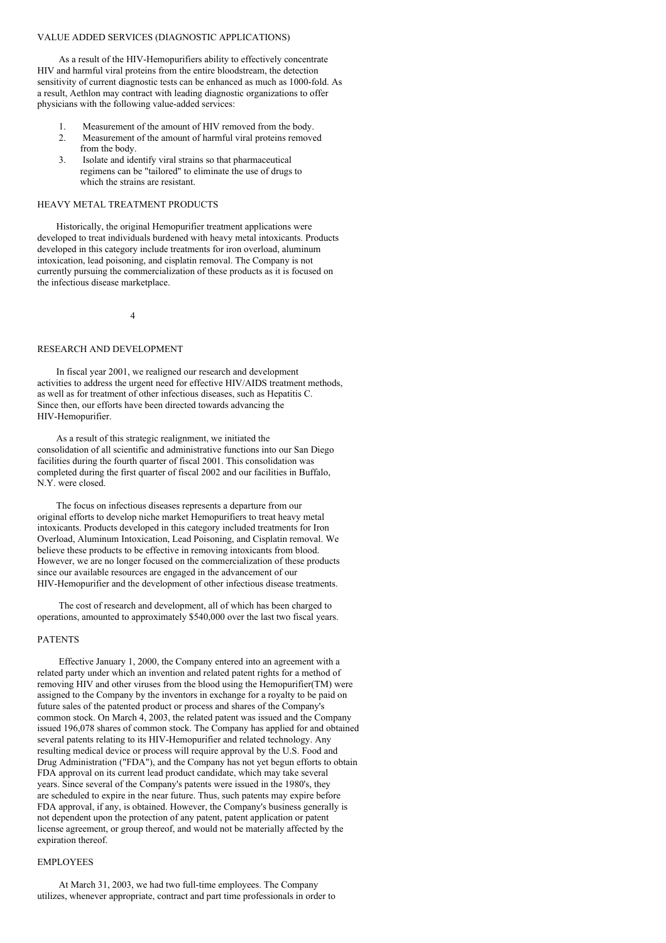#### VALUE ADDED SERVICES (DIAGNOSTIC APPLICATIONS)

As a result of the HIV-Hemopurifiers ability to effectively concentrate HIV and harmful viral proteins from the entire bloodstream, the detection sensitivity of current diagnostic tests can be enhanced as much as 1000-fold. As a result, Aethlon may contract with leading diagnostic organizations to offer physicians with the following value-added services:

- 1. Measurement of the amount of HIV removed from the body.
- 2. Measurement of the amount of harmful viral proteins removed from the body.
- 3. Isolate and identify viral strains so that pharmaceutical regimens can be "tailored" to eliminate the use of drugs to which the strains are resistant.

#### HEAVY METAL TREATMENT PRODUCTS

Historically, the original Hemopurifier treatment applications were developed to treat individuals burdened with heavy metal intoxicants. Products developed in this category include treatments for iron overload, aluminum intoxication, lead poisoning, and cisplatin removal. The Company is not currently pursuing the commercialization of these products as it is focused on the infectious disease marketplace.

4

### RESEARCH AND DEVELOPMENT

In fiscal year 2001, we realigned our research and development activities to address the urgent need for effective HIV/AIDS treatment methods, as well as for treatment of other infectious diseases, such as Hepatitis C. Since then, our efforts have been directed towards advancing the HIV-Hemopurifier.

As a result of this strategic realignment, we initiated the consolidation of all scientific and administrative functions into our San Diego facilities during the fourth quarter of fiscal 2001. This consolidation was completed during the first quarter of fiscal 2002 and our facilities in Buffalo, N.Y. were closed.

The focus on infectious diseases represents a departure from our original efforts to develop niche market Hemopurifiers to treat heavy metal intoxicants. Products developed in this category included treatments for Iron Overload, Aluminum Intoxication, Lead Poisoning, and Cisplatin removal. We believe these products to be effective in removing intoxicants from blood. However, we are no longer focused on the commercialization of these products since our available resources are engaged in the advancement of our HIV-Hemopurifier and the development of other infectious disease treatments.

The cost of research and development, all of which has been charged to operations, amounted to approximately \$540,000 over the last two fiscal years.

#### PATENTS

Effective January 1, 2000, the Company entered into an agreement with a related party under which an invention and related patent rights for a method of removing HIV and other viruses from the blood using the Hemopurifier(TM) were assigned to the Company by the inventors in exchange for a royalty to be paid on future sales of the patented product or process and shares of the Company's common stock. On March 4, 2003, the related patent was issued and the Company issued 196,078 shares of common stock. The Company has applied for and obtained several patents relating to its HIV-Hemopurifier and related technology. Any resulting medical device or process will require approval by the U.S. Food and Drug Administration ("FDA"), and the Company has not yet begun efforts to obtain FDA approval on its current lead product candidate, which may take several years. Since several of the Company's patents were issued in the 1980's, they are scheduled to expire in the near future. Thus, such patents may expire before FDA approval, if any, is obtained. However, the Company's business generally is not dependent upon the protection of any patent, patent application or patent license agreement, or group thereof, and would not be materially affected by the expiration thereof.

# EMPLOYEES

At March 31, 2003, we had two full-time employees. The Company utilizes, whenever appropriate, contract and part time professionals in order to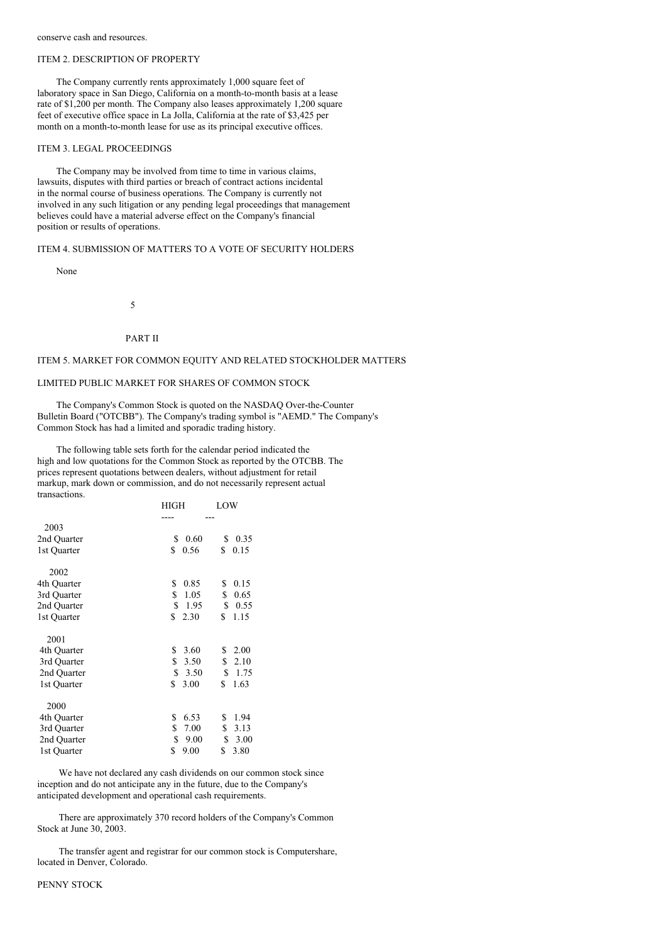#### ITEM 2. DESCRIPTION OF PROPERTY

The Company currently rents approximately 1,000 square feet of laboratory space in San Diego, California on a month-to-month basis at a lease rate of \$1,200 per month. The Company also leases approximately 1,200 square feet of executive office space in La Jolla, California at the rate of \$3,425 per month on a month-to-month lease for use as its principal executive offices.

### ITEM 3. LEGAL PROCEEDINGS

The Company may be involved from time to time in various claims, lawsuits, disputes with third parties or breach of contract actions incidental in the normal course of business operations. The Company is currently not involved in any such litigation or any pending legal proceedings that management believes could have a material adverse effect on the Company's financial position or results of operations.

#### ITEM 4. SUBMISSION OF MATTERS TO A VOTE OF SECURITY HOLDERS

None

5

## PART II

# ITEM 5. MARKET FOR COMMON EQUITY AND RELATED STOCKHOLDER MATTERS

#### LIMITED PUBLIC MARKET FOR SHARES OF COMMON STOCK

The Company's Common Stock is quoted on the NASDAQ Over-the-Counter Bulletin Board ("OTCBB"). The Company's trading symbol is "AEMD." The Company's Common Stock has had a limited and sporadic trading history.

The following table sets forth for the calendar period indicated the high and low quotations for the Common Stock as reported by the OTCBB. The prices represent quotations between dealers, without adjustment for retail markup, mark down or commission, and do not necessarily represent actual transactions.

|             | <b>HIGH</b> | LOW        |
|-------------|-------------|------------|
|             |             |            |
| 2003        |             |            |
| 2nd Quarter | \$<br>0.60  | \$<br>0.35 |
| 1st Quarter | \$<br>0.56  | \$<br>0.15 |
| 2002        |             |            |
| 4th Quarter | \$<br>0.85  | \$<br>0.15 |
| 3rd Quarter | \$<br>1.05  | \$<br>0.65 |
| 2nd Quarter | \$<br>1.95  | \$<br>0.55 |
| 1st Quarter | \$<br>2.30  | \$<br>1.15 |
| 2001        |             |            |
| 4th Quarter | \$<br>3.60  | \$<br>2.00 |
| 3rd Quarter | \$<br>3.50  | \$<br>2.10 |
| 2nd Quarter | \$<br>3.50  | \$<br>1.75 |
| 1st Quarter | \$<br>3.00  | \$<br>1.63 |
| 2000        |             |            |
| 4th Quarter | \$<br>6.53  | 1.94<br>\$ |
| 3rd Quarter | \$<br>7.00  | \$<br>3.13 |
| 2nd Quarter | \$<br>9.00  | 3.00<br>\$ |
| 1st Quarter | \$<br>9.00  | \$<br>3.80 |

We have not declared any cash dividends on our common stock since inception and do not anticipate any in the future, due to the Company's anticipated development and operational cash requirements.

There are approximately 370 record holders of the Company's Common Stock at June 30, 2003.

The transfer agent and registrar for our common stock is Computershare, located in Denver, Colorado.

## PENNY STOCK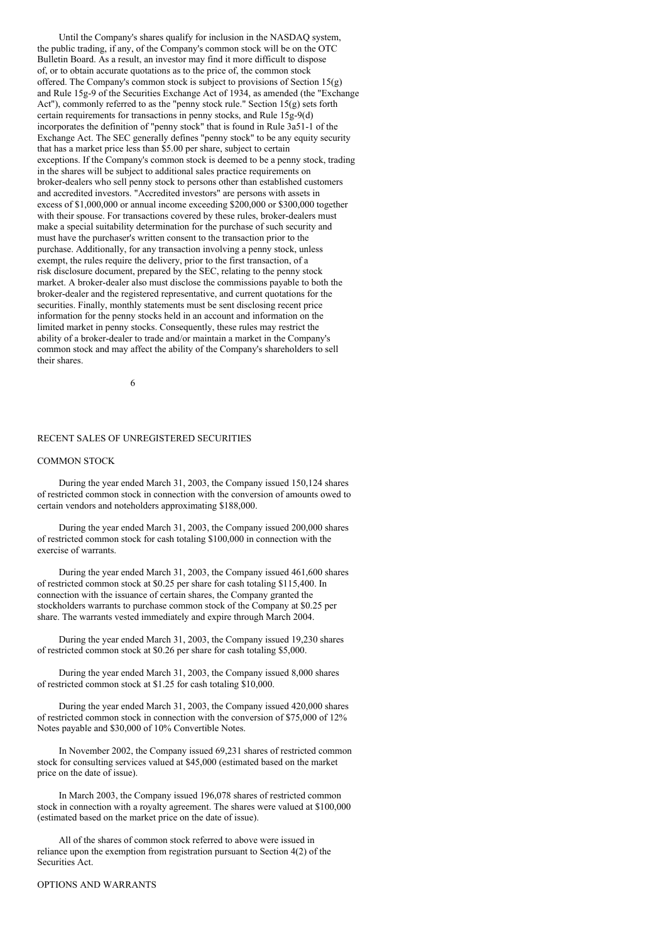Until the Company's shares qualify for inclusion in the NASDAQ system, the public trading, if any, of the Company's common stock will be on the OTC Bulletin Board. As a result, an investor may find it more difficult to dispose of, or to obtain accurate quotations as to the price of, the common stock offered. The Company's common stock is subject to provisions of Section  $15(g)$ and Rule 15g-9 of the Securities Exchange Act of 1934, as amended (the "Exchange Act"), commonly referred to as the "penny stock rule." Section  $15(g)$  sets forth certain requirements for transactions in penny stocks, and Rule 15g-9(d) incorporates the definition of "penny stock" that is found in Rule 3a51-1 of the Exchange Act. The SEC generally defines "penny stock" to be any equity security that has a market price less than \$5.00 per share, subject to certain exceptions. If the Company's common stock is deemed to be a penny stock, trading in the shares will be subject to additional sales practice requirements on broker-dealers who sell penny stock to persons other than established customers and accredited investors. "Accredited investors" are persons with assets in excess of \$1,000,000 or annual income exceeding \$200,000 or \$300,000 together with their spouse. For transactions covered by these rules, broker-dealers must make a special suitability determination for the purchase of such security and must have the purchaser's written consent to the transaction prior to the purchase. Additionally, for any transaction involving a penny stock, unless exempt, the rules require the delivery, prior to the first transaction, of a risk disclosure document, prepared by the SEC, relating to the penny stock market. A broker-dealer also must disclose the commissions payable to both the broker-dealer and the registered representative, and current quotations for the securities. Finally, monthly statements must be sent disclosing recent price information for the penny stocks held in an account and information on the limited market in penny stocks. Consequently, these rules may restrict the ability of a broker-dealer to trade and/or maintain a market in the Company's common stock and may affect the ability of the Company's shareholders to sell their shares.

6

# RECENT SALES OF UNREGISTERED SECURITIES

#### COMMON STOCK

During the year ended March 31, 2003, the Company issued 150,124 shares of restricted common stock in connection with the conversion of amounts owed to certain vendors and noteholders approximating \$188,000.

During the year ended March 31, 2003, the Company issued 200,000 shares of restricted common stock for cash totaling \$100,000 in connection with the exercise of warrants.

During the year ended March 31, 2003, the Company issued 461,600 shares of restricted common stock at \$0.25 per share for cash totaling \$115,400. In connection with the issuance of certain shares, the Company granted the stockholders warrants to purchase common stock of the Company at \$0.25 per share. The warrants vested immediately and expire through March 2004.

During the year ended March 31, 2003, the Company issued 19,230 shares of restricted common stock at \$0.26 per share for cash totaling \$5,000.

During the year ended March 31, 2003, the Company issued 8,000 shares of restricted common stock at \$1.25 for cash totaling \$10,000.

During the year ended March 31, 2003, the Company issued 420,000 shares of restricted common stock in connection with the conversion of \$75,000 of 12% Notes payable and \$30,000 of 10% Convertible Notes.

In November 2002, the Company issued 69,231 shares of restricted common stock for consulting services valued at \$45,000 (estimated based on the market price on the date of issue).

In March 2003, the Company issued 196,078 shares of restricted common stock in connection with a royalty agreement. The shares were valued at \$100,000 (estimated based on the market price on the date of issue).

All of the shares of common stock referred to above were issued in reliance upon the exemption from registration pursuant to Section 4(2) of the Securities Act.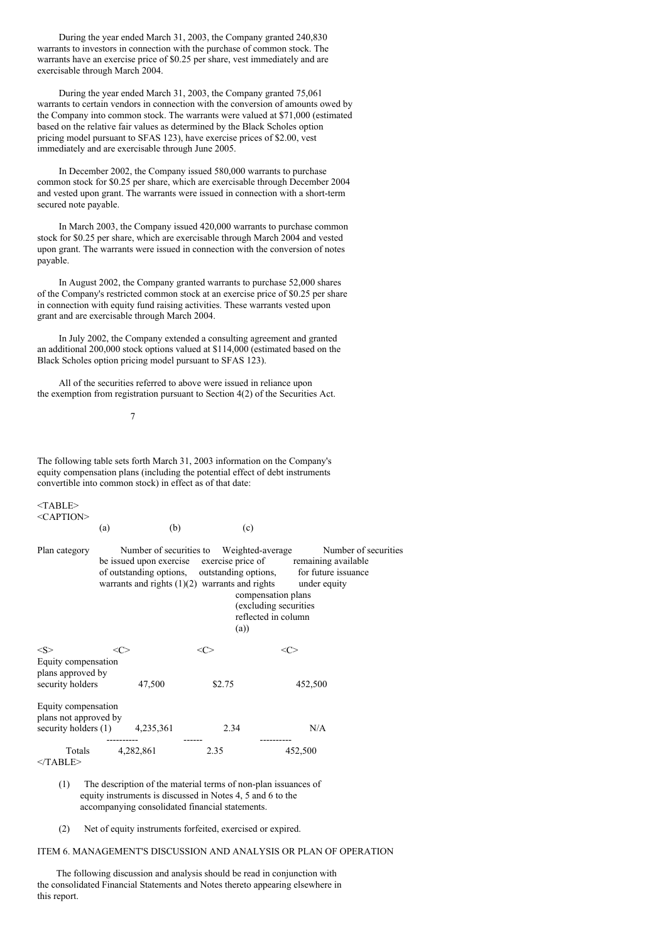During the year ended March 31, 2003, the Company granted 240,830 warrants to investors in connection with the purchase of common stock. The warrants have an exercise price of \$0.25 per share, vest immediately and are exercisable through March 2004.

During the year ended March 31, 2003, the Company granted 75,061 warrants to certain vendors in connection with the conversion of amounts owed by the Company into common stock. The warrants were valued at \$71,000 (estimated based on the relative fair values as determined by the Black Scholes option pricing model pursuant to SFAS 123), have exercise prices of \$2.00, vest immediately and are exercisable through June 2005.

In December 2002, the Company issued 580,000 warrants to purchase common stock for \$0.25 per share, which are exercisable through December 2004 and vested upon grant. The warrants were issued in connection with a short-term secured note payable.

In March 2003, the Company issued 420,000 warrants to purchase common stock for \$0.25 per share, which are exercisable through March 2004 and vested upon grant. The warrants were issued in connection with the conversion of notes payable.

In August 2002, the Company granted warrants to purchase 52,000 shares of the Company's restricted common stock at an exercise price of \$0.25 per share in connection with equity fund raising activities. These warrants vested upon grant and are exercisable through March 2004.

In July 2002, the Company extended a consulting agreement and granted an additional 200,000 stock options valued at \$114,000 (estimated based on the Black Scholes option pricing model pursuant to SFAS 123).

All of the securities referred to above were issued in reliance upon the exemption from registration pursuant to Section 4(2) of the Securities Act.

7

The following table sets forth March 31, 2003 information on the Company's equity compensation plans (including the potential effect of debt instruments convertible into common stock) in effect as of that date:

| <table></table>     |
|---------------------|
| <caption></caption> |

|                                                                      | (a)                                                                                                                                                                                                              | (b)  | (c)                                                                                            |                                      |
|----------------------------------------------------------------------|------------------------------------------------------------------------------------------------------------------------------------------------------------------------------------------------------------------|------|------------------------------------------------------------------------------------------------|--------------------------------------|
| Plan category                                                        | Number of securities to<br>be issued upon exercise exercise price of remaining available<br>of outstanding options, outstanding options, for future issuance<br>warrants and rights $(1)(2)$ warrants and rights |      | Weighted-average<br>compensation plans<br>(excluding securities)<br>reflected in column<br>(a) | Number of securities<br>under equity |
| <s><br/>Equity compensation<br/>plans approved by</s>                | <c></c>                                                                                                                                                                                                          |      |                                                                                                | <c< td=""></c<>                      |
| security holders                                                     | 47,500                                                                                                                                                                                                           |      | \$2.75                                                                                         | 452,500                              |
| Equity compensation<br>plans not approved by<br>security holders (1) | 4,235,361                                                                                                                                                                                                        |      | 2.34                                                                                           | N/A                                  |
| Totals<br>$<$ TABLE>                                                 | 4,282,861                                                                                                                                                                                                        | 2.35 |                                                                                                | 452,500                              |

(1) The description of the material terms of non-plan issuances of equity instruments is discussed in Notes 4, 5 and 6 to the accompanying consolidated financial statements.

(2) Net of equity instruments forfeited, exercised or expired.

# ITEM 6. MANAGEMENT'S DISCUSSION AND ANALYSIS OR PLAN OF OPERATION

The following discussion and analysis should be read in conjunction with the consolidated Financial Statements and Notes thereto appearing elsewhere in this report.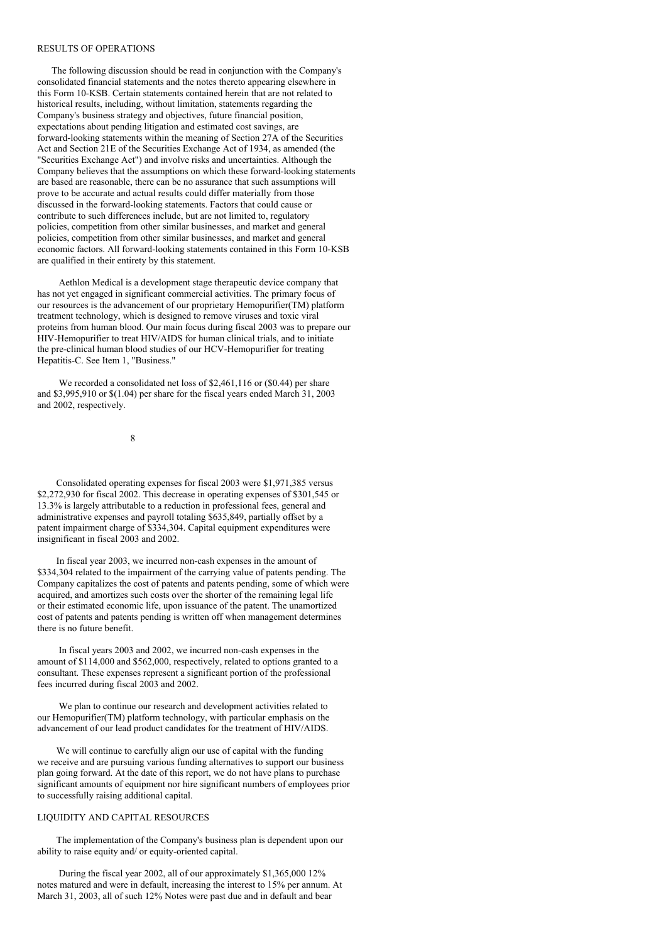## RESULTS OF OPERATIONS

The following discussion should be read in conjunction with the Company's consolidated financial statements and the notes thereto appearing elsewhere in this Form 10-KSB. Certain statements contained herein that are not related to historical results, including, without limitation, statements regarding the Company's business strategy and objectives, future financial position, expectations about pending litigation and estimated cost savings, are forward-looking statements within the meaning of Section 27A of the Securities Act and Section 21E of the Securities Exchange Act of 1934, as amended (the "Securities Exchange Act") and involve risks and uncertainties. Although the Company believes that the assumptions on which these forward-looking statements are based are reasonable, there can be no assurance that such assumptions will prove to be accurate and actual results could differ materially from those discussed in the forward-looking statements. Factors that could cause or contribute to such differences include, but are not limited to, regulatory policies, competition from other similar businesses, and market and general policies, competition from other similar businesses, and market and general economic factors. All forward-looking statements contained in this Form 10-KSB are qualified in their entirety by this statement.

Aethlon Medical is a development stage therapeutic device company that has not yet engaged in significant commercial activities. The primary focus of our resources is the advancement of our proprietary Hemopurifier(TM) platform treatment technology, which is designed to remove viruses and toxic viral proteins from human blood. Our main focus during fiscal 2003 was to prepare our HIV-Hemopurifier to treat HIV/AIDS for human clinical trials, and to initiate the pre-clinical human blood studies of our HCV-Hemopurifier for treating Hepatitis-C. See Item 1, "Business."

We recorded a consolidated net loss of \$2,461,116 or (\$0.44) per share and \$3,995,910 or \$(1.04) per share for the fiscal years ended March 31, 2003 and 2002, respectively.

8

Consolidated operating expenses for fiscal 2003 were \$1,971,385 versus \$2,272,930 for fiscal 2002. This decrease in operating expenses of \$301,545 or 13.3% is largely attributable to a reduction in professional fees, general and administrative expenses and payroll totaling \$635,849, partially offset by a patent impairment charge of \$334,304. Capital equipment expenditures were insignificant in fiscal 2003 and 2002.

In fiscal year 2003, we incurred non-cash expenses in the amount of \$334,304 related to the impairment of the carrying value of patents pending. The Company capitalizes the cost of patents and patents pending, some of which were acquired, and amortizes such costs over the shorter of the remaining legal life or their estimated economic life, upon issuance of the patent. The unamortized cost of patents and patents pending is written off when management determines there is no future benefit.

In fiscal years 2003 and 2002, we incurred non-cash expenses in the amount of \$114,000 and \$562,000, respectively, related to options granted to a consultant. These expenses represent a significant portion of the professional fees incurred during fiscal 2003 and 2002.

We plan to continue our research and development activities related to our Hemopurifier(TM) platform technology, with particular emphasis on the advancement of our lead product candidates for the treatment of HIV/AIDS.

We will continue to carefully align our use of capital with the funding we receive and are pursuing various funding alternatives to support our business plan going forward. At the date of this report, we do not have plans to purchase significant amounts of equipment nor hire significant numbers of employees prior to successfully raising additional capital.

# LIQUIDITY AND CAPITAL RESOURCES

The implementation of the Company's business plan is dependent upon our ability to raise equity and/ or equity-oriented capital.

During the fiscal year 2002, all of our approximately \$1,365,000 12% notes matured and were in default, increasing the interest to 15% per annum. At March 31, 2003, all of such 12% Notes were past due and in default and bear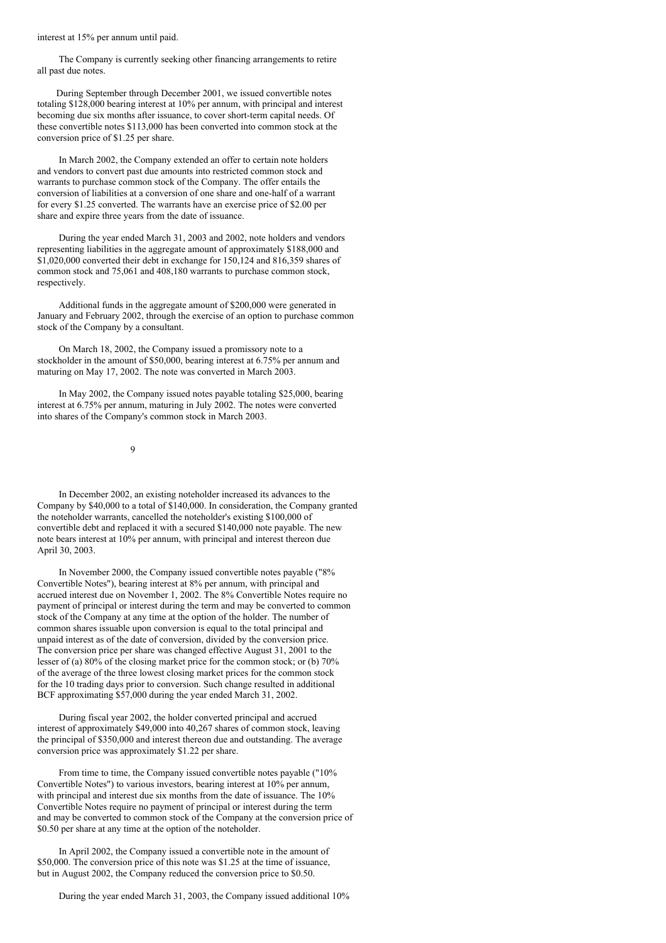#### interest at 15% per annum until paid.

The Company is currently seeking other financing arrangements to retire all past due notes.

During September through December 2001, we issued convertible notes totaling \$128,000 bearing interest at 10% per annum, with principal and interest becoming due six months after issuance, to cover short-term capital needs. Of these convertible notes \$113,000 has been converted into common stock at the conversion price of \$1.25 per share.

In March 2002, the Company extended an offer to certain note holders and vendors to convert past due amounts into restricted common stock and warrants to purchase common stock of the Company. The offer entails the conversion of liabilities at a conversion of one share and one-half of a warrant for every \$1.25 converted. The warrants have an exercise price of \$2.00 per share and expire three years from the date of issuance.

During the year ended March 31, 2003 and 2002, note holders and vendors representing liabilities in the aggregate amount of approximately \$188,000 and \$1,020,000 converted their debt in exchange for 150,124 and 816,359 shares of common stock and 75,061 and 408,180 warrants to purchase common stock, respectively.

Additional funds in the aggregate amount of \$200,000 were generated in January and February 2002, through the exercise of an option to purchase common stock of the Company by a consultant.

On March 18, 2002, the Company issued a promissory note to a stockholder in the amount of \$50,000, bearing interest at 6.75% per annum and maturing on May 17, 2002. The note was converted in March 2003.

In May 2002, the Company issued notes payable totaling \$25,000, bearing interest at 6.75% per annum, maturing in July 2002. The notes were converted into shares of the Company's common stock in March 2003.

 $\overline{Q}$ 

In December 2002, an existing noteholder increased its advances to the Company by \$40,000 to a total of \$140,000. In consideration, the Company granted the noteholder warrants, cancelled the noteholder's existing \$100,000 of convertible debt and replaced it with a secured \$140,000 note payable. The new note bears interest at 10% per annum, with principal and interest thereon due April 30, 2003.

In November 2000, the Company issued convertible notes payable ("8% Convertible Notes"), bearing interest at 8% per annum, with principal and accrued interest due on November 1, 2002. The 8% Convertible Notes require no payment of principal or interest during the term and may be converted to common stock of the Company at any time at the option of the holder. The number of common shares issuable upon conversion is equal to the total principal and unpaid interest as of the date of conversion, divided by the conversion price. The conversion price per share was changed effective August 31, 2001 to the lesser of (a) 80% of the closing market price for the common stock; or (b) 70% of the average of the three lowest closing market prices for the common stock for the 10 trading days prior to conversion. Such change resulted in additional BCF approximating \$57,000 during the year ended March 31, 2002.

During fiscal year 2002, the holder converted principal and accrued interest of approximately \$49,000 into 40,267 shares of common stock, leaving the principal of \$350,000 and interest thereon due and outstanding. The average conversion price was approximately \$1.22 per share.

From time to time, the Company issued convertible notes payable ("10% Convertible Notes") to various investors, bearing interest at 10% per annum, with principal and interest due six months from the date of issuance. The 10% Convertible Notes require no payment of principal or interest during the term and may be converted to common stock of the Company at the conversion price of \$0.50 per share at any time at the option of the noteholder.

In April 2002, the Company issued a convertible note in the amount of \$50,000. The conversion price of this note was \$1.25 at the time of issuance, but in August 2002, the Company reduced the conversion price to \$0.50.

During the year ended March 31, 2003, the Company issued additional 10%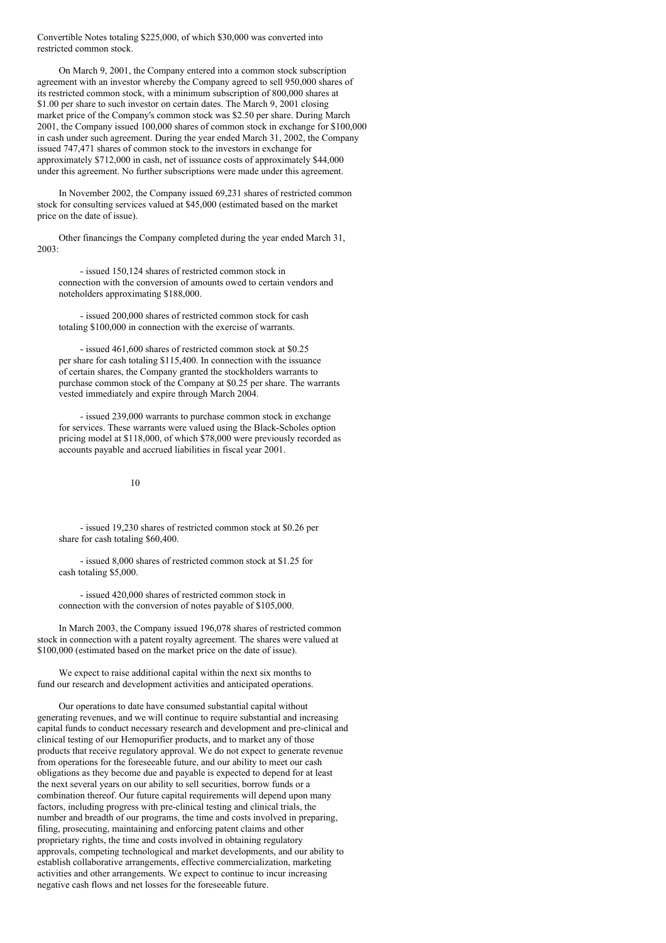Convertible Notes totaling \$225,000, of which \$30,000 was converted into restricted common stock.

On March 9, 2001, the Company entered into a common stock subscription agreement with an investor whereby the Company agreed to sell 950,000 shares of its restricted common stock, with a minimum subscription of 800,000 shares at \$1.00 per share to such investor on certain dates. The March 9, 2001 closing market price of the Company's common stock was \$2.50 per share. During March 2001, the Company issued 100,000 shares of common stock in exchange for \$100,000 in cash under such agreement. During the year ended March 31, 2002, the Company issued 747,471 shares of common stock to the investors in exchange for approximately \$712,000 in cash, net of issuance costs of approximately \$44,000 under this agreement. No further subscriptions were made under this agreement.

In November 2002, the Company issued 69,231 shares of restricted common stock for consulting services valued at \$45,000 (estimated based on the market price on the date of issue).

Other financings the Company completed during the year ended March 31, 2003:

- issued 150,124 shares of restricted common stock in connection with the conversion of amounts owed to certain vendors and noteholders approximating \$188,000.

- issued 200,000 shares of restricted common stock for cash totaling \$100,000 in connection with the exercise of warrants.

- issued 461,600 shares of restricted common stock at \$0.25 per share for cash totaling \$115,400. In connection with the issuance of certain shares, the Company granted the stockholders warrants to purchase common stock of the Company at \$0.25 per share. The warrants vested immediately and expire through March 2004.

- issued 239,000 warrants to purchase common stock in exchange for services. These warrants were valued using the Black-Scholes option pricing model at \$118,000, of which \$78,000 were previously recorded as accounts payable and accrued liabilities in fiscal year 2001.

### 10

- issued 19,230 shares of restricted common stock at \$0.26 per share for cash totaling \$60,400.

- issued 8,000 shares of restricted common stock at \$1.25 for cash totaling \$5,000.

- issued 420,000 shares of restricted common stock in connection with the conversion of notes payable of \$105,000.

In March 2003, the Company issued 196,078 shares of restricted common stock in connection with a patent royalty agreement. The shares were valued at \$100,000 (estimated based on the market price on the date of issue).

We expect to raise additional capital within the next six months to fund our research and development activities and anticipated operations.

Our operations to date have consumed substantial capital without generating revenues, and we will continue to require substantial and increasing capital funds to conduct necessary research and development and pre-clinical and clinical testing of our Hemopurifier products, and to market any of those products that receive regulatory approval. We do not expect to generate revenue from operations for the foreseeable future, and our ability to meet our cash obligations as they become due and payable is expected to depend for at least the next several years on our ability to sell securities, borrow funds or a combination thereof. Our future capital requirements will depend upon many factors, including progress with pre-clinical testing and clinical trials, the number and breadth of our programs, the time and costs involved in preparing, filing, prosecuting, maintaining and enforcing patent claims and other proprietary rights, the time and costs involved in obtaining regulatory approvals, competing technological and market developments, and our ability to establish collaborative arrangements, effective commercialization, marketing activities and other arrangements. We expect to continue to incur increasing negative cash flows and net losses for the foreseeable future.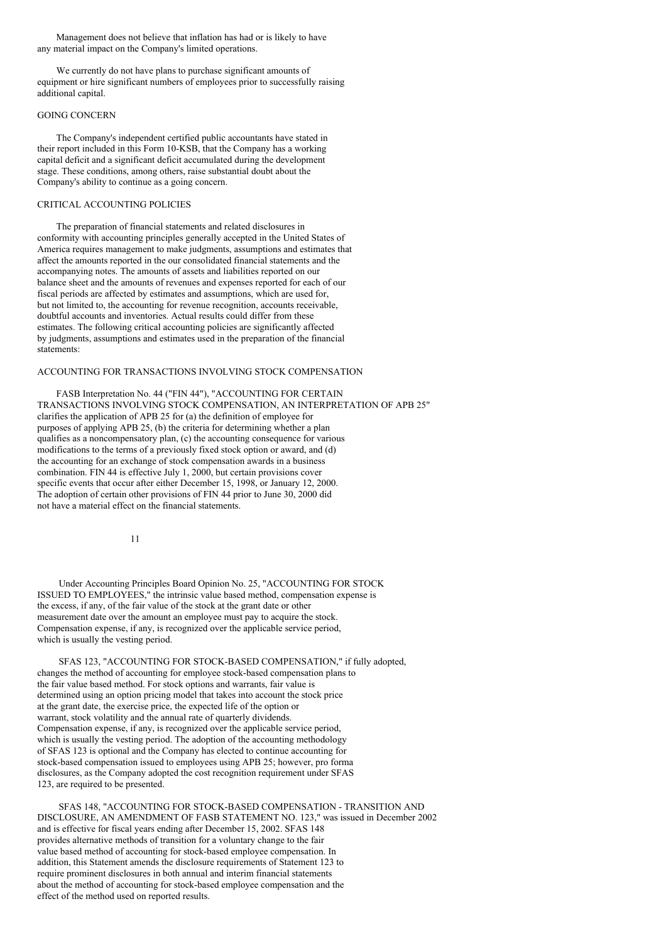Management does not believe that inflation has had or is likely to have any material impact on the Company's limited operations.

We currently do not have plans to purchase significant amounts of equipment or hire significant numbers of employees prior to successfully raising additional capital.

## GOING CONCERN

The Company's independent certified public accountants have stated in their report included in this Form 10-KSB, that the Company has a working capital deficit and a significant deficit accumulated during the development stage. These conditions, among others, raise substantial doubt about the Company's ability to continue as a going concern.

### CRITICAL ACCOUNTING POLICIES

The preparation of financial statements and related disclosures in conformity with accounting principles generally accepted in the United States of America requires management to make judgments, assumptions and estimates that affect the amounts reported in the our consolidated financial statements and the accompanying notes. The amounts of assets and liabilities reported on our balance sheet and the amounts of revenues and expenses reported for each of our fiscal periods are affected by estimates and assumptions, which are used for, but not limited to, the accounting for revenue recognition, accounts receivable, doubtful accounts and inventories. Actual results could differ from these estimates. The following critical accounting policies are significantly affected by judgments, assumptions and estimates used in the preparation of the financial statements:

## ACCOUNTING FOR TRANSACTIONS INVOLVING STOCK COMPENSATION

FASB Interpretation No. 44 ("FIN 44"), "ACCOUNTING FOR CERTAIN TRANSACTIONS INVOLVING STOCK COMPENSATION, AN INTERPRETATION OF APB 25" clarifies the application of APB 25 for (a) the definition of employee for purposes of applying APB 25, (b) the criteria for determining whether a plan qualifies as a noncompensatory plan, (c) the accounting consequence for various modifications to the terms of a previously fixed stock option or award, and (d) the accounting for an exchange of stock compensation awards in a business combination. FIN 44 is effective July 1, 2000, but certain provisions cover specific events that occur after either December 15, 1998, or January 12, 2000. The adoption of certain other provisions of FIN 44 prior to June 30, 2000 did not have a material effect on the financial statements.

11

Under Accounting Principles Board Opinion No. 25, "ACCOUNTING FOR STOCK ISSUED TO EMPLOYEES," the intrinsic value based method, compensation expense is the excess, if any, of the fair value of the stock at the grant date or other measurement date over the amount an employee must pay to acquire the stock. Compensation expense, if any, is recognized over the applicable service period, which is usually the vesting period.

SFAS 123, "ACCOUNTING FOR STOCK-BASED COMPENSATION," if fully adopted, changes the method of accounting for employee stock-based compensation plans to the fair value based method. For stock options and warrants, fair value is determined using an option pricing model that takes into account the stock price at the grant date, the exercise price, the expected life of the option or warrant, stock volatility and the annual rate of quarterly dividends. Compensation expense, if any, is recognized over the applicable service period, which is usually the vesting period. The adoption of the accounting methodology of SFAS 123 is optional and the Company has elected to continue accounting for stock-based compensation issued to employees using APB 25; however, pro forma disclosures, as the Company adopted the cost recognition requirement under SFAS 123, are required to be presented.

SFAS 148, "ACCOUNTING FOR STOCK-BASED COMPENSATION - TRANSITION AND DISCLOSURE, AN AMENDMENT OF FASB STATEMENT NO. 123," was issued in December 2002 and is effective for fiscal years ending after December 15, 2002. SFAS 148 provides alternative methods of transition for a voluntary change to the fair value based method of accounting for stock-based employee compensation. In addition, this Statement amends the disclosure requirements of Statement 123 to require prominent disclosures in both annual and interim financial statements about the method of accounting for stock-based employee compensation and the effect of the method used on reported results.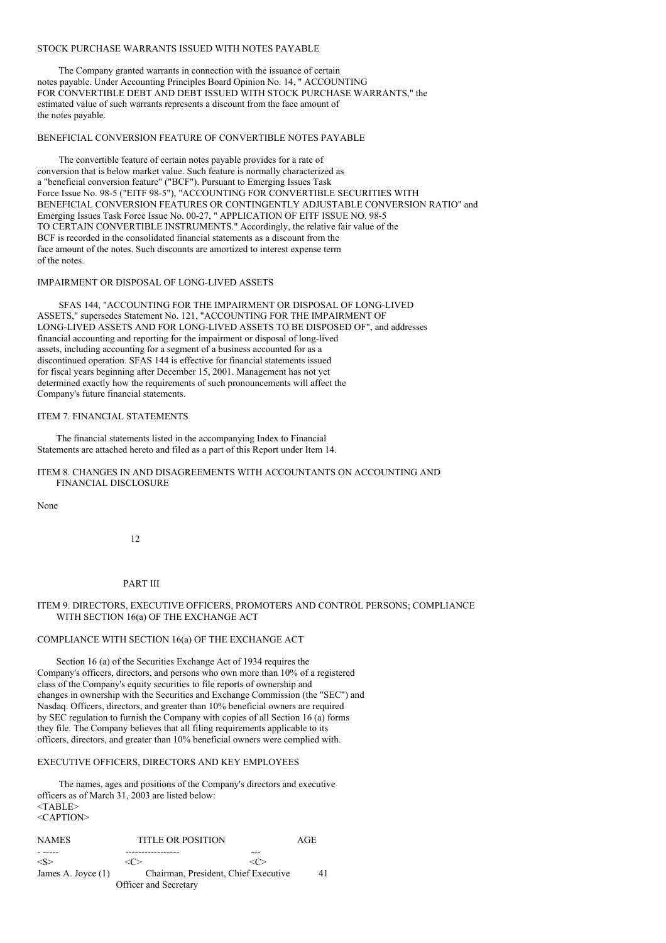## STOCK PURCHASE WARRANTS ISSUED WITH NOTES PAYABLE

The Company granted warrants in connection with the issuance of certain notes payable. Under Accounting Principles Board Opinion No. 14, " ACCOUNTING FOR CONVERTIBLE DEBT AND DEBT ISSUED WITH STOCK PURCHASE WARRANTS," the estimated value of such warrants represents a discount from the face amount of the notes payable.

#### BENEFICIAL CONVERSION FEATURE OF CONVERTIBLE NOTES PAYABLE

The convertible feature of certain notes payable provides for a rate of conversion that is below market value. Such feature is normally characterized as a "beneficial conversion feature" ("BCF"). Pursuant to Emerging Issues Task Force Issue No. 98-5 ("EITF 98-5"), "ACCOUNTING FOR CONVERTIBLE SECURITIES WITH BENEFICIAL CONVERSION FEATURES OR CONTINGENTLY ADJUSTABLE CONVERSION RATIO" and Emerging Issues Task Force Issue No. 00-27, " APPLICATION OF EITF ISSUE NO. 98-5 TO CERTAIN CONVERTIBLE INSTRUMENTS." Accordingly, the relative fair value of the BCF is recorded in the consolidated financial statements as a discount from the face amount of the notes. Such discounts are amortized to interest expense term of the notes.

#### IMPAIRMENT OR DISPOSAL OF LONG-LIVED ASSETS

SFAS 144, "ACCOUNTING FOR THE IMPAIRMENT OR DISPOSAL OF LONG-LIVED ASSETS," supersedes Statement No. 121, "ACCOUNTING FOR THE IMPAIRMENT OF LONG-LIVED ASSETS AND FOR LONG-LIVED ASSETS TO BE DISPOSED OF", and addresses financial accounting and reporting for the impairment or disposal of long-lived assets, including accounting for a segment of a business accounted for as a discontinued operation. SFAS 144 is effective for financial statements issued for fiscal years beginning after December 15, 2001. Management has not yet determined exactly how the requirements of such pronouncements will affect the Company's future financial statements.

## ITEM 7. FINANCIAL STATEMENTS

The financial statements listed in the accompanying Index to Financial Statements are attached hereto and filed as a part of this Report under Item 14.

### ITEM 8. CHANGES IN AND DISAGREEMENTS WITH ACCOUNTANTS ON ACCOUNTING AND FINANCIAL DISCLOSURE

None

12

PART III

# ITEM 9. DIRECTORS, EXECUTIVE OFFICERS, PROMOTERS AND CONTROL PERSONS; COMPLIANCE WITH SECTION 16(a) OF THE EXCHANGE ACT

#### COMPLIANCE WITH SECTION 16(a) OF THE EXCHANGE ACT

Section 16 (a) of the Securities Exchange Act of 1934 requires the Company's officers, directors, and persons who own more than 10% of a registered class of the Company's equity securities to file reports of ownership and changes in ownership with the Securities and Exchange Commission (the "SEC") and Nasdaq. Officers, directors, and greater than 10% beneficial owners are required by SEC regulation to furnish the Company with copies of all Section 16 (a) forms they file. The Company believes that all filing requirements applicable to its officers, directors, and greater than 10% beneficial owners were complied with.

## EXECUTIVE OFFICERS, DIRECTORS AND KEY EMPLOYEES

The names, ages and positions of the Company's directors and executive officers as of March 31, 2003 are listed below:  $<$ TABLE> <CAPTION>

| <b>NAMES</b>         | <b>TITLE OR POSITION</b> |                                      | AGE |
|----------------------|--------------------------|--------------------------------------|-----|
|                      |                          | ---                                  |     |
| $\langle S \rangle$  | <( '>                    | $\ll$ $\geq$                         |     |
| James A. Joyce $(1)$ |                          | Chairman, President, Chief Executive | 41  |
|                      | Officer and Secretary    |                                      |     |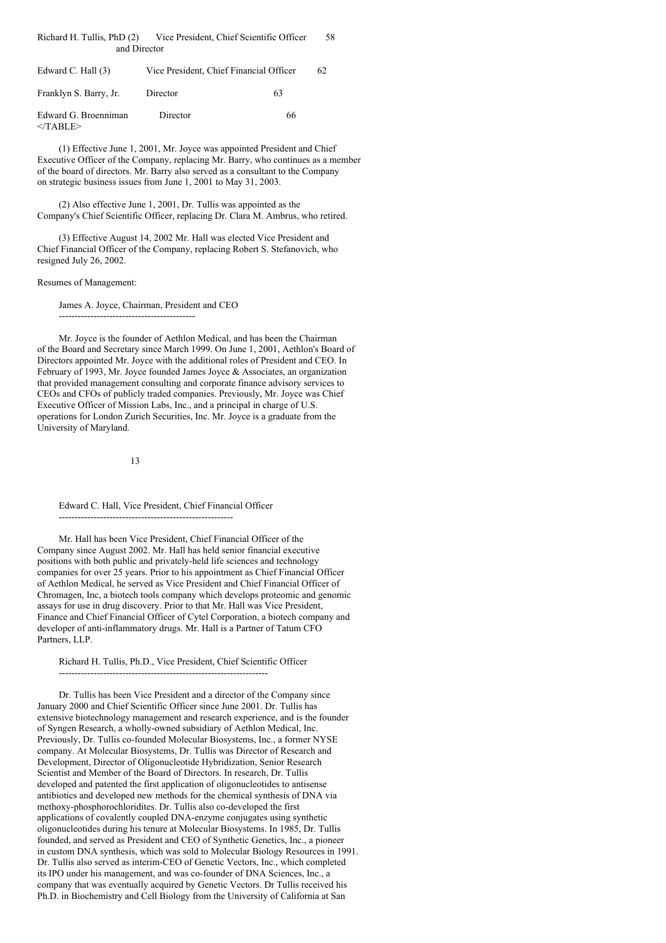| Richard H. Tullis, PhD (2)<br>Vice President, Chief Scientific Officer |                                         |  |  |  |  |  |  |
|------------------------------------------------------------------------|-----------------------------------------|--|--|--|--|--|--|
|                                                                        | and Director                            |  |  |  |  |  |  |
| Edward C. Hall $(3)$                                                   | Vice President. Chief Financial Officer |  |  |  |  |  |  |

| Franklyn S. Barry, Jr.              | Director | 63 |
|-------------------------------------|----------|----|
| Edward G. Broenniman<br>$<$ /TABLE> | Director | 66 |

(1) Effective June 1, 2001, Mr. Joyce was appointed President and Chief Executive Officer of the Company, replacing Mr. Barry, who continues as a member of the board of directors. Mr. Barry also served as a consultant to the Company on strategic business issues from June 1, 2001 to May 31, 2003.

(2) Also effective June 1, 2001, Dr. Tullis was appointed as the Company's Chief Scientific Officer, replacing Dr. Clara M. Ambrus, who retired.

(3) Effective August 14, 2002 Mr. Hall was elected Vice President and Chief Financial Officer of the Company, replacing Robert S. Stefanovich, who resigned July 26, 2002.

#### Resumes of Management:

James A. Joyce, Chairman, President and CEO

-------------------------------------------

Mr. Joyce is the founder of Aethlon Medical, and has been the Chairman of the Board and Secretary since March 1999. On June 1, 2001, Aethlon's Board of Directors appointed Mr. Joyce with the additional roles of President and CEO. In February of 1993, Mr. Joyce founded James Joyce & Associates, an organization that provided management consulting and corporate finance advisory services to CEOs and CFOs of publicly traded companies. Previously, Mr. Joyce was Chief Executive Officer of Mission Labs, Inc., and a principal in charge of U.S. operations for London Zurich Securities, Inc. Mr. Joyce is a graduate from the University of Maryland.

13

Edward C. Hall, Vice President, Chief Financial Officer

-------------------------------------------------------

Mr. Hall has been Vice President, Chief Financial Officer of the Company since August 2002. Mr. Hall has held senior financial executive positions with both public and privately-held life sciences and technology companies for over 25 years. Prior to his appointment as Chief Financial Officer of Aethlon Medical, he served as Vice President and Chief Financial Officer of Chromagen, Inc, a biotech tools company which develops proteomic and genomic assays for use in drug discovery. Prior to that Mr. Hall was Vice President, Finance and Chief Financial Officer of Cytel Corporation, a biotech company and developer of anti-inflammatory drugs. Mr. Hall is a Partner of Tatum CFO Partners, LLP.

Richard H. Tullis, Ph.D., Vice President, Chief Scientific Officer

------------------------------------------------------------------ Dr. Tullis has been Vice President and a director of the Company since January 2000 and Chief Scientific Officer since June 2001. Dr. Tullis has extensive biotechnology management and research experience, and is the founder of Syngen Research, a wholly-owned subsidiary of Aethlon Medical, Inc. Previously, Dr. Tullis co-founded Molecular Biosystems, Inc., a former NYSE company. At Molecular Biosystems, Dr. Tullis was Director of Research and Development, Director of Oligonucleotide Hybridization, Senior Research Scientist and Member of the Board of Directors. In research, Dr. Tullis developed and patented the first application of oligonucleotides to antisense antibiotics and developed new methods for the chemical synthesis of DNA via methoxy-phosphorochloridites. Dr. Tullis also co-developed the first applications of covalently coupled DNA-enzyme conjugates using synthetic oligonucleotides during his tenure at Molecular Biosystems. In 1985, Dr. Tullis founded, and served as President and CEO of Synthetic Genetics, Inc., a pioneer in custom DNA synthesis, which was sold to Molecular Biology Resources in 1991. Dr. Tullis also served as interim-CEO of Genetic Vectors, Inc., which completed its IPO under his management, and was co-founder of DNA Sciences, Inc., a company that was eventually acquired by Genetic Vectors. Dr Tullis received his Ph.D. in Biochemistry and Cell Biology from the University of California at San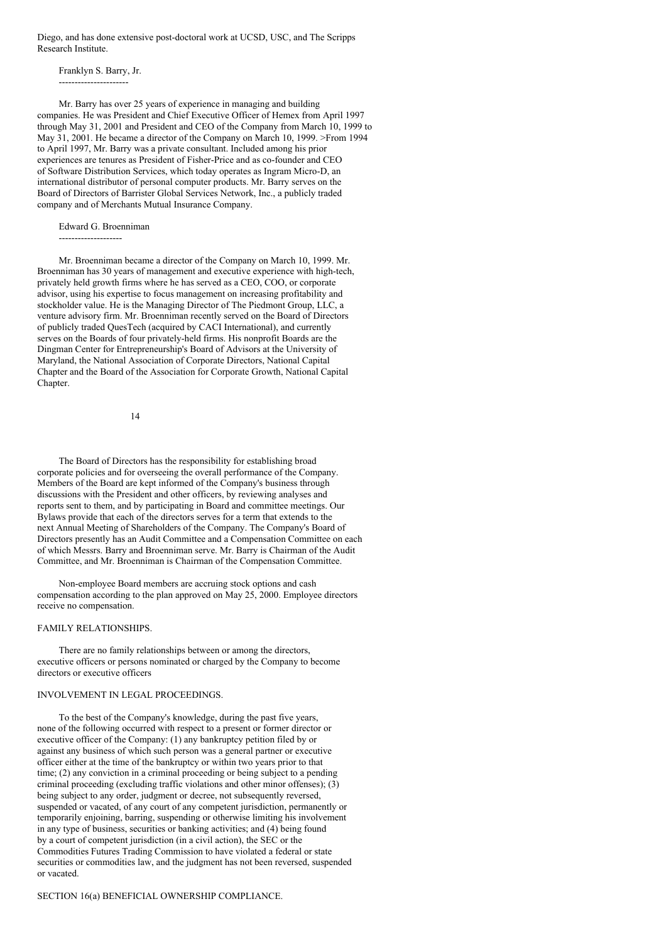Diego, and has done extensive post-doctoral work at UCSD, USC, and The Scripps Research Institute.

Franklyn S. Barry, Jr. ----------------------

Mr. Barry has over 25 years of experience in managing and building companies. He was President and Chief Executive Officer of Hemex from April 1997 through May 31, 2001 and President and CEO of the Company from March 10, 1999 to May 31, 2001. He became a director of the Company on March 10, 1999. >From 1994 to April 1997, Mr. Barry was a private consultant. Included among his prior experiences are tenures as President of Fisher-Price and as co-founder and CEO of Software Distribution Services, which today operates as Ingram Micro-D, an international distributor of personal computer products. Mr. Barry serves on the Board of Directors of Barrister Global Services Network, Inc., a publicly traded company and of Merchants Mutual Insurance Company.

Edward G. Broenniman

--------------------

Mr. Broenniman became a director of the Company on March 10, 1999. Mr. Broenniman has 30 years of management and executive experience with high-tech, privately held growth firms where he has served as a CEO, COO, or corporate advisor, using his expertise to focus management on increasing profitability and stockholder value. He is the Managing Director of The Piedmont Group, LLC, a venture advisory firm. Mr. Broenniman recently served on the Board of Directors of publicly traded QuesTech (acquired by CACI International), and currently serves on the Boards of four privately-held firms. His nonprofit Boards are the Dingman Center for Entrepreneurship's Board of Advisors at the University of Maryland, the National Association of Corporate Directors, National Capital Chapter and the Board of the Association for Corporate Growth, National Capital Chapter.

14

The Board of Directors has the responsibility for establishing broad corporate policies and for overseeing the overall performance of the Company. Members of the Board are kept informed of the Company's business through discussions with the President and other officers, by reviewing analyses and reports sent to them, and by participating in Board and committee meetings. Our Bylaws provide that each of the directors serves for a term that extends to the next Annual Meeting of Shareholders of the Company. The Company's Board of Directors presently has an Audit Committee and a Compensation Committee on each of which Messrs. Barry and Broenniman serve. Mr. Barry is Chairman of the Audit Committee, and Mr. Broenniman is Chairman of the Compensation Committee.

Non-employee Board members are accruing stock options and cash compensation according to the plan approved on May 25, 2000. Employee directors receive no compensation.

#### FAMILY RELATIONSHIPS.

There are no family relationships between or among the directors, executive officers or persons nominated or charged by the Company to become directors or executive officers

# INVOLVEMENT IN LEGAL PROCEEDINGS.

To the best of the Company's knowledge, during the past five years, none of the following occurred with respect to a present or former director or executive officer of the Company: (1) any bankruptcy petition filed by or against any business of which such person was a general partner or executive officer either at the time of the bankruptcy or within two years prior to that time; (2) any conviction in a criminal proceeding or being subject to a pending criminal proceeding (excluding traffic violations and other minor offenses); (3) being subject to any order, judgment or decree, not subsequently reversed, suspended or vacated, of any court of any competent jurisdiction, permanently or temporarily enjoining, barring, suspending or otherwise limiting his involvement in any type of business, securities or banking activities; and (4) being found by a court of competent jurisdiction (in a civil action), the SEC or the Commodities Futures Trading Commission to have violated a federal or state securities or commodities law, and the judgment has not been reversed, suspended or vacated.

#### SECTION 16(a) BENEFICIAL OWNERSHIP COMPLIANCE.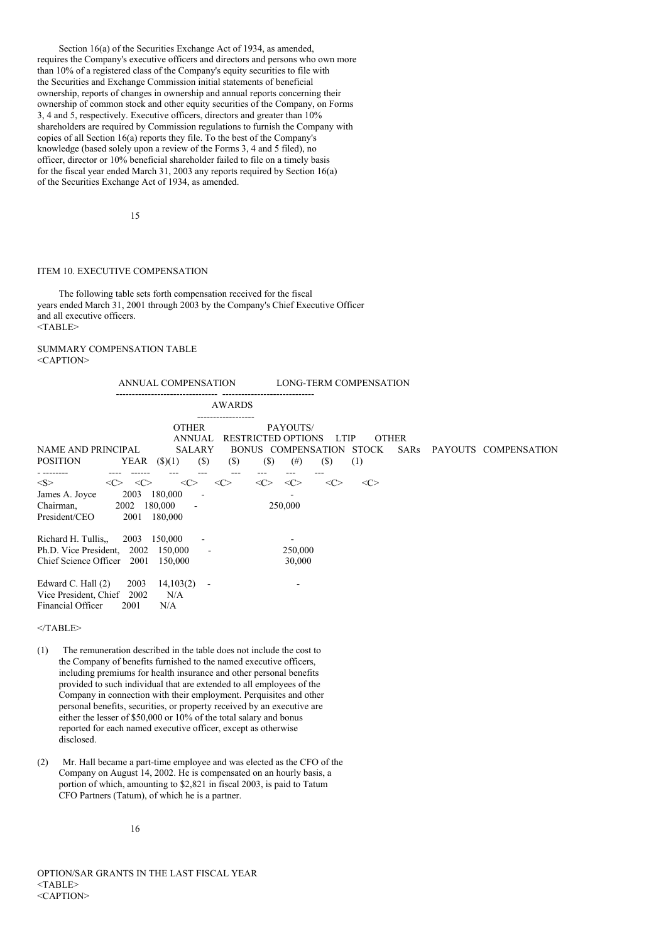Section 16(a) of the Securities Exchange Act of 1934, as amended, requires the Company's executive officers and directors and persons who own more than 10% of a registered class of the Company's equity securities to file with the Securities and Exchange Commission initial statements of beneficial ownership, reports of changes in ownership and annual reports concerning their ownership of common stock and other equity securities of the Company, on Forms 3, 4 and 5, respectively. Executive officers, directors and greater than 10% shareholders are required by Commission regulations to furnish the Company with copies of all Section 16(a) reports they file. To the best of the Company's knowledge (based solely upon a review of the Forms 3, 4 and 5 filed), no officer, director or 10% beneficial shareholder failed to file on a timely basis for the fiscal year ended March 31, 2003 any reports required by Section 16(a) of the Securities Exchange Act of 1934, as amended.

15

#### ITEM 10. EXECUTIVE COMPENSATION

The following table sets forth compensation received for the fiscal years ended March 31, 2001 through 2003 by the Company's Chief Executive Officer and all executive officers.  $<$ TABLE $>$ 

# SUMMARY COMPENSATION TABLE  $\langle C$  A PTION>

|                                                                                          | ANNUAL COMPENSATION                                                                                                        | LONG-TERM COMPENSATION                                                                                                                   |
|------------------------------------------------------------------------------------------|----------------------------------------------------------------------------------------------------------------------------|------------------------------------------------------------------------------------------------------------------------------------------|
|                                                                                          | <b>AWARDS</b>                                                                                                              |                                                                                                                                          |
| <b>NAME AND PRINCIPAL</b><br><b>POSITION</b>                                             | <br><b>OTHER</b><br><b>ANNUAL</b><br><b>RESTRICTED OPTIONS</b><br><b>SALARY</b><br>$(\$)$<br>YEAR $(S)(1)$<br>$(s)$<br>(S) | PAYOUTS/<br><b>OTHER</b><br><b>LTIP</b><br>BONUS COMPENSATION<br><b>STOCK</b><br>SARs<br>PAYOUTS COMPENSATION<br>(\$)<br>(1)<br>$^{(#)}$ |
| $<\leq>$<br><<><br>2003<br>James A. Joyce<br>Chairman,<br>2002<br>President/CEO<br>2001  | <<><br>$<\infty$<br><<><br><<><br>180,000<br>180,000<br>180,000                                                            | $\langle C \rangle$<br><<><br>$\langle C \rangle$<br>250,000                                                                             |
| Richard H. Tullis<br>2003<br>Ph.D. Vice President, 2002<br>Chief Science Officer         | 150,000<br>150,000<br>2001<br>150,000                                                                                      | 250,000<br>30,000                                                                                                                        |
| Edward C. Hall (2)<br>2003<br>2002<br>Vice President, Chief<br>Financial Officer<br>2001 | 14,103(2)<br>$\overline{\phantom{a}}$<br>N/A<br>N/A                                                                        |                                                                                                                                          |

 $<$ /TABLE>

- (1) The remuneration described in the table does not include the cost to the Company of benefits furnished to the named executive officers, including premiums for health insurance and other personal benefits provided to such individual that are extended to all employees of the Company in connection with their employment. Perquisites and other personal benefits, securities, or property received by an executive are either the lesser of \$50,000 or  $10\%$  of the total salary and bonus reported for each named executive officer, except as otherwise disclosed.
- (2) Mr. Hall became a part-time employee and was elected as the CFO of the Company on August 14, 2002. He is compensated on an hourly basis, a portion of which, amounting to \$2,821 in fiscal 2003, is paid to Tatum CFO Partners (Tatum), of which he is a partner.

OPTION/SAR GRANTS IN THE LAST FISCAL YEAR  $<$ TABLE> <CAPTION>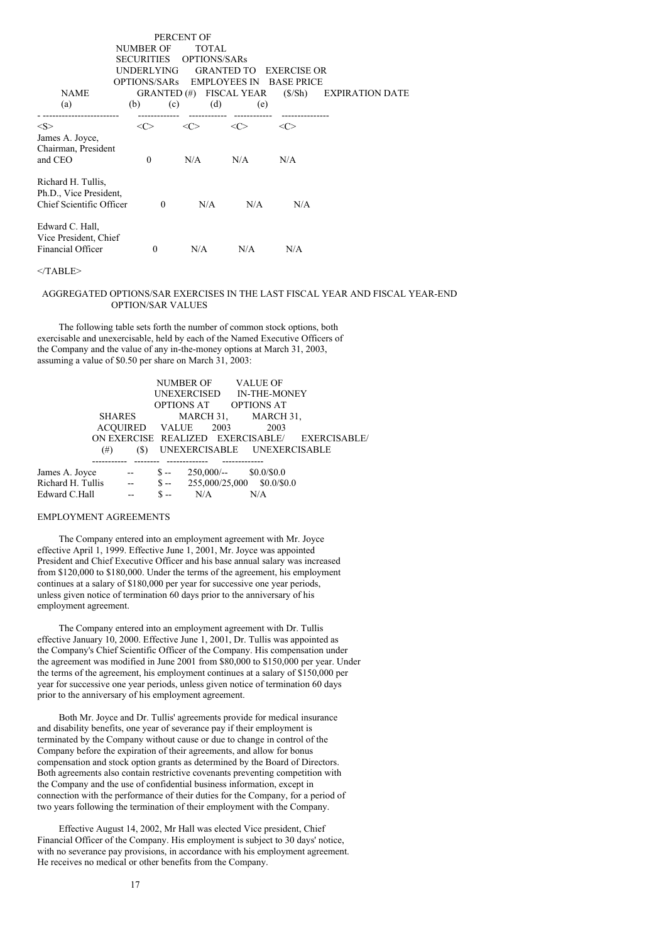| <b>NAME</b><br>(a)                                                       | NUMBER OF<br><b>SECURITIES</b><br>UNDERLYING.<br>OPTIONS/SARs EMPLOYEES IN<br>(b)<br>(c)<br>------------- | PERCENT OF<br><b>TOTAL</b><br>OPTIONS/SARs<br>GRANTED (#) FISCAL YEAR<br>(d) | <b>GRANTED TO</b><br>(e) | <b>EXERCISE OR</b><br><b>BASE PRICE</b><br>(S/Sh) | <b>EXPIRATION DATE</b> |
|--------------------------------------------------------------------------|-----------------------------------------------------------------------------------------------------------|------------------------------------------------------------------------------|--------------------------|---------------------------------------------------|------------------------|
| <s><br/>James A. Joyce,</s>                                              | <<>                                                                                                       | <<>                                                                          | <<>                      | <<>                                               |                        |
| Chairman, President<br>and CEO                                           | $\Omega$                                                                                                  | N/A                                                                          | N/A                      | N/A                                               |                        |
| Richard H. Tullis,<br>Ph.D., Vice President,<br>Chief Scientific Officer | $\Omega$                                                                                                  | N/A                                                                          | N/A                      | N/A                                               |                        |
| Edward C. Hall,<br>Vice President, Chief<br>Financial Officer            | $\Omega$                                                                                                  | N/A                                                                          | N/A                      | N/A                                               |                        |

#### $<$ /TABLE>

# AGGREGATED OPTIONS/SAR EXERCISES IN THE LAST FISCAL YEAR AND FISCAL YEAR-END OPTION/SAR VALUES

The following table sets forth the number of common stock options, both exercisable and unexercisable, held by each of the Named Executive Officers of the Company and the value of any in-the-money options at March 31, 2003, assuming a value of \$0.50 per share on March 31, 2003:

|                     |     |                     | NUMBER OF VALUE OF                             |  |
|---------------------|-----|---------------------|------------------------------------------------|--|
|                     |     |                     | UNEXERCISED IN-THE-MONEY                       |  |
|                     |     |                     | OPTIONS AT OPTIONS AT                          |  |
| SHARES              |     |                     | MARCH 31, MARCH 31,                            |  |
|                     |     | ACOUIRED VALUE 2003 | 2003                                           |  |
|                     |     |                     | ON EXERCISE REALIZED EXERCISABLE/ EXERCISABLE/ |  |
| $^{(#)}$            | (S) |                     | UNEXERCISABLE UNEXERCISABLE                    |  |
|                     |     |                     |                                                |  |
| James A. Joyce --   |     |                     | $$-.250,000/-.$ $$0.0/$0.0$                    |  |
| Richard H. Tullis - |     |                     | $$-.$ 255,000/25,000 \$0.0/\$0.0               |  |
| Edward C.Hall       |     | $S - N/A$           | N/A                                            |  |

#### EMPLOYMENT AGREEMENTS

The Company entered into an employment agreement with Mr. Joyce effective April 1, 1999. Effective June 1, 2001, Mr. Joyce was appointed President and Chief Executive Officer and his base annual salary was increased from \$120,000 to \$180,000. Under the terms of the agreement, his employment continues at a salary of \$180,000 per year for successive one year periods, unless given notice of termination 60 days prior to the anniversary of his employment agreement.

The Company entered into an employment agreement with Dr. Tullis effective January 10, 2000. Effective June 1, 2001, Dr. Tullis was appointed as the Company's Chief Scientific Officer of the Company. His compensation under the agreement was modified in June 2001 from \$80,000 to \$150,000 per year. Under the terms of the agreement, his employment continues at a salary of \$150,000 per year for successive one year periods, unless given notice of termination 60 days prior to the anniversary of his employment agreement.

Both Mr. Joyce and Dr. Tullis' agreements provide for medical insurance and disability benefits, one year of severance pay if their employment is terminated by the Company without cause or due to change in control of the Company before the expiration of their agreements, and allow for bonus compensation and stock option grants as determined by the Board of Directors. Both agreements also contain restrictive covenants preventing competition with the Company and the use of confidential business information, except in connection with the performance of their duties for the Company, for a period of two years following the termination of their employment with the Company.

Effective August 14, 2002, Mr Hall was elected Vice president, Chief Financial Officer of the Company. His employment is subject to 30 days' notice, with no severance pay provisions, in accordance with his employment agreement. He receives no medical or other benefits from the Company.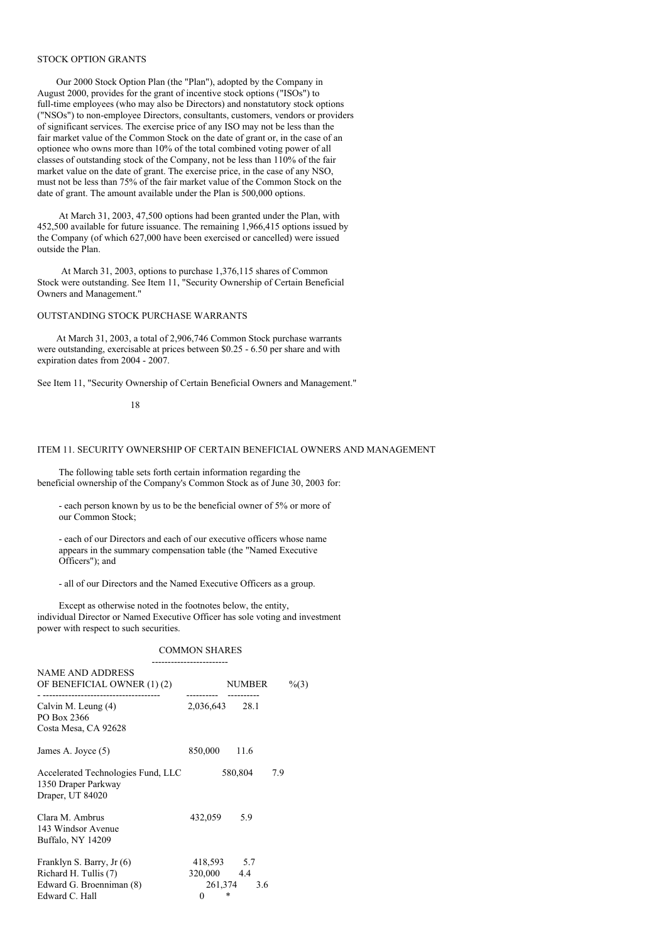#### STOCK OPTION GRANTS

Our 2000 Stock Option Plan (the "Plan"), adopted by the Company in August 2000, provides for the grant of incentive stock options ("ISOs") to full-time employees (who may also be Directors) and nonstatutory stock options ("NSOs") to non-employee Directors, consultants, customers, vendors or providers of significant services. The exercise price of any ISO may not be less than the fair market value of the Common Stock on the date of grant or, in the case of an optionee who owns more than 10% of the total combined voting power of all classes of outstanding stock of the Company, not be less than 110% of the fair market value on the date of grant. The exercise price, in the case of any NSO, must not be less than 75% of the fair market value of the Common Stock on the date of grant. The amount available under the Plan is 500,000 options.

At March 31, 2003, 47,500 options had been granted under the Plan, with 452,500 available for future issuance. The remaining 1,966,415 options issued by the Company (of which 627,000 have been exercised or cancelled) were issued outside the Plan.

At March 31, 2003, options to purchase 1,376,115 shares of Common Stock were outstanding. See Item 11, "Security Ownership of Certain Beneficial Owners and Management."

# OUTSTANDING STOCK PURCHASE WARRANTS

At March 31, 2003, a total of 2,906,746 Common Stock purchase warrants were outstanding, exercisable at prices between \$0.25 - 6.50 per share and with expiration dates from 2004 - 2007.

See Item 11, "Security Ownership of Certain Beneficial Owners and Management."

#### 18

#### ITEM 11. SECURITY OWNERSHIP OF CERTAIN BENEFICIAL OWNERS AND MANAGEMENT

The following table sets forth certain information regarding the beneficial ownership of the Company's Common Stock as of June 30, 2003 for:

- each person known by us to be the beneficial owner of 5% or more of our Common Stock;

- each of our Directors and each of our executive officers whose name appears in the summary compensation table (the "Named Executive Officers"); and

- all of our Directors and the Named Executive Officers as a group.

Except as otherwise noted in the footnotes below, the entity, individual Director or Named Executive Officer has sole voting and investment power with respect to such securities.

# COMMON SHARES

| <b>NAME AND ADDRESS</b><br>OF BENEFICIAL OWNER (1) (2)<br>------------------  |                            | <b>NUMBER</b> |     | $\frac{6}{3}$ |
|-------------------------------------------------------------------------------|----------------------------|---------------|-----|---------------|
| Calvin M. Leung (4)<br>PO Box 2366<br>Costa Mesa, CA 92628                    | 2,036,643 28.1             |               |     |               |
| James A. Joyce (5)                                                            | 850,000 11.6               |               |     |               |
| Accelerated Technologies Fund, LLC<br>1350 Draper Parkway<br>Draper, UT 84020 |                            | 580,804       | 7.9 |               |
| Clara M. Ambrus<br>143 Windsor Avenue<br>Buffalo, NY 14209                    | 432,059                    | 5.9           |     |               |
| Franklyn S. Barry, Jr (6)<br>Richard H. Tullis (7)                            | 418,593 5.7<br>320,000 4.4 |               |     |               |
| Edward G. Broenniman (8)<br>Edward C. Hall                                    | 0                          | 261,374 3.6   |     |               |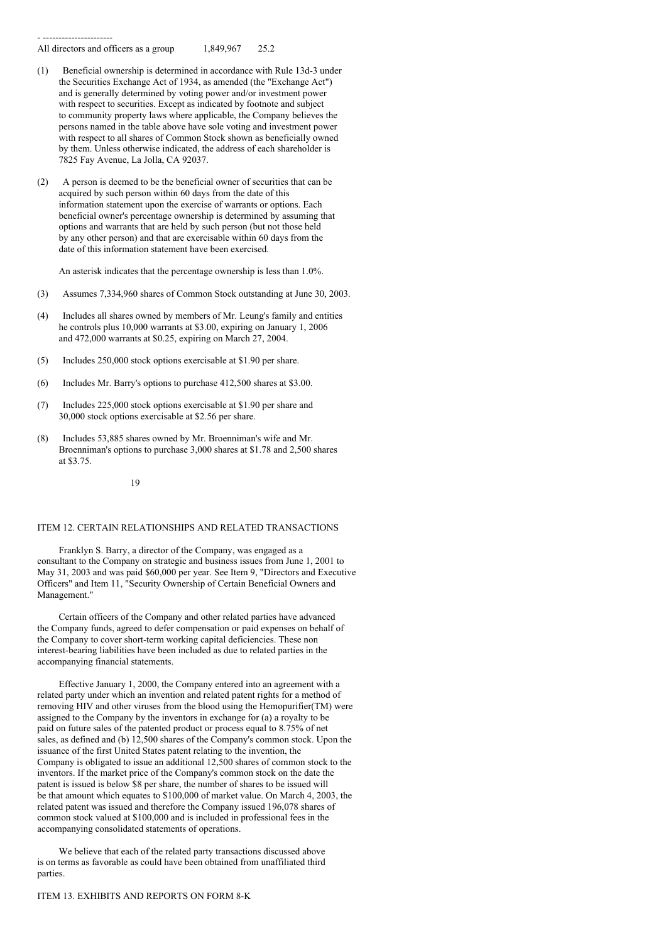- ---------------------- All directors and officers as a group 1,849,967 25.2

- (1) Beneficial ownership is determined in accordance with Rule 13d-3 under the Securities Exchange Act of 1934, as amended (the "Exchange Act") and is generally determined by voting power and/or investment power with respect to securities. Except as indicated by footnote and subject to community property laws where applicable, the Company believes the persons named in the table above have sole voting and investment power with respect to all shares of Common Stock shown as beneficially owned by them. Unless otherwise indicated, the address of each shareholder is 7825 Fay Avenue, La Jolla, CA 92037.
- (2) A person is deemed to be the beneficial owner of securities that can be acquired by such person within 60 days from the date of this information statement upon the exercise of warrants or options. Each beneficial owner's percentage ownership is determined by assuming that options and warrants that are held by such person (but not those held by any other person) and that are exercisable within 60 days from the date of this information statement have been exercised.

An asterisk indicates that the percentage ownership is less than 1.0%.

- (3) Assumes 7,334,960 shares of Common Stock outstanding at June 30, 2003.
- (4) Includes all shares owned by members of Mr. Leung's family and entities he controls plus 10,000 warrants at \$3.00, expiring on January 1, 2006 and 472,000 warrants at \$0.25, expiring on March 27, 2004.
- (5) Includes 250,000 stock options exercisable at \$1.90 per share.
- (6) Includes Mr. Barry's options to purchase 412,500 shares at \$3.00.
- (7) Includes 225,000 stock options exercisable at \$1.90 per share and 30,000 stock options exercisable at \$2.56 per share.
- (8) Includes 53,885 shares owned by Mr. Broenniman's wife and Mr. Broenniman's options to purchase 3,000 shares at \$1.78 and 2,500 shares at \$3.75.
	- 19

#### ITEM 12. CERTAIN RELATIONSHIPS AND RELATED TRANSACTIONS

Franklyn S. Barry, a director of the Company, was engaged as a consultant to the Company on strategic and business issues from June 1, 2001 to May 31, 2003 and was paid \$60,000 per year. See Item 9, "Directors and Executive Officers" and Item 11, "Security Ownership of Certain Beneficial Owners and Management."

Certain officers of the Company and other related parties have advanced the Company funds, agreed to defer compensation or paid expenses on behalf of the Company to cover short-term working capital deficiencies. These non interest-bearing liabilities have been included as due to related parties in the accompanying financial statements.

Effective January 1, 2000, the Company entered into an agreement with a related party under which an invention and related patent rights for a method of removing HIV and other viruses from the blood using the Hemopurifier(TM) were assigned to the Company by the inventors in exchange for (a) a royalty to be paid on future sales of the patented product or process equal to 8.75% of net sales, as defined and (b) 12,500 shares of the Company's common stock. Upon the issuance of the first United States patent relating to the invention, the Company is obligated to issue an additional 12,500 shares of common stock to the inventors. If the market price of the Company's common stock on the date the patent is issued is below \$8 per share, the number of shares to be issued will be that amount which equates to \$100,000 of market value. On March 4, 2003, the related patent was issued and therefore the Company issued 196,078 shares of common stock valued at \$100,000 and is included in professional fees in the accompanying consolidated statements of operations.

We believe that each of the related party transactions discussed above is on terms as favorable as could have been obtained from unaffiliated third parties.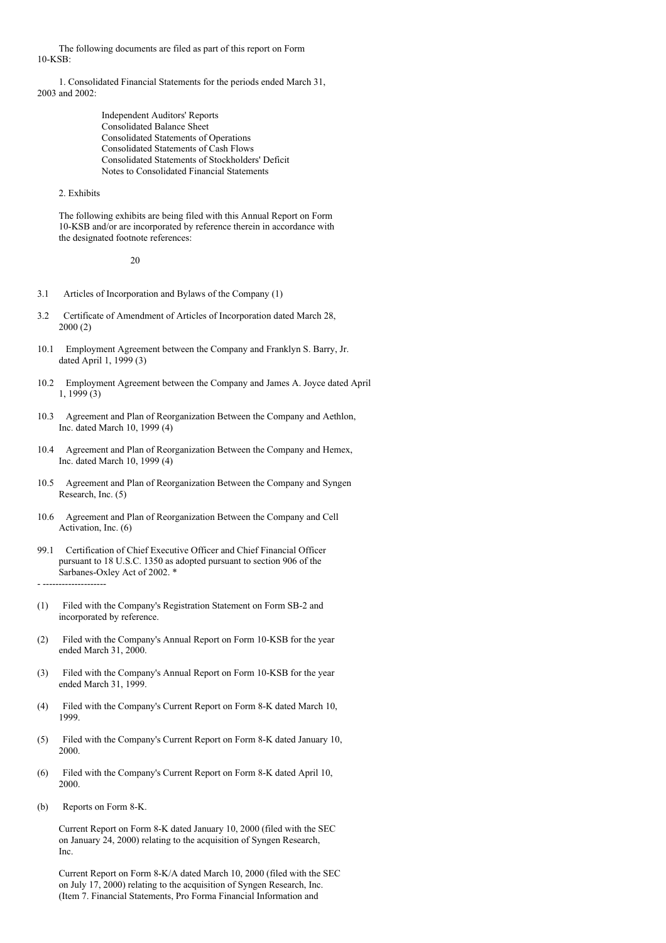The following documents are filed as part of this report on Form 10-KSB:

1. Consolidated Financial Statements for the periods ended March 31, 2003 and 2002:

> Independent Auditors' Reports Consolidated Balance Sheet Consolidated Statements of Operations Consolidated Statements of Cash Flows Consolidated Statements of Stockholders' Deficit Notes to Consolidated Financial Statements

# 2. Exhibits

The following exhibits are being filed with this Annual Report on Form 10-KSB and/or are incorporated by reference therein in accordance with the designated footnote references:

20

- 3.1 Articles of Incorporation and Bylaws of the Company (1)
- 3.2 Certificate of Amendment of Articles of Incorporation dated March 28, 2000 (2)
- 10.1 Employment Agreement between the Company and Franklyn S. Barry, Jr. dated April 1, 1999 (3)
- 10.2 Employment Agreement between the Company and James A. Joyce dated April 1, 1999 (3)
- 10.3 Agreement and Plan of Reorganization Between the Company and Aethlon, Inc. dated March 10, 1999 (4)
- 10.4 Agreement and Plan of Reorganization Between the Company and Hemex, Inc. dated March 10, 1999 (4)
- 10.5 Agreement and Plan of Reorganization Between the Company and Syngen Research, Inc. (5)
- 10.6 Agreement and Plan of Reorganization Between the Company and Cell Activation, Inc. (6)
- 99.1 Certification of Chief Executive Officer and Chief Financial Officer pursuant to 18 U.S.C. 1350 as adopted pursuant to section 906 of the Sarbanes-Oxley Act of 2002. \*

- --------------------

- (1) Filed with the Company's Registration Statement on Form SB-2 and incorporated by reference.
- (2) Filed with the Company's Annual Report on Form 10-KSB for the year ended March 31, 2000.
- (3) Filed with the Company's Annual Report on Form 10-KSB for the year ended March 31, 1999.
- (4) Filed with the Company's Current Report on Form 8-K dated March 10, 1999.
- (5) Filed with the Company's Current Report on Form 8-K dated January 10, 2000.
- (6) Filed with the Company's Current Report on Form 8-K dated April 10, 2000.
- (b) Reports on Form 8-K.

Current Report on Form 8-K dated January 10, 2000 (filed with the SEC on January 24, 2000) relating to the acquisition of Syngen Research, Inc.

Current Report on Form 8-K/A dated March 10, 2000 (filed with the SEC on July 17, 2000) relating to the acquisition of Syngen Research, Inc. (Item 7. Financial Statements, Pro Forma Financial Information and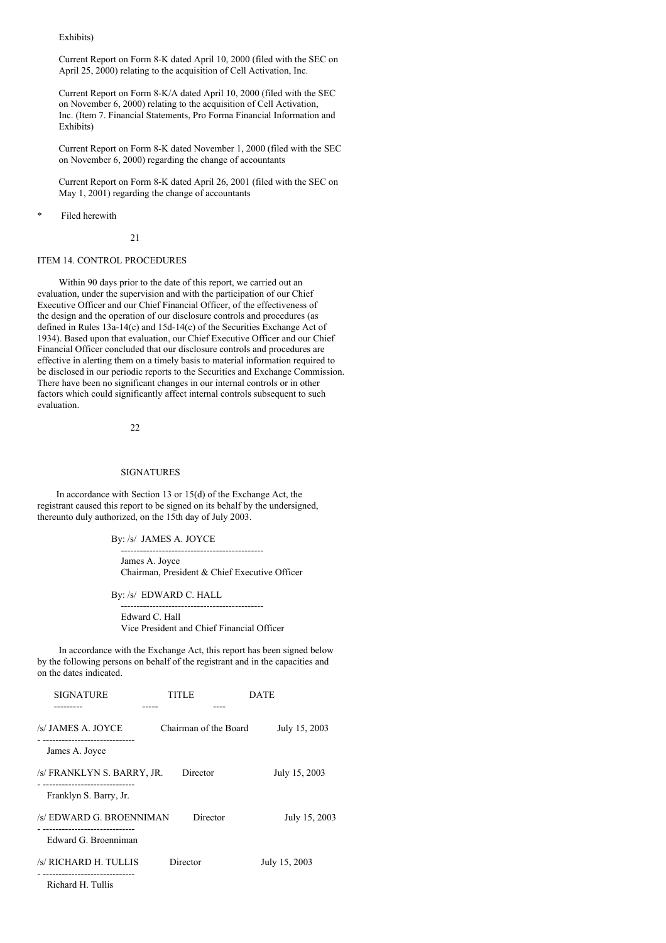Exhibits)

Current Report on Form 8-K dated April 10, 2000 (filed with the SEC on April 25, 2000) relating to the acquisition of Cell Activation, Inc.

Current Report on Form 8-K/A dated April 10, 2000 (filed with the SEC on November 6, 2000) relating to the acquisition of Cell Activation, Inc. (Item 7. Financial Statements, Pro Forma Financial Information and Exhibits)

Current Report on Form 8-K dated November 1, 2000 (filed with the SEC on November 6, 2000) regarding the change of accountants

Current Report on Form 8-K dated April 26, 2001 (filed with the SEC on May 1, 2001) regarding the change of accountants

Filed herewith

21

#### ITEM 14. CONTROL PROCEDURES

Within 90 days prior to the date of this report, we carried out an evaluation, under the supervision and with the participation of our Chief Executive Officer and our Chief Financial Officer, of the effectiveness of the design and the operation of our disclosure controls and procedures (as defined in Rules 13a-14(c) and 15d-14(c) of the Securities Exchange Act of 1934). Based upon that evaluation, our Chief Executive Officer and our Chief Financial Officer concluded that our disclosure controls and procedures are effective in alerting them on a timely basis to material information required to be disclosed in our periodic reports to the Securities and Exchange Commission. There have been no significant changes in our internal controls or in other factors which could significantly affect internal controls subsequent to such evaluation.

22

## SIGNATURES

In accordance with Section 13 or 15(d) of the Exchange Act, the registrant caused this report to be signed on its behalf by the undersigned, thereunto duly authorized, on the 15th day of July 2003.

By: /s/ JAMES A. JOYCE

--------------------------------------------- James A. Joyce Chairman, President & Chief Executive Officer

By: /s/ EDWARD C. HALL

--------------------------------------------- Edward C. Hall Vice President and Chief Financial Officer

In accordance with the Exchange Act, this report has been signed below by the following persons on behalf of the registrant and in the capacities and on the dates indicated.

| <b>SIGNATURE</b><br>--------                       | TITI E   |                       | DATE          |
|----------------------------------------------------|----------|-----------------------|---------------|
| /s/ JAMES A. JOYCE                                 |          | Chairman of the Board | July 15, 2003 |
| James A. Joyce                                     |          |                       |               |
| /s/ FRANKLYN S. BARRY, JR.                         | Director |                       | July 15, 2003 |
| Franklyn S. Barry, Jr.                             |          |                       |               |
| /s/ EDWARD G. BROENNIMAN                           |          | Director              | July 15, 2003 |
| --------------------------<br>Edward G. Broenniman |          |                       |               |
| /s/ RICHARD H. TULLIS                              | Director |                       | July 15, 2003 |
| Richard H. Tullis                                  |          |                       |               |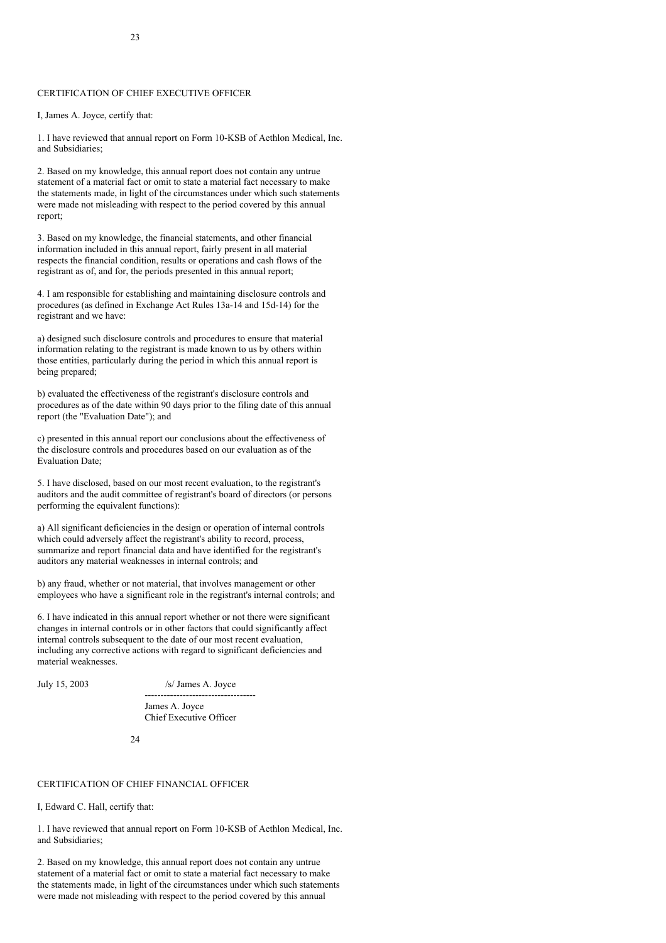# CERTIFICATION OF CHIEF EXECUTIVE OFFICER

I, James A. Joyce, certify that:

1. I have reviewed that annual report on Form 10-KSB of Aethlon Medical, Inc. and Subsidiaries;

2. Based on my knowledge, this annual report does not contain any untrue statement of a material fact or omit to state a material fact necessary to make the statements made, in light of the circumstances under which such statements were made not misleading with respect to the period covered by this annual report;

3. Based on my knowledge, the financial statements, and other financial information included in this annual report, fairly present in all material respects the financial condition, results or operations and cash flows of the registrant as of, and for, the periods presented in this annual report;

4. I am responsible for establishing and maintaining disclosure controls and procedures (as defined in Exchange Act Rules 13a-14 and 15d-14) for the registrant and we have:

a) designed such disclosure controls and procedures to ensure that material information relating to the registrant is made known to us by others within those entities, particularly during the period in which this annual report is being prepared;

b) evaluated the effectiveness of the registrant's disclosure controls and procedures as of the date within 90 days prior to the filing date of this annual report (the "Evaluation Date"); and

c) presented in this annual report our conclusions about the effectiveness of the disclosure controls and procedures based on our evaluation as of the Evaluation Date;

5. I have disclosed, based on our most recent evaluation, to the registrant's auditors and the audit committee of registrant's board of directors (or persons performing the equivalent functions):

a) All significant deficiencies in the design or operation of internal controls which could adversely affect the registrant's ability to record, process, summarize and report financial data and have identified for the registrant's auditors any material weaknesses in internal controls; and

b) any fraud, whether or not material, that involves management or other employees who have a significant role in the registrant's internal controls; and

6. I have indicated in this annual report whether or not there were significant changes in internal controls or in other factors that could significantly affect internal controls subsequent to the date of our most recent evaluation, including any corrective actions with regard to significant deficiencies and material weaknesses.

July 15, 2003 /s/ James A. Joyce

----------------------------------- James A. Joyce Chief Executive Officer

24

# CERTIFICATION OF CHIEF FINANCIAL OFFICER

I, Edward C. Hall, certify that:

1. I have reviewed that annual report on Form 10-KSB of Aethlon Medical, Inc. and Subsidiaries;

2. Based on my knowledge, this annual report does not contain any untrue statement of a material fact or omit to state a material fact necessary to make the statements made, in light of the circumstances under which such statements were made not misleading with respect to the period covered by this annual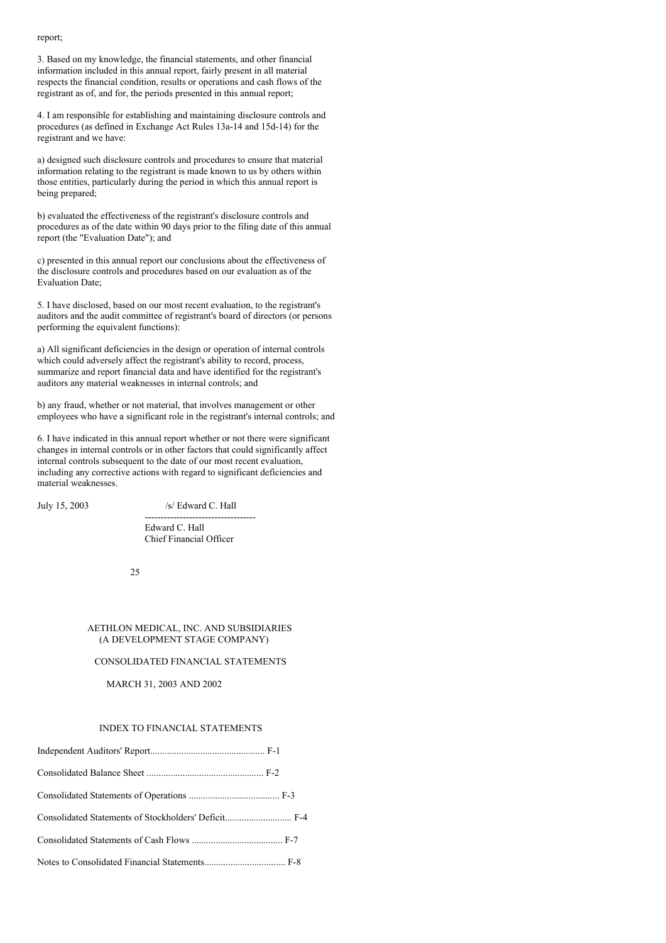#### report;

3. Based on my knowledge, the financial statements, and other financial information included in this annual report, fairly present in all material respects the financial condition, results or operations and cash flows of the registrant as of, and for, the periods presented in this annual report;

4. I am responsible for establishing and maintaining disclosure controls and procedures (as defined in Exchange Act Rules 13a-14 and 15d-14) for the registrant and we have:

a) designed such disclosure controls and procedures to ensure that material information relating to the registrant is made known to us by others within those entities, particularly during the period in which this annual report is being prepared;

b) evaluated the effectiveness of the registrant's disclosure controls and procedures as of the date within 90 days prior to the filing date of this annual report (the "Evaluation Date"); and

c) presented in this annual report our conclusions about the effectiveness of the disclosure controls and procedures based on our evaluation as of the Evaluation Date;

5. I have disclosed, based on our most recent evaluation, to the registrant's auditors and the audit committee of registrant's board of directors (or persons performing the equivalent functions):

a) All significant deficiencies in the design or operation of internal controls which could adversely affect the registrant's ability to record, process, summarize and report financial data and have identified for the registrant's auditors any material weaknesses in internal controls; and

b) any fraud, whether or not material, that involves management or other employees who have a significant role in the registrant's internal controls; and

6. I have indicated in this annual report whether or not there were significant changes in internal controls or in other factors that could significantly affect internal controls subsequent to the date of our most recent evaluation, including any corrective actions with regard to significant deficiencies and material weaknesses.

July 15, 2003 /s/ Edward C. Hall

----------------------------------- Edward C. Hall Chief Financial Officer

25

#### AETHLON MEDICAL, INC. AND SUBSIDIARIES (A DEVELOPMENT STAGE COMPANY)

#### CONSOLIDATED FINANCIAL STATEMENTS

### MARCH 31, 2003 AND 2002

# INDEX TO FINANCIAL STATEMENTS

| Consolidated Statements of Stockholders' Deficit F-4 |  |
|------------------------------------------------------|--|
|                                                      |  |
|                                                      |  |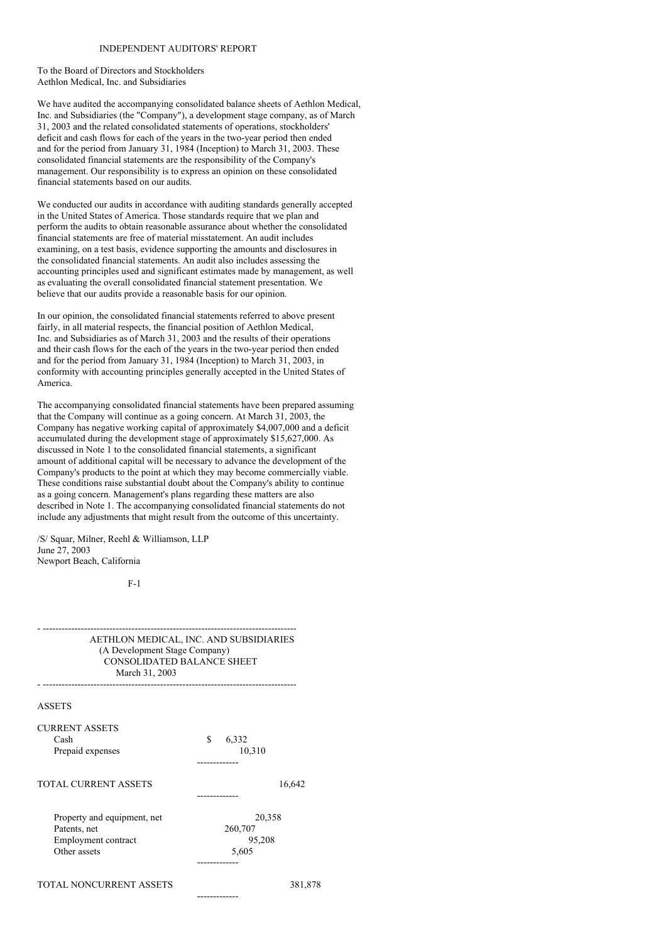# INDEPENDENT AUDITORS' REPORT

To the Board of Directors and Stockholders Aethlon Medical, Inc. and Subsidiaries

We have audited the accompanying consolidated balance sheets of Aethlon Medical, Inc. and Subsidiaries (the "Company"), a development stage company, as of March 31, 2003 and the related consolidated statements of operations, stockholders' deficit and cash flows for each of the years in the two-year period then ended and for the period from January 31, 1984 (Inception) to March 31, 2003. These consolidated financial statements are the responsibility of the Company's management. Our responsibility is to express an opinion on these consolidated financial statements based on our audits.

We conducted our audits in accordance with auditing standards generally accepted in the United States of America. Those standards require that we plan and perform the audits to obtain reasonable assurance about whether the consolidated financial statements are free of material misstatement. An audit includes examining, on a test basis, evidence supporting the amounts and disclosures in the consolidated financial statements. An audit also includes assessing the accounting principles used and significant estimates made by management, as well as evaluating the overall consolidated financial statement presentation. We believe that our audits provide a reasonable basis for our opinion.

In our opinion, the consolidated financial statements referred to above present fairly, in all material respects, the financial position of Aethlon Medical, Inc. and Subsidiaries as of March 31, 2003 and the results of their operations and their cash flows for the each of the years in the two-year period then ended and for the period from January 31, 1984 (Inception) to March 31, 2003, in conformity with accounting principles generally accepted in the United States of America.

The accompanying consolidated financial statements have been prepared assuming that the Company will continue as a going concern. At March 31, 2003, the Company has negative working capital of approximately \$4,007,000 and a deficit accumulated during the development stage of approximately \$15,627,000. As discussed in Note 1 to the consolidated financial statements, a significant amount of additional capital will be necessary to advance the development of the Company's products to the point at which they may become commercially viable. These conditions raise substantial doubt about the Company's ability to continue as a going concern. Management's plans regarding these matters are also described in Note 1. The accompanying consolidated financial statements do not include any adjustments that might result from the outcome of this uncertainty.

/S/ Squar, Milner, Reehl & Williamson, LLP June 27, 2003 Newport Beach, California

F-1

| $(A)$ Development stage company<br><b>CONSOLIDATED BALANCE SHEET</b><br>March 31, 2003 |                                          |         |
|----------------------------------------------------------------------------------------|------------------------------------------|---------|
| <b>ASSETS</b>                                                                          |                                          |         |
| <b>CURRENT ASSETS</b><br>Cash<br>Prepaid expenses                                      | \$<br>6,332<br>10,310                    |         |
| <b>TOTAL CURRENT ASSETS</b>                                                            |                                          | 16,642  |
| Property and equipment, net<br>Patents, net<br>Employment contract<br>Other assets     | 260,707<br>95,208<br>5,605<br>---------- | 20,358  |
| TOTAL NONCURRENT ASSETS                                                                | -------------                            | 381,878 |

- --------------------------------------------------------------------------------

(A Development Stage Company)

AETHLON MEDICAL, INC. AND SUBSIDIARIES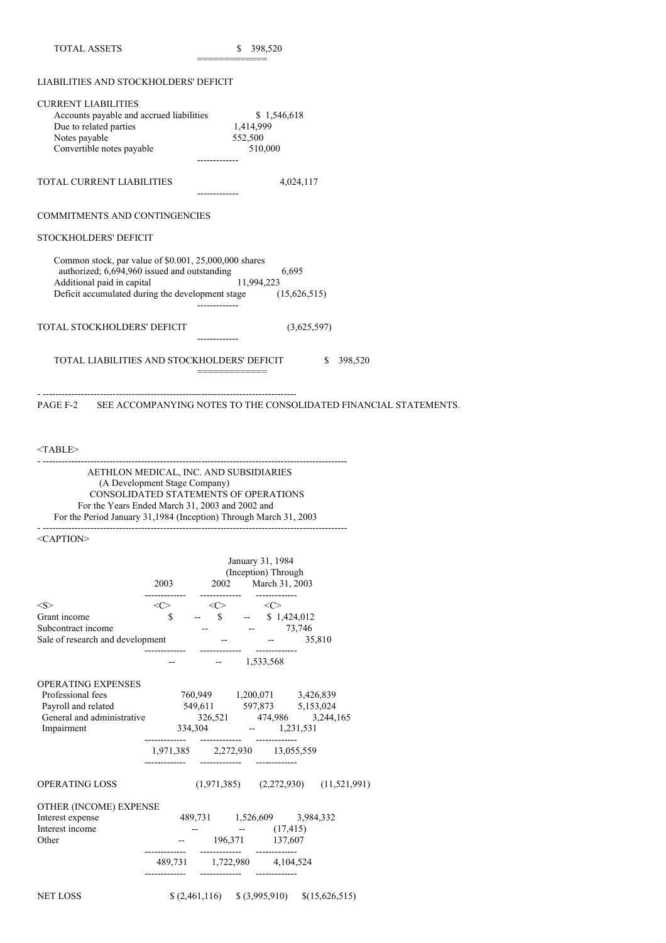| <b>TOTAL ASSETS</b>                                                                                                                                                                                  | \$ 398,520                                                                |
|------------------------------------------------------------------------------------------------------------------------------------------------------------------------------------------------------|---------------------------------------------------------------------------|
| LIABILITIES AND STOCKHOLDERS' DEFICIT                                                                                                                                                                |                                                                           |
| <b>CURRENT LIABILITIES</b><br>Accounts payable and accrued liabilities<br>Due to related parties<br>Notes payable<br>Convertible notes payable                                                       | \$1,546,618<br>1,414,999<br>552,500<br>510,000                            |
| <b>TOTAL CURRENT LIABILITIES</b>                                                                                                                                                                     | 4,024,117                                                                 |
| <b>COMMITMENTS AND CONTINGENCIES</b>                                                                                                                                                                 |                                                                           |
| STOCKHOLDERS' DEFICIT                                                                                                                                                                                |                                                                           |
| Common stock, par value of \$0.001, 25,000,000 shares<br>authorized; 6,694,960 issued and outstanding<br>Additional paid in capital<br>Deficit accumulated during the development stage (15,626,515) | 6.695<br>11,994,223                                                       |
| TOTAL STOCKHOLDERS' DEFICIT                                                                                                                                                                          | (3,625,597)                                                               |
| TOTAL LIABILITIES AND STOCKHOLDERS' DEFICIT                                                                                                                                                          | 398,520<br>\$.                                                            |
|                                                                                                                                                                                                      | PAGE F-2 SEE ACCOMPANYING NOTES TO THE CONSOLIDATED FINANCIAL STATEMENTS. |

<TABLE>

- ------------------------------------------------------------------------------------------------ AETHLON MEDICAL, INC. AND SUBSIDIARIES (A Development Stage Company) CONSOLIDATED STATEMENTS OF OPERATIONS For the Years Ended March 31, 2003 and 2002 and For the Period January 31,1984 (Inception) Through March 31, 2003 - ------------------------------------------------------------------------------------------------

<CAPTION>

|                                                                                                       |   | 2003 2002 March 31, 2003                                           | January 31, 1984<br>(Inception) Through |                                            |
|-------------------------------------------------------------------------------------------------------|---|--------------------------------------------------------------------|-----------------------------------------|--------------------------------------------|
| <s></s>                                                                                               |   | $\langle C \rangle$ $\langle C \rangle$ $\langle C \rangle$        |                                         |                                            |
| Grant income                                                                                          | S | $-$ \$ $-$ \$ 1,424,012                                            |                                         |                                            |
| Subcontract income                                                                                    |   | $   73,746$                                                        |                                         |                                            |
| Sale of research and development --                                                                   |   |                                                                    | <b>ARCHITECT</b>                        | 35,810                                     |
|                                                                                                       |   | $-1,533,568$                                                       |                                         |                                            |
| <b>OPERATING EXPENSES</b>                                                                             |   |                                                                    |                                         |                                            |
| Professional fees                                                                                     |   | 760,949 1,200,071 3,426,839                                        |                                         |                                            |
| Payroll and related 549,611 597,873 5,153,024<br>General and administrative 326,521 474,986 3,244,165 |   |                                                                    |                                         |                                            |
|                                                                                                       |   |                                                                    |                                         |                                            |
| Impairment                                                                                            |   | $334,304$ - 1,231,531                                              |                                         |                                            |
|                                                                                                       |   | 1,971,385 2,272,930 13,055,559                                     |                                         |                                            |
| <b>OPERATING LOSS</b>                                                                                 |   |                                                                    |                                         | $(1,971,385)$ $(2,272,930)$ $(11,521,991)$ |
| OTHER (INCOME) EXPENSE                                                                                |   |                                                                    |                                         |                                            |
| Interest expense                                                                                      |   | 489,731 1,526,609 3,984,332                                        |                                         |                                            |
| Interest income                                                                                       |   | $ (17,415)$                                                        |                                         |                                            |
| Other                                                                                                 |   | $-196,371$ 137,607                                                 |                                         |                                            |
|                                                                                                       |   | 489,731 1,722,980 4,104,524<br>-------------            ---------- |                                         |                                            |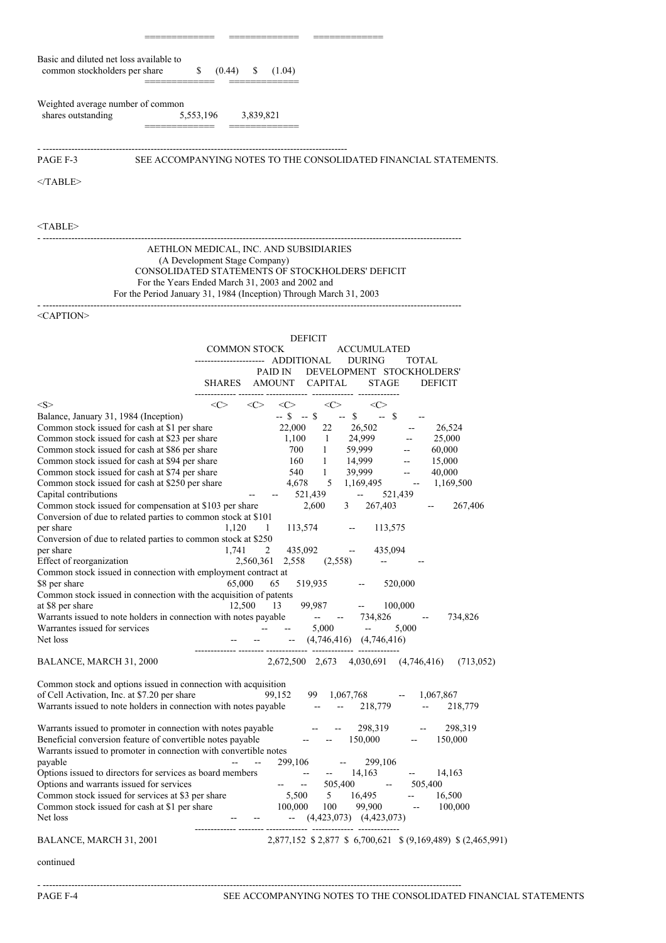| Basic and diluted net loss available to<br>common stockholders per share                                                                                                                                                                                                                                                                                                                                                                                                                                                                                                                                                                                                                                                                                                                                                                                                                                                                   | \$<br>(0.44)<br>S —<br>(1.04)                                                                                                                                                                                                                                                                                                                                                                                                                                                                                                                                                                                                                                                                                                                                                                                                                                                                                                                                                    |
|--------------------------------------------------------------------------------------------------------------------------------------------------------------------------------------------------------------------------------------------------------------------------------------------------------------------------------------------------------------------------------------------------------------------------------------------------------------------------------------------------------------------------------------------------------------------------------------------------------------------------------------------------------------------------------------------------------------------------------------------------------------------------------------------------------------------------------------------------------------------------------------------------------------------------------------------|----------------------------------------------------------------------------------------------------------------------------------------------------------------------------------------------------------------------------------------------------------------------------------------------------------------------------------------------------------------------------------------------------------------------------------------------------------------------------------------------------------------------------------------------------------------------------------------------------------------------------------------------------------------------------------------------------------------------------------------------------------------------------------------------------------------------------------------------------------------------------------------------------------------------------------------------------------------------------------|
| Weighted average number of common<br>shares outstanding                                                                                                                                                                                                                                                                                                                                                                                                                                                                                                                                                                                                                                                                                                                                                                                                                                                                                    | 5,553,196 3,839,821                                                                                                                                                                                                                                                                                                                                                                                                                                                                                                                                                                                                                                                                                                                                                                                                                                                                                                                                                              |
| PAGE F-3                                                                                                                                                                                                                                                                                                                                                                                                                                                                                                                                                                                                                                                                                                                                                                                                                                                                                                                                   | SEE ACCOMPANYING NOTES TO THE CONSOLIDATED FINANCIAL STATEMENTS.                                                                                                                                                                                                                                                                                                                                                                                                                                                                                                                                                                                                                                                                                                                                                                                                                                                                                                                 |
| $<$ TABLE>                                                                                                                                                                                                                                                                                                                                                                                                                                                                                                                                                                                                                                                                                                                                                                                                                                                                                                                                 |                                                                                                                                                                                                                                                                                                                                                                                                                                                                                                                                                                                                                                                                                                                                                                                                                                                                                                                                                                                  |
| <table></table>                                                                                                                                                                                                                                                                                                                                                                                                                                                                                                                                                                                                                                                                                                                                                                                                                                                                                                                            |                                                                                                                                                                                                                                                                                                                                                                                                                                                                                                                                                                                                                                                                                                                                                                                                                                                                                                                                                                                  |
|                                                                                                                                                                                                                                                                                                                                                                                                                                                                                                                                                                                                                                                                                                                                                                                                                                                                                                                                            | AETHLON MEDICAL, INC. AND SUBSIDIARIES<br>(A Development Stage Company)<br>CONSOLIDATED STATEMENTS OF STOCKHOLDERS' DEFICIT<br>For the Years Ended March 31, 2003 and 2002 and<br>For the Period January 31, 1984 (Inception) Through March 31, 2003                                                                                                                                                                                                                                                                                                                                                                                                                                                                                                                                                                                                                                                                                                                             |
| <caption></caption>                                                                                                                                                                                                                                                                                                                                                                                                                                                                                                                                                                                                                                                                                                                                                                                                                                                                                                                        |                                                                                                                                                                                                                                                                                                                                                                                                                                                                                                                                                                                                                                                                                                                                                                                                                                                                                                                                                                                  |
|                                                                                                                                                                                                                                                                                                                                                                                                                                                                                                                                                                                                                                                                                                                                                                                                                                                                                                                                            | <b>DEFICIT</b><br>COMMON STOCK<br><b>ACCUMULATED</b><br>DURING<br>TOTAL<br>PAID IN DEVELOPMENT STOCKHOLDERS'<br>SHARES AMOUNT CAPITAL STAGE<br><b>DEFICIT</b>                                                                                                                                                                                                                                                                                                                                                                                                                                                                                                                                                                                                                                                                                                                                                                                                                    |
|                                                                                                                                                                                                                                                                                                                                                                                                                                                                                                                                                                                                                                                                                                                                                                                                                                                                                                                                            |                                                                                                                                                                                                                                                                                                                                                                                                                                                                                                                                                                                                                                                                                                                                                                                                                                                                                                                                                                                  |
| $<\!\!S\!\!>$<br>Balance, January 31, 1984 (Inception)<br>Common stock issued for cash at \$1 per share<br>Common stock issued for cash at \$23 per share<br>Common stock issued for cash at \$86 per share<br>Common stock issued for cash at \$94 per share<br>Common stock issued for cash at \$74 per share<br>Common stock issued for cash at \$250 per share<br>Capital contributions<br>Common stock issued for compensation at \$103 per share<br>Conversion of due to related parties to common stock at \$101<br>per share<br>Conversion of due to related parties to common stock at \$250<br>per share<br>Effect of reorganization<br>Common stock issued in connection with employment contract at<br>\$8 per share<br>Common stock issued in connection with the acquisition of patents<br>at \$8 per share<br>Warrants issued to note holders in connection with notes payable<br>Warrantes issued for services<br>Net loss | $\langle C \rangle$ $\langle C \rangle$ $\langle C \rangle$<br>$\langle C \rangle$ $\langle C \rangle$<br>$-$ \$ $-$ \$ $-$ \$ $-$ \$<br>22,000<br>22 26,502<br>26,524<br>24,999<br>25,000<br>1,100<br>$\sim$ 1<br>$\frac{1}{2}$ and $\frac{1}{2}$<br>1 59,999<br>700<br>60,000<br>$\sim$ $\sim$<br>$\frac{1}{1}$ 14,999<br>160<br>15,000<br>$\sim$ $-$<br>540 1 39,999<br>40,000<br>$\frac{1}{2}$ and $\frac{1}{2}$<br>4,678<br>5 1,169,495 -<br>1,169,500<br>521,439<br>$\frac{1}{2}$ and $\frac{1}{2}$<br>521.439<br>2,600<br>267,403<br>267,406<br>3<br>1,120<br>$\mathbf{1}$<br>113,574<br>$-113,575$<br>1,741<br>2<br>435,092<br>435,094<br><b>Service State State</b><br>2,560,361 2,558<br>(2,558)<br>н.<br>65,000<br>519,935<br>65<br>520,000<br>$\sim$<br>99,987<br>12,500<br>13<br>$\frac{1}{2}$ and $\frac{1}{2}$<br>100,000<br>734,826<br>734,826<br>$\Delta\Delta\phi$ and $\Delta\phi$<br>$5,000$ -<br>$\omega_{\rm m}$<br>5,000<br>$  (4,746,416)$ $(4,746,416)$ |
| BALANCE, MARCH 31, 2000                                                                                                                                                                                                                                                                                                                                                                                                                                                                                                                                                                                                                                                                                                                                                                                                                                                                                                                    | 2,672,500 2,673 4,030,691 (4,746,416)<br>(713, 052)                                                                                                                                                                                                                                                                                                                                                                                                                                                                                                                                                                                                                                                                                                                                                                                                                                                                                                                              |
| Common stock and options issued in connection with acquisition<br>of Cell Activation, Inc. at \$7.20 per share<br>Warrants issued to note holders in connection with notes payable                                                                                                                                                                                                                                                                                                                                                                                                                                                                                                                                                                                                                                                                                                                                                         | 99,152<br>99 $1,067,768$ -- 1,067,867<br>218,779<br>$\Delta \Delta \sim 10^{-10}$<br>$\mathbf{L} = \mathbf{L} \mathbf{L}$<br>218,779                                                                                                                                                                                                                                                                                                                                                                                                                                                                                                                                                                                                                                                                                                                                                                                                                                             |
| Warrants issued to promoter in connection with notes payable<br>Beneficial conversion feature of convertible notes payable<br>Warrants issued to promoter in connection with convertible notes<br>payable<br>Options issued to directors for services as board members<br>Options and warrants issued for services<br>Common stock issued for services at \$3 per share<br>Common stock issued for cash at \$1 per share<br>Net loss                                                                                                                                                                                                                                                                                                                                                                                                                                                                                                       | المستحدث المستحدث<br>298,319<br>$-298,319$<br>$ -$ 150,000 $-$ 150,000<br>299,106<br>299,106<br>$\frac{1}{2}$ and $\frac{1}{2}$<br>$-14,163$<br>$\mathcal{L}_{\text{max}}$ and $\mathcal{L}_{\text{max}}$<br><b>Service</b> Construction<br>14,163<br>$\mathbf{L}^{\text{max}}$<br>$505,400$ --<br>505,400<br>$5 \t16,495$ --<br>5,500<br>16,500<br>100,000<br>$100,000$ $100$ $99,900$ --<br>$- (4,423,073)$ $(4,423,073)$                                                                                                                                                                                                                                                                                                                                                                                                                                                                                                                                                      |
| BALANCE, MARCH 31, 2001                                                                                                                                                                                                                                                                                                                                                                                                                                                                                                                                                                                                                                                                                                                                                                                                                                                                                                                    | 2,877,152 \$2,877 \$6,700,621 \$(9,169,489) \$(2,465,991)                                                                                                                                                                                                                                                                                                                                                                                                                                                                                                                                                                                                                                                                                                                                                                                                                                                                                                                        |
| continued                                                                                                                                                                                                                                                                                                                                                                                                                                                                                                                                                                                                                                                                                                                                                                                                                                                                                                                                  |                                                                                                                                                                                                                                                                                                                                                                                                                                                                                                                                                                                                                                                                                                                                                                                                                                                                                                                                                                                  |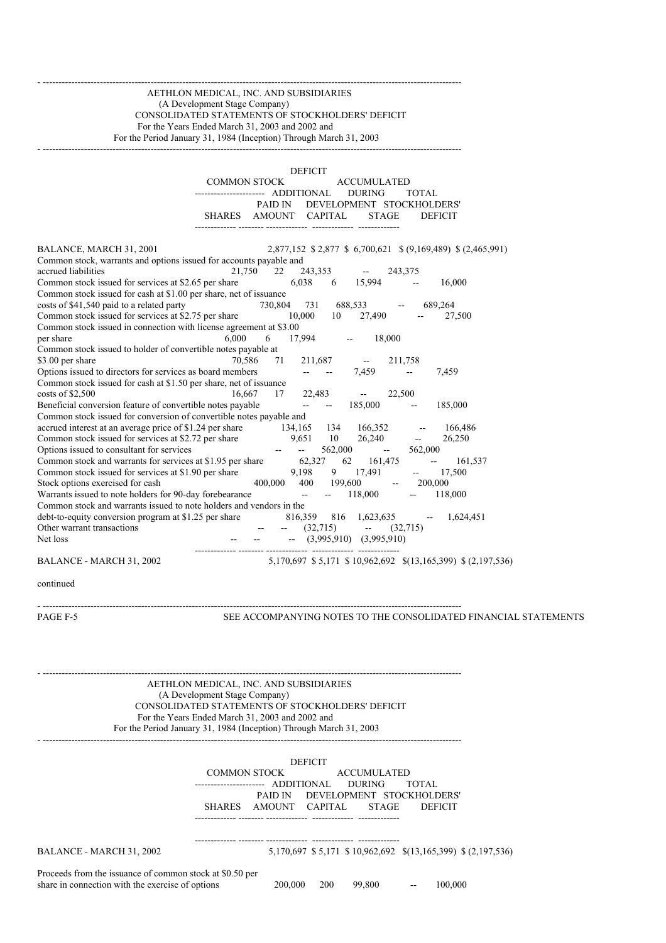#### - ------------------------------------------------------------------------------------------------------------------------------------ AETHLON MEDICAL, INC. AND SUBSIDIARIES (A Development Stage Company) CONSOLIDATED STATEMENTS OF STOCKHOLDERS' DEFICIT For the Years Ended March 31, 2003 and 2002 and For the Period January 31, 1984 (Inception) Through March 31, 2003 - ------------------------------------------------------------------------------------------------------------------------------------

DEFICIT COMMON STOCK ACCUMULATED ------------------- ADDITIONAL DURING TOTAL PAID IN DEVELOPMENT STOCKHOLDERS' SHARES AMOUNT CAPITAL STAGE DEFICIT ------------- -------- ------------- ------------- ------------- BALANCE, MARCH 31, 2001 2,877,152 \$ 2,877,152 \$ 6,700,621 \$ (9,169,489) \$ (2,465,991) Common stock, warrants and options issued for accounts payable and accrued liabilities 21,750 22 243,353 -- 243,375 Common stock issued for services at \$2.65 per share  $6,038$   $6$   $15,994$  -  $16,000$ Common stock issued for cash at \$1.00 per share, net of issuance costs of \$41,540 paid to a related party 730,804 731 688,533 -- 689,264 Common stock issued for services at \$2.75 per share 10,000 10 27,490 -- 27,500 Common stock issued in connection with license agreement at \$3.00 per share 6,000 6 17,994 -- 18,000 Common stock issued to holder of convertible notes payable at \$3.00 per share 70,586 71 211,687 -- 211,758 Options issued to directors for services as board members -- -- 7,459 -- 7,459 Common stock issued for cash at \$1.50 per share, net of issuance costs of \$2,500 16,667 17 22,483 -- 22,500 Beneficial conversion feature of convertible notes payable  $-$  - 185,000 - 185,000 Common stock issued for conversion of convertible notes payable and accrued interest at an average price of \$1.24 per share 134,165 134 166,352 -- 166,486<br>
Common stock issued for services at \$2.72 per share 9,651 10 26,240 -- 26,250 Common stock issued for services at \$2.72 per share 9,651 10 26,240 -- 26,250<br>Options issued to consultant for services -- 562,000 -- 562,000 -- 562,000 Options issued to consultant for services -- -- --Common stock and warrants for services at \$1.95 per share  $62,327$   $62$   $161,475$  --  $161,537$ Common stock issued for services at \$1.90 per share  $9,198$  9 17,491 -- 17,500<br>Stock options exercised for cash  $400,000$   $400$   $199,600$  --  $200,000$ Stock options exercised for cash 400,000 400 199,600 -- 200,000 Warrants issued to note holders for 90-day forebearance -- -- 118,000 -- 118,000 Common stock and warrants issued to note holders and vendors in the debt-to-equity conversion program at \$1.25 per share 816,359 816 1,623,635 -- 1,624,451<br>Other warrant transactions -- (32,715) -- (32,715) Other warrant transactions  $(32.715)$   $-$ Net loss -- -- (3,995,910) (3,995,910) ------------- -------- ------------- ------------- ------------- BALANCE - MARCH 31, 2002 5,170,697 \$ 5,171 \$ 10,962,692 \$(13,165,399) \$ (2,197,536)

continued

- ------------------------------------------------------------------------------------------------------------------------------------

PAGE F-5 SEE ACCOMPANYING NOTES TO THE CONSOLIDATED FINANCIAL STATEMENTS

- ------------------------------------------------------------------------------------------------------------------------------------ AETHLON MEDICAL, INC. AND SUBSIDIARIES (A Development Stage Company) CONSOLIDATED STATEMENTS OF STOCKHOLDERS' DEFICIT For the Years Ended March 31, 2003 and 2002 and For the Period January 31, 1984 (Inception) Through March 31, 2003

|                                                                                                              |                        |                | <b>DEFICIT</b> |                                                             |                          |                |  |
|--------------------------------------------------------------------------------------------------------------|------------------------|----------------|----------------|-------------------------------------------------------------|--------------------------|----------------|--|
|                                                                                                              | <b>COMMON STOCK</b>    |                |                | <b>ACCUMULATED</b>                                          |                          |                |  |
|                                                                                                              | ---------------------- | ADDITIONAL     |                | <b>DURING</b>                                               | TOTAL                    |                |  |
|                                                                                                              |                        | PAID IN        |                | DEVELOPMENT STOCKHOLDERS'                                   |                          |                |  |
|                                                                                                              | <b>SHARES</b>          | AMOUNT CAPITAL |                | <b>STAGE</b>                                                |                          | <b>DEFICIT</b> |  |
|                                                                                                              |                        |                |                |                                                             |                          |                |  |
|                                                                                                              |                        |                |                |                                                             |                          |                |  |
| BALANCE - MARCH 31, 2002                                                                                     |                        |                |                | 5,170,697 \$5,171 \$10,962,692 \$(13,165,399) \$(2,197,536) |                          |                |  |
| Proceeds from the issuance of common stock at \$0.50 per<br>share in connection with the exercise of options |                        | 200,000        | 200            | 99,800                                                      | $\overline{\phantom{m}}$ | 100,000        |  |
|                                                                                                              |                        |                |                |                                                             |                          |                |  |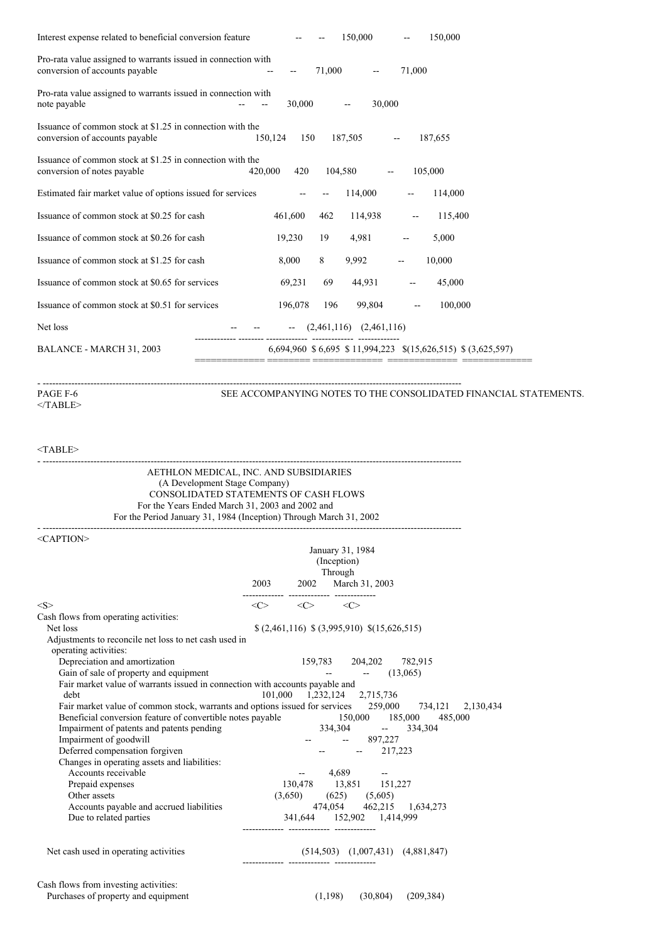| Interest expense related to beneficial conversion feature                                       |         |         |         | 150,000                     |                          | 150,000                                                     |
|-------------------------------------------------------------------------------------------------|---------|---------|---------|-----------------------------|--------------------------|-------------------------------------------------------------|
| Pro-rata value assigned to warrants issued in connection with<br>conversion of accounts payable |         |         | 71,000  |                             | 71,000                   |                                                             |
| Pro-rata value assigned to warrants issued in connection with<br>note payable                   |         | 30,000  |         | 30,000                      |                          |                                                             |
| Issuance of common stock at \$1.25 in connection with the<br>conversion of accounts payable     | 150,124 | 150     |         | 187,505                     |                          | 187,655                                                     |
| Issuance of common stock at \$1.25 in connection with the<br>conversion of notes payable        | 420,000 | 420     | 104,580 |                             | $\overline{\phantom{a}}$ | 105,000                                                     |
| Estimated fair market value of options issued for services                                      |         |         |         | 114,000                     | $\overline{\phantom{m}}$ | 114,000                                                     |
| Issuance of common stock at \$0.25 for cash                                                     |         | 461,600 | 462     | 114,938                     |                          | 115,400                                                     |
| Issuance of common stock at \$0.26 for cash                                                     |         | 19,230  | 19      | 4,981                       |                          | 5,000                                                       |
| Issuance of common stock at \$1.25 for cash                                                     |         | 8,000   | 8       | 9,992                       |                          | 10,000                                                      |
| Issuance of common stock at \$0.65 for services                                                 |         | 69,231  | 69      | 44,931                      | $\overline{\phantom{a}}$ | 45,000                                                      |
| Issuance of common stock at \$0.51 for services                                                 |         | 196,078 | 196     | 99,804                      | $\overline{\phantom{a}}$ | 100,000                                                     |
| Net loss                                                                                        |         |         |         | $(2,461,116)$ $(2,461,116)$ |                          |                                                             |
| BALANCE - MARCH 31, 2003                                                                        |         |         |         |                             |                          | 6,694,960 \$6,695 \$11,994,223 \$(15,626,515) \$(3,625,597) |

 $\triangleleft$ TABLE $>$ 

- ------------------------------------------------------------------------------------------------------------------------------------ SEE ACCOMPANYING NOTES TO THE CONSOLIDATED FINANCIAL STATEMENTS.

# <TABLE>

| AETHLON MEDICAL, INC. AND SUBSIDIARIES<br>(A Development Stage Company)<br>CONSOLIDATED STATEMENTS OF CASH FLOWS<br>For the Years Ended March 31, 2003 and 2002 and<br>For the Period January 31, 1984 (Inception) Through March 31, 2002 |                                                             |                                            |            |                                         |  |
|-------------------------------------------------------------------------------------------------------------------------------------------------------------------------------------------------------------------------------------------|-------------------------------------------------------------|--------------------------------------------|------------|-----------------------------------------|--|
| $\le$ CAPTION $>$                                                                                                                                                                                                                         | 2003 2002 March 31, 2003                                    | January 31, 1984<br>(Inception)<br>Through |            |                                         |  |
| < S >                                                                                                                                                                                                                                     | $\langle C \rangle$ $\langle C \rangle$ $\langle C \rangle$ |                                            |            |                                         |  |
| Cash flows from operating activities:                                                                                                                                                                                                     |                                                             |                                            |            |                                         |  |
| Net loss                                                                                                                                                                                                                                  | $(2,461,116)$ $(3,995,910)$ $(15,626,515)$                  |                                            |            |                                         |  |
| Adjustments to reconcile net loss to net cash used in                                                                                                                                                                                     |                                                             |                                            |            |                                         |  |
| operating activities:                                                                                                                                                                                                                     |                                                             |                                            |            |                                         |  |
| Depreciation and amortization                                                                                                                                                                                                             |                                                             |                                            |            | 159,783 204,202 782,915                 |  |
| Gain of sale of property and equipment                                                                                                                                                                                                    |                                                             |                                            |            | $  (13,065)$                            |  |
| Fair market value of warrants issued in connection with accounts payable and                                                                                                                                                              |                                                             |                                            |            |                                         |  |
| debt                                                                                                                                                                                                                                      | 101,000 1,232,124 2,715,736                                 |                                            |            |                                         |  |
| Fair market value of common stock, warrants and options issued for services 259,000 734,121 2,130,434                                                                                                                                     |                                                             |                                            |            |                                         |  |
| Beneficial conversion feature of convertible notes payable 150,000 185,000 485,000                                                                                                                                                        |                                                             |                                            |            |                                         |  |
| Impairment of patents and patents pending                                                                                                                                                                                                 |                                                             |                                            |            | 334,304 -- 334,304                      |  |
| Impairment of goodwill                                                                                                                                                                                                                    |                                                             |                                            | $-897,227$ |                                         |  |
| Deferred compensation forgiven                                                                                                                                                                                                            |                                                             |                                            |            | $-217,223$                              |  |
| Changes in operating assets and liabilities:<br>Accounts receivable                                                                                                                                                                       | $-4,689$                                                    |                                            |            |                                         |  |
| Prepaid expenses                                                                                                                                                                                                                          | 130,478 13,851 151,227                                      |                                            |            |                                         |  |
| Other assets                                                                                                                                                                                                                              | $(3,650)$ $(625)$ $(5,605)$                                 |                                            |            |                                         |  |
| Accounts payable and accrued liabilities                                                                                                                                                                                                  |                                                             |                                            |            | 474,054 462,215 1,634,273               |  |
| Due to related parties                                                                                                                                                                                                                    | 341,644 152,902 1,414,999                                   |                                            |            |                                         |  |
| Net cash used in operating activities                                                                                                                                                                                                     |                                                             |                                            |            | $(514,503)$ $(1,007,431)$ $(4,881,847)$ |  |
| Cash flows from investing activities:                                                                                                                                                                                                     |                                                             |                                            |            |                                         |  |
| Purchases of property and equipment                                                                                                                                                                                                       |                                                             |                                            |            | $(1,198)$ $(30,804)$ $(209,384)$        |  |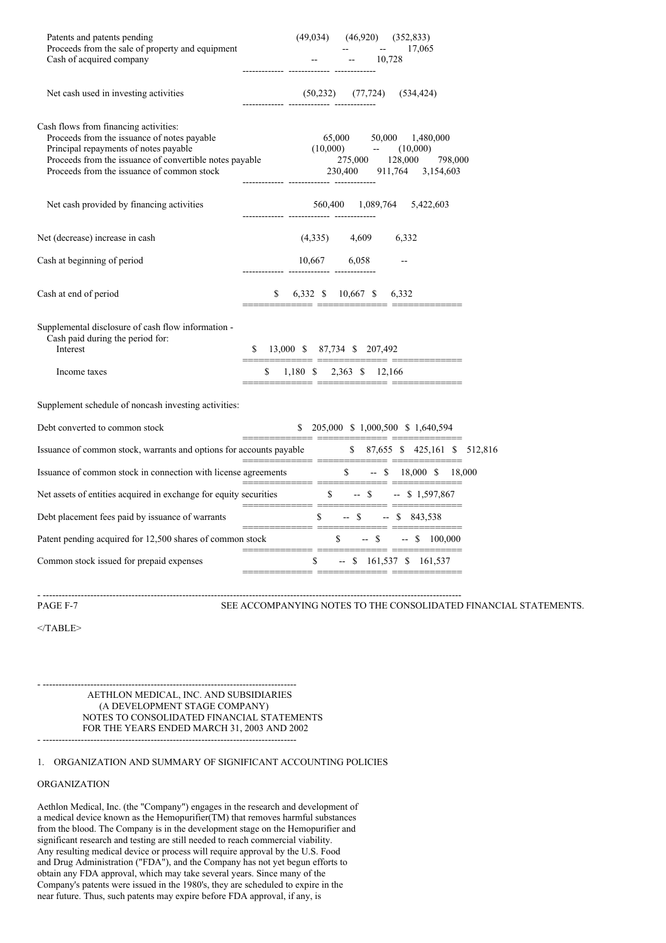| Patents and patents pending<br>Proceeds from the sale of property and equipment                                                                                                                                                        | (49, 034)      | (46,920)                           | (352, 833)<br>17,065                             |                                   |  |
|----------------------------------------------------------------------------------------------------------------------------------------------------------------------------------------------------------------------------------------|----------------|------------------------------------|--------------------------------------------------|-----------------------------------|--|
| Cash of acquired company                                                                                                                                                                                                               |                |                                    | 10,728                                           |                                   |  |
| Net cash used in investing activities                                                                                                                                                                                                  |                | $(50,232)$ $(77,724)$              | (534, 424)                                       |                                   |  |
| Cash flows from financing activities:<br>Proceeds from the issuance of notes payable<br>Principal repayments of notes payable<br>Proceeds from the issuance of convertible notes payable<br>Proceeds from the issuance of common stock |                | 65,000<br>$(10,000)$ --<br>230,400 | 50,000<br>(10,000)<br>275,000 128,000<br>911,764 | 1,480,000<br>798,000<br>3,154,603 |  |
| Net cash provided by financing activities                                                                                                                                                                                              |                |                                    | 560,400 1,089,764 5,422,603                      |                                   |  |
| Net (decrease) increase in cash                                                                                                                                                                                                        |                | $(4,335)$ $4,609$                  | 6,332                                            |                                   |  |
| Cash at beginning of period                                                                                                                                                                                                            |                | 10,667 6,058                       |                                                  |                                   |  |
| Cash at end of period                                                                                                                                                                                                                  | \$             | 6,332 \$ 10,667 \$                 | 6,332                                            |                                   |  |
| Supplemental disclosure of cash flow information -<br>Cash paid during the period for:<br>Interest                                                                                                                                     | \$             | 13,000 \$ 87,734 \$ 207,492        |                                                  |                                   |  |
| Income taxes                                                                                                                                                                                                                           | \$             | 1,180 \$ 2,363 \$ 12,166           |                                                  |                                   |  |
| Supplement schedule of noncash investing activities:                                                                                                                                                                                   |                |                                    |                                                  |                                   |  |
| Debt converted to common stock                                                                                                                                                                                                         |                |                                    | \$ 205,000 \$ 1,000,500 \$ 1,640,594             |                                   |  |
| Issuance of common stock, warrants and options for accounts payable                                                                                                                                                                    |                |                                    | \$ 87,655 \$ 425,161 \$ 512,816                  |                                   |  |
| Issuance of common stock in connection with license agreements $\frac{\$}{\$}$ -- $\$$ 18,000 =                                                                                                                                        |                |                                    | $$ - $ 18,000 $ 18,000$                          |                                   |  |
| Net assets of entities acquired in exchange for equity securities                                                                                                                                                                      | ______________ | $\mathbb{S}$                       | $-$ \$<br>$-$ \$ 1,597,867                       |                                   |  |
| Debt placement fees paid by issuance of warrants                                                                                                                                                                                       |                | $-$ \$<br>\$                       | $-$ \$ 843,538                                   |                                   |  |
| Patent pending acquired for 12,500 shares of common stock                                                                                                                                                                              |                | $\mathbb{S}$                       | -- \$                                            | $- $100,000$                      |  |
| Common stock issued for prepaid expenses                                                                                                                                                                                               |                | \$                                 | $-$ \$ 161,537 \$ 161,537                        |                                   |  |
|                                                                                                                                                                                                                                        |                |                                    |                                                  |                                   |  |

- ------------------------------------------------------------------------------------------------------------------------------------ PAGE F-7 SEE ACCOMPANYING NOTES TO THE CONSOLIDATED FINANCIAL STATEMENTS.

 $<$ /TABLE>

- -------------------------------------------------------------------------------- AETHLON MEDICAL, INC. AND SUBSIDIARIES (A DEVELOPMENT STAGE COMPANY) NOTES TO CONSOLIDATED FINANCIAL STATEMENTS FOR THE YEARS ENDED MARCH 31, 2003 AND 2002

- --------------------------------------------------------------------------------

## 1. ORGANIZATION AND SUMMARY OF SIGNIFICANT ACCOUNTING POLICIES

# ORGANIZATION

Aethlon Medical, Inc. (the "Company") engages in the research and development of a medical device known as the Hemopurifier(TM) that removes harmful substances from the blood. The Company is in the development stage on the Hemopurifier and significant research and testing are still needed to reach commercial viability. Any resulting medical device or process will require approval by the U.S. Food and Drug Administration ("FDA"), and the Company has not yet begun efforts to obtain any FDA approval, which may take several years. Since many of the Company's patents were issued in the 1980's, they are scheduled to expire in the near future. Thus, such patents may expire before FDA approval, if any, is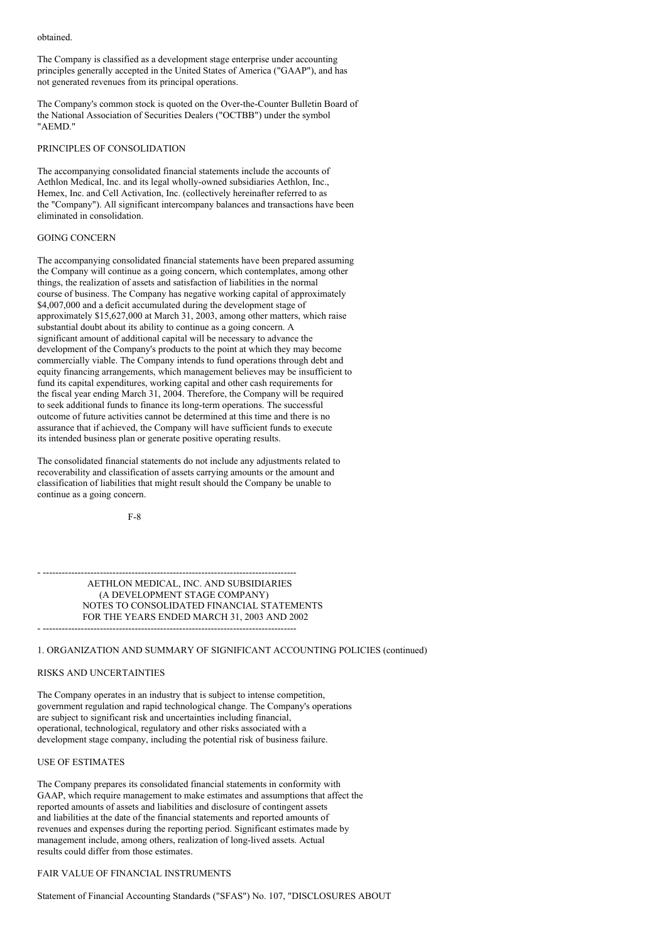obtained.

The Company is classified as a development stage enterprise under accounting principles generally accepted in the United States of America ("GAAP"), and has not generated revenues from its principal operations.

The Company's common stock is quoted on the Over-the-Counter Bulletin Board of the National Association of Securities Dealers ("OCTBB") under the symbol "AEMD."

#### PRINCIPLES OF CONSOLIDATION

The accompanying consolidated financial statements include the accounts of Aethlon Medical, Inc. and its legal wholly-owned subsidiaries Aethlon, Inc., Hemex, Inc. and Cell Activation, Inc. (collectively hereinafter referred to as the "Company"). All significant intercompany balances and transactions have been eliminated in consolidation.

# GOING CONCERN

The accompanying consolidated financial statements have been prepared assuming the Company will continue as a going concern, which contemplates, among other things, the realization of assets and satisfaction of liabilities in the normal course of business. The Company has negative working capital of approximately \$4,007,000 and a deficit accumulated during the development stage of approximately \$15,627,000 at March 31, 2003, among other matters, which raise substantial doubt about its ability to continue as a going concern. A significant amount of additional capital will be necessary to advance the development of the Company's products to the point at which they may become commercially viable. The Company intends to fund operations through debt and equity financing arrangements, which management believes may be insufficient to fund its capital expenditures, working capital and other cash requirements for the fiscal year ending March 31, 2004. Therefore, the Company will be required to seek additional funds to finance its long-term operations. The successful outcome of future activities cannot be determined at this time and there is no assurance that if achieved, the Company will have sufficient funds to execute its intended business plan or generate positive operating results.

The consolidated financial statements do not include any adjustments related to recoverability and classification of assets carrying amounts or the amount and classification of liabilities that might result should the Company be unable to continue as a going concern.

F-8

- -------------------------------------------------------------------------------- AETHLON MEDICAL, INC. AND SUBSIDIARIES (A DEVELOPMENT STAGE COMPANY) NOTES TO CONSOLIDATED FINANCIAL STATEMENTS FOR THE YEARS ENDED MARCH 31, 2003 AND 2002 - --------------------------------------------------------------------------------

#### 1. ORGANIZATION AND SUMMARY OF SIGNIFICANT ACCOUNTING POLICIES (continued)

#### RISKS AND UNCERTAINTIES

The Company operates in an industry that is subject to intense competition, government regulation and rapid technological change. The Company's operations are subject to significant risk and uncertainties including financial, operational, technological, regulatory and other risks associated with a development stage company, including the potential risk of business failure.

## USE OF ESTIMATES

The Company prepares its consolidated financial statements in conformity with GAAP, which require management to make estimates and assumptions that affect the reported amounts of assets and liabilities and disclosure of contingent assets and liabilities at the date of the financial statements and reported amounts of revenues and expenses during the reporting period. Significant estimates made by management include, among others, realization of long-lived assets. Actual results could differ from those estimates.

### FAIR VALUE OF FINANCIAL INSTRUMENTS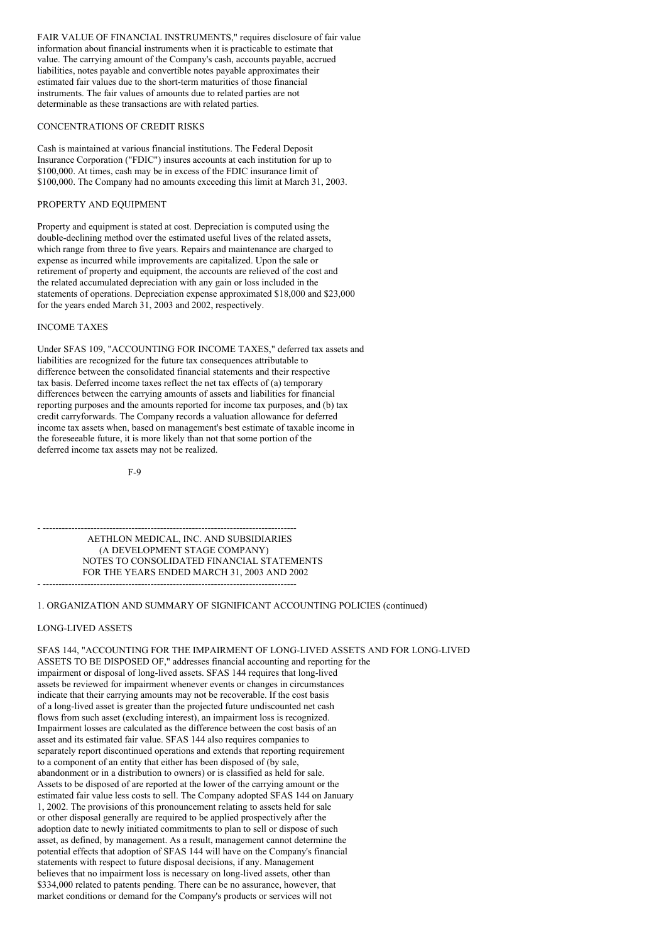FAIR VALUE OF FINANCIAL INSTRUMENTS," requires disclosure of fair value information about financial instruments when it is practicable to estimate that value. The carrying amount of the Company's cash, accounts payable, accrued liabilities, notes payable and convertible notes payable approximates their estimated fair values due to the short-term maturities of those financial instruments. The fair values of amounts due to related parties are not determinable as these transactions are with related parties.

#### CONCENTRATIONS OF CREDIT RISKS

Cash is maintained at various financial institutions. The Federal Deposit Insurance Corporation ("FDIC") insures accounts at each institution for up to \$100,000. At times, cash may be in excess of the FDIC insurance limit of \$100,000. The Company had no amounts exceeding this limit at March 31, 2003.

## PROPERTY AND EQUIPMENT

Property and equipment is stated at cost. Depreciation is computed using the double-declining method over the estimated useful lives of the related assets, which range from three to five years. Repairs and maintenance are charged to expense as incurred while improvements are capitalized. Upon the sale or retirement of property and equipment, the accounts are relieved of the cost and the related accumulated depreciation with any gain or loss included in the statements of operations. Depreciation expense approximated \$18,000 and \$23,000 for the years ended March 31, 2003 and 2002, respectively.

# INCOME TAXES

Under SFAS 109, "ACCOUNTING FOR INCOME TAXES," deferred tax assets and liabilities are recognized for the future tax consequences attributable to difference between the consolidated financial statements and their respective tax basis. Deferred income taxes reflect the net tax effects of (a) temporary differences between the carrying amounts of assets and liabilities for financial reporting purposes and the amounts reported for income tax purposes, and (b) tax credit carryforwards. The Company records a valuation allowance for deferred income tax assets when, based on management's best estimate of taxable income in the foreseeable future, it is more likely than not that some portion of the deferred income tax assets may not be realized.

F-9

- -------------------------------------------------------------------------------- AETHLON MEDICAL, INC. AND SUBSIDIARIES (A DEVELOPMENT STAGE COMPANY) NOTES TO CONSOLIDATED FINANCIAL STATEMENTS FOR THE YEARS ENDED MARCH 31, 2003 AND 2002 - --------------------------------------------------------------------------------

# 1. ORGANIZATION AND SUMMARY OF SIGNIFICANT ACCOUNTING POLICIES (continued)

#### LONG-LIVED ASSETS

SFAS 144, "ACCOUNTING FOR THE IMPAIRMENT OF LONG-LIVED ASSETS AND FOR LONG-LIVED ASSETS TO BE DISPOSED OF," addresses financial accounting and reporting for the impairment or disposal of long-lived assets. SFAS 144 requires that long-lived assets be reviewed for impairment whenever events or changes in circumstances indicate that their carrying amounts may not be recoverable. If the cost basis of a long-lived asset is greater than the projected future undiscounted net cash flows from such asset (excluding interest), an impairment loss is recognized. Impairment losses are calculated as the difference between the cost basis of an asset and its estimated fair value. SFAS 144 also requires companies to separately report discontinued operations and extends that reporting requirement to a component of an entity that either has been disposed of (by sale, abandonment or in a distribution to owners) or is classified as held for sale. Assets to be disposed of are reported at the lower of the carrying amount or the estimated fair value less costs to sell. The Company adopted SFAS 144 on January 1, 2002. The provisions of this pronouncement relating to assets held for sale or other disposal generally are required to be applied prospectively after the adoption date to newly initiated commitments to plan to sell or dispose of such asset, as defined, by management. As a result, management cannot determine the potential effects that adoption of SFAS 144 will have on the Company's financial statements with respect to future disposal decisions, if any. Management believes that no impairment loss is necessary on long-lived assets, other than \$334,000 related to patents pending. There can be no assurance, however, that market conditions or demand for the Company's products or services will not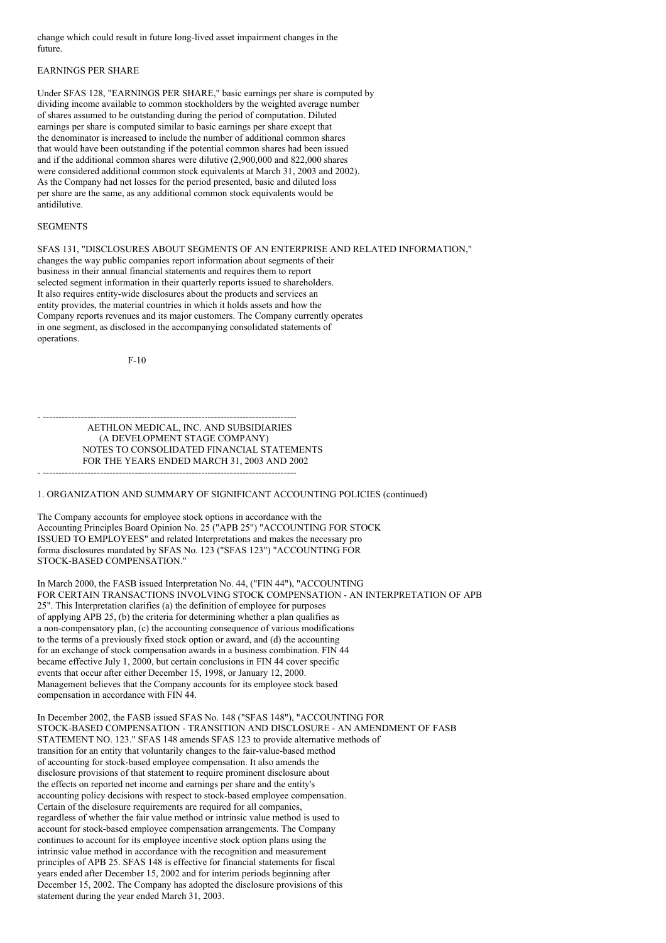change which could result in future long-lived asset impairment changes in the future.

# EARNINGS PER SHARE

Under SFAS 128, "EARNINGS PER SHARE," basic earnings per share is computed by dividing income available to common stockholders by the weighted average number of shares assumed to be outstanding during the period of computation. Diluted earnings per share is computed similar to basic earnings per share except that the denominator is increased to include the number of additional common shares that would have been outstanding if the potential common shares had been issued and if the additional common shares were dilutive (2,900,000 and 822,000 shares were considered additional common stock equivalents at March 31, 2003 and 2002). As the Company had net losses for the period presented, basic and diluted loss per share are the same, as any additional common stock equivalents would be antidilutive.

## **SEGMENTS**

SFAS 131, "DISCLOSURES ABOUT SEGMENTS OF AN ENTERPRISE AND RELATED INFORMATION," changes the way public companies report information about segments of their business in their annual financial statements and requires them to report selected segment information in their quarterly reports issued to shareholders. It also requires entity-wide disclosures about the products and services an entity provides, the material countries in which it holds assets and how the Company reports revenues and its major customers. The Company currently operates in one segment, as disclosed in the accompanying consolidated statements of operations.

F-10

- -------------------------------------------------------------------------------- AETHLON MEDICAL, INC. AND SUBSIDIARIES (A DEVELOPMENT STAGE COMPANY) NOTES TO CONSOLIDATED FINANCIAL STATEMENTS FOR THE YEARS ENDED MARCH 31, 2003 AND 2002 - --------------------------------------------------------------------------------

1. ORGANIZATION AND SUMMARY OF SIGNIFICANT ACCOUNTING POLICIES (continued)

The Company accounts for employee stock options in accordance with the Accounting Principles Board Opinion No. 25 ("APB 25") "ACCOUNTING FOR STOCK ISSUED TO EMPLOYEES" and related Interpretations and makes the necessary pro forma disclosures mandated by SFAS No. 123 ("SFAS 123") "ACCOUNTING FOR STOCK-BASED COMPENSATION."

In March 2000, the FASB issued Interpretation No. 44, ("FIN 44"), "ACCOUNTING FOR CERTAIN TRANSACTIONS INVOLVING STOCK COMPENSATION - AN INTERPRETATION OF APB 25". This Interpretation clarifies (a) the definition of employee for purposes of applying APB 25, (b) the criteria for determining whether a plan qualifies as a non-compensatory plan, (c) the accounting consequence of various modifications to the terms of a previously fixed stock option or award, and (d) the accounting for an exchange of stock compensation awards in a business combination. FIN 44 became effective July 1, 2000, but certain conclusions in FIN 44 cover specific events that occur after either December 15, 1998, or January 12, 2000. Management believes that the Company accounts for its employee stock based compensation in accordance with FIN 44.

In December 2002, the FASB issued SFAS No. 148 ("SFAS 148"), "ACCOUNTING FOR STOCK-BASED COMPENSATION - TRANSITION AND DISCLOSURE - AN AMENDMENT OF FASB STATEMENT NO. 123." SFAS 148 amends SFAS 123 to provide alternative methods of transition for an entity that voluntarily changes to the fair-value-based method of accounting for stock-based employee compensation. It also amends the disclosure provisions of that statement to require prominent disclosure about the effects on reported net income and earnings per share and the entity's accounting policy decisions with respect to stock-based employee compensation. Certain of the disclosure requirements are required for all companies, regardless of whether the fair value method or intrinsic value method is used to account for stock-based employee compensation arrangements. The Company continues to account for its employee incentive stock option plans using the intrinsic value method in accordance with the recognition and measurement principles of APB 25. SFAS 148 is effective for financial statements for fiscal years ended after December 15, 2002 and for interim periods beginning after December 15, 2002. The Company has adopted the disclosure provisions of this statement during the year ended March 31, 2003.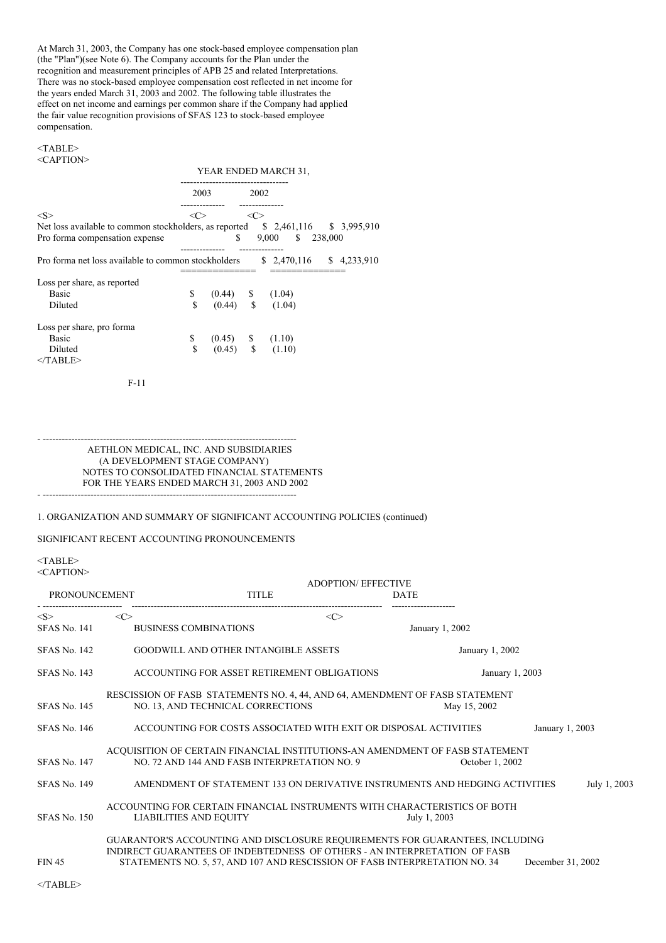At March 31, 2003, the Company has one stock-based employee compensation plan (the "Plan")(see Note 6). The Company accounts for the Plan under the recognition and measurement principles of APB 25 and related Interpretations. There was no stock-based employee compensation cost reflected in net income for the years ended March 31, 2003 and 2002. The following table illustrates the effect on net income and earnings per common share if the Company had applied the fair value recognition provisions of SFAS 123 to stock-based employee compensation.

## <TABLE> <CAPTION>

YEAR ENDED MARCH 31,

|                                                                                | 2003         |                                              | 2002         |                  |                           |
|--------------------------------------------------------------------------------|--------------|----------------------------------------------|--------------|------------------|---------------------------|
| < S >                                                                          | <<>          |                                              | <<           |                  |                           |
| Net loss available to common stockholders, as reported \$2,461,116 \$3,995,910 |              |                                              |              |                  |                           |
| Pro forma compensation expense                                                 |              |                                              | $\mathbf{s}$ | 9,000 \$ 238,000 |                           |
|                                                                                |              |                                              |              |                  |                           |
| Pro forma net loss available to common stockholders                            |              |                                              |              |                  | $$2,470,116$ $$4,233,910$ |
|                                                                                |              |                                              |              |                  |                           |
| Loss per share, as reported                                                    |              |                                              |              |                  |                           |
| <b>Basic</b>                                                                   | $\mathbb{S}$ |                                              |              |                  |                           |
| Diluted                                                                        | \$           | $(0.44)$ \$ $(1.04)$<br>$(0.44)$ \$ $(1.04)$ |              |                  |                           |
| Loss per share, pro forma                                                      |              |                                              |              |                  |                           |
| <b>Basic</b>                                                                   | \$           |                                              |              |                  |                           |
| Diluted<br>$\langle$ TABLE>                                                    | $\mathbf S$  | $(0.45)$ \$ $(1.10)$<br>$(0.45)$ \$ $(1.10)$ |              |                  |                           |
|                                                                                |              |                                              |              |                  |                           |

F-11

- -------------------------------------------------------------------------------- AETHLON MEDICAL, INC. AND SUBSIDIARIES (A DEVELOPMENT STAGE COMPANY) NOTES TO CONSOLIDATED FINANCIAL STATEMENTS FOR THE YEARS ENDED MARCH 31, 2003 AND 2002 - --------------------------------------------------------------------------------

# 1. ORGANIZATION AND SUMMARY OF SIGNIFICANT ACCOUNTING POLICIES (continued)

# SIGNIFICANT RECENT ACCOUNTING PRONOUNCEMENTS

# <TABLE>

<CAPTION>

|                     |                     |                                                                              | ADOPTION/ EFFECTIVE |                   |  |
|---------------------|---------------------|------------------------------------------------------------------------------|---------------------|-------------------|--|
| PRONOUNCEMENT       |                     | <b>TITLE</b>                                                                 | <b>DATE</b>         |                   |  |
| < S >               | $\langle C \rangle$ | $\langle C \rangle$                                                          |                     |                   |  |
| <b>SFAS No. 141</b> |                     | <b>BUSINESS COMBINATIONS</b>                                                 | January 1, 2002     |                   |  |
| <b>SFAS No. 142</b> |                     | <b>GOODWILL AND OTHER INTANGIBLE ASSETS</b>                                  |                     | January 1, 2002   |  |
| <b>SFAS No. 143</b> |                     | ACCOUNTING FOR ASSET RETIREMENT OBLIGATIONS                                  |                     | January 1, 2003   |  |
|                     |                     | RESCISSION OF FASB STATEMENTS NO. 4, 44, AND 64, AMENDMENT OF FASB STATEMENT |                     |                   |  |
| <b>SFAS No. 145</b> |                     | NO. 13, AND TECHNICAL CORRECTIONS                                            | May 15, 2002        |                   |  |
| <b>SFAS No. 146</b> |                     | ACCOUNTING FOR COSTS ASSOCIATED WITH EXIT OR DISPOSAL ACTIVITIES             |                     | January 1, 2003   |  |
|                     |                     | ACQUISITION OF CERTAIN FINANCIAL INSTITUTIONS-AN AMENDMENT OF FASB STATEMENT |                     |                   |  |
| <b>SFAS No. 147</b> |                     | NO. 72 AND 144 AND FASB INTERPRETATION NO. 9                                 |                     | October 1, 2002   |  |
| <b>SFAS No. 149</b> |                     | AMENDMENT OF STATEMENT 133 ON DERIVATIVE INSTRUMENTS AND HEDGING ACTIVITIES  |                     | July 1, 2003      |  |
|                     |                     | ACCOUNTING FOR CERTAIN FINANCIAL INSTRUMENTS WITH CHARACTERISTICS OF BOTH    |                     |                   |  |
| <b>SFAS No. 150</b> |                     | LIABILITIES AND EQUITY                                                       | July 1, 2003        |                   |  |
|                     |                     | GUARANTOR'S ACCOUNTING AND DISCLOSURE REQUIREMENTS FOR GUARANTEES, INCLUDING |                     |                   |  |
|                     |                     | INDIRECT GUARANTEES OF INDEBTEDNESS OF OTHERS - AN INTERPRETATION OF FASB    |                     |                   |  |
| <b>FIN 45</b>       |                     | STATEMENTS NO. 5, 57, AND 107 AND RESCISSION OF FASB INTERPRETATION NO. 34   |                     | December 31, 2002 |  |
| $<$ TABLE>          |                     |                                                                              |                     |                   |  |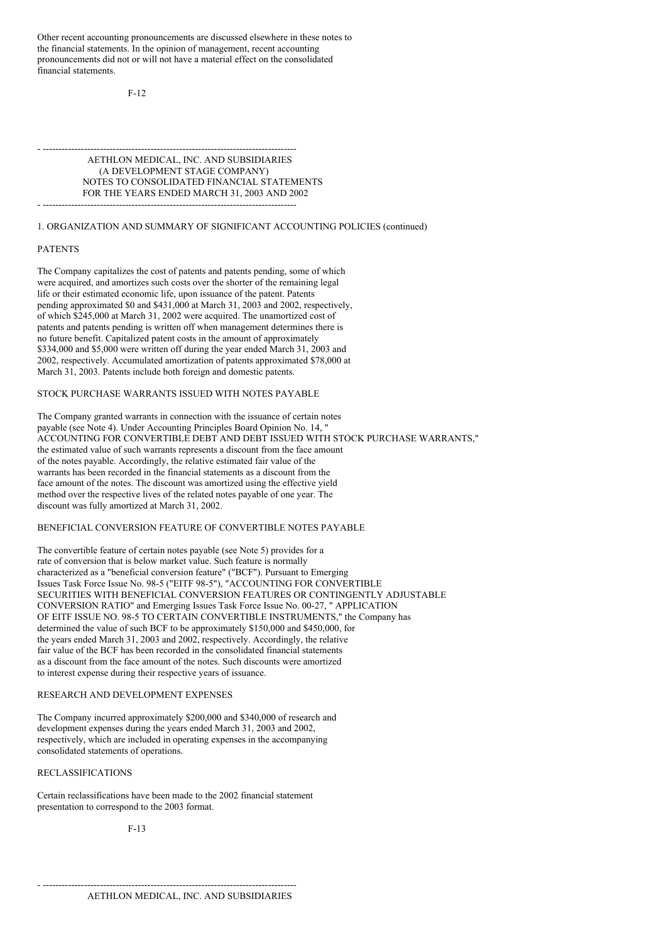Other recent accounting pronouncements are discussed elsewhere in these notes to the financial statements. In the opinion of management, recent accounting pronouncements did not or will not have a material effect on the consolidated financial statements.

F-12

- -------------------------------------------------------------------------------- AETHLON MEDICAL, INC. AND SUBSIDIARIES (A DEVELOPMENT STAGE COMPANY) NOTES TO CONSOLIDATED FINANCIAL STATEMENTS FOR THE YEARS ENDED MARCH 31, 2003 AND 2002 - --------------------------------------------------------------------------------

## 1. ORGANIZATION AND SUMMARY OF SIGNIFICANT ACCOUNTING POLICIES (continued)

#### PATENTS

The Company capitalizes the cost of patents and patents pending, some of which were acquired, and amortizes such costs over the shorter of the remaining legal life or their estimated economic life, upon issuance of the patent. Patents pending approximated \$0 and \$431,000 at March 31, 2003 and 2002, respectively, of which \$245,000 at March 31, 2002 were acquired. The unamortized cost of patents and patents pending is written off when management determines there is no future benefit. Capitalized patent costs in the amount of approximately \$334,000 and \$5,000 were written off during the year ended March 31, 2003 and 2002, respectively. Accumulated amortization of patents approximated \$78,000 at March 31, 2003. Patents include both foreign and domestic patents.

# STOCK PURCHASE WARRANTS ISSUED WITH NOTES PAYABLE

The Company granted warrants in connection with the issuance of certain notes payable (see Note 4). Under Accounting Principles Board Opinion No. 14, " ACCOUNTING FOR CONVERTIBLE DEBT AND DEBT ISSUED WITH STOCK PURCHASE WARRANTS," the estimated value of such warrants represents a discount from the face amount of the notes payable. Accordingly, the relative estimated fair value of the warrants has been recorded in the financial statements as a discount from the face amount of the notes. The discount was amortized using the effective yield method over the respective lives of the related notes payable of one year. The discount was fully amortized at March 31, 2002.

#### BENEFICIAL CONVERSION FEATURE OF CONVERTIBLE NOTES PAYABLE

The convertible feature of certain notes payable (see Note 5) provides for a rate of conversion that is below market value. Such feature is normally characterized as a "beneficial conversion feature" ("BCF"). Pursuant to Emerging Issues Task Force Issue No. 98-5 ("EITF 98-5"), "ACCOUNTING FOR CONVERTIBLE SECURITIES WITH BENEFICIAL CONVERSION FEATURES OR CONTINGENTLY ADJUSTABLE CONVERSION RATIO" and Emerging Issues Task Force Issue No. 00-27, " APPLICATION OF EITF ISSUE NO. 98-5 TO CERTAIN CONVERTIBLE INSTRUMENTS," the Company has determined the value of such BCF to be approximately \$150,000 and \$450,000, for the years ended March 31, 2003 and 2002, respectively. Accordingly, the relative fair value of the BCF has been recorded in the consolidated financial statements as a discount from the face amount of the notes. Such discounts were amortized to interest expense during their respective years of issuance.

## RESEARCH AND DEVELOPMENT EXPENSES

The Company incurred approximately \$200,000 and \$340,000 of research and development expenses during the years ended March 31, 2003 and 2002, respectively, which are included in operating expenses in the accompanying consolidated statements of operations.

### RECLASSIFICATIONS

Certain reclassifications have been made to the 2002 financial statement presentation to correspond to the 2003 format.

- --------------------------------------------------------------------------------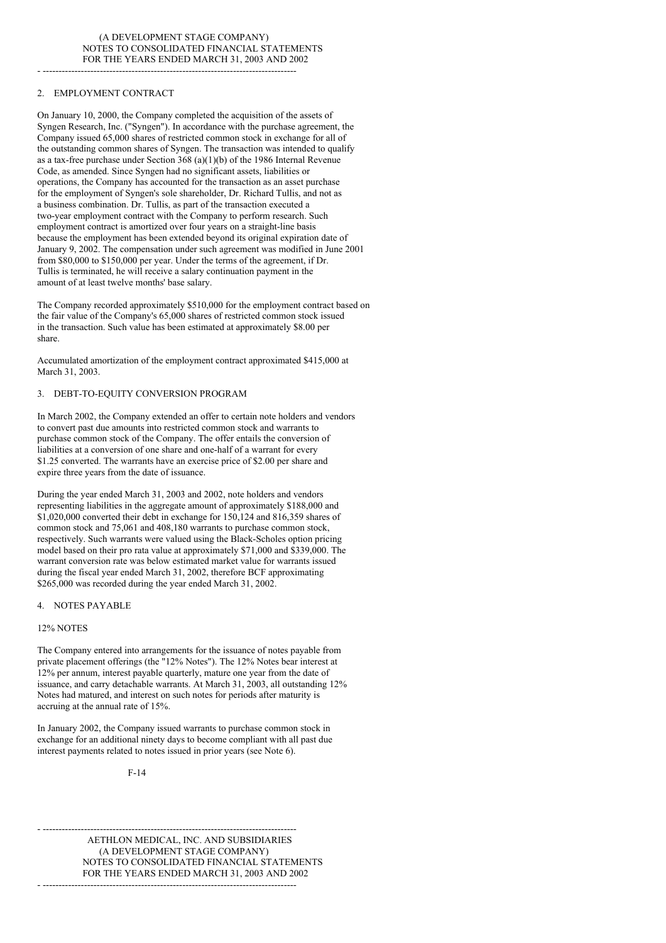- --------------------------------------------------------------------------------

# 2. EMPLOYMENT CONTRACT

On January 10, 2000, the Company completed the acquisition of the assets of Syngen Research, Inc. ("Syngen"). In accordance with the purchase agreement, the Company issued 65,000 shares of restricted common stock in exchange for all of the outstanding common shares of Syngen. The transaction was intended to qualify as a tax-free purchase under Section 368 (a)(1)(b) of the 1986 Internal Revenue Code, as amended. Since Syngen had no significant assets, liabilities or operations, the Company has accounted for the transaction as an asset purchase for the employment of Syngen's sole shareholder, Dr. Richard Tullis, and not as a business combination. Dr. Tullis, as part of the transaction executed a two-year employment contract with the Company to perform research. Such employment contract is amortized over four years on a straight-line basis because the employment has been extended beyond its original expiration date of January 9, 2002. The compensation under such agreement was modified in June 2001 from \$80,000 to \$150,000 per year. Under the terms of the agreement, if Dr. Tullis is terminated, he will receive a salary continuation payment in the amount of at least twelve months' base salary.

The Company recorded approximately \$510,000 for the employment contract based on the fair value of the Company's 65,000 shares of restricted common stock issued in the transaction. Such value has been estimated at approximately \$8.00 per share.

Accumulated amortization of the employment contract approximated \$415,000 at March 31, 2003.

# 3. DEBT-TO-EQUITY CONVERSION PROGRAM

In March 2002, the Company extended an offer to certain note holders and vendors to convert past due amounts into restricted common stock and warrants to purchase common stock of the Company. The offer entails the conversion of liabilities at a conversion of one share and one-half of a warrant for every \$1.25 converted. The warrants have an exercise price of \$2.00 per share and expire three years from the date of issuance.

During the year ended March 31, 2003 and 2002, note holders and vendors representing liabilities in the aggregate amount of approximately \$188,000 and \$1,020,000 converted their debt in exchange for 150,124 and 816,359 shares of common stock and 75,061 and 408,180 warrants to purchase common stock, respectively. Such warrants were valued using the Black-Scholes option pricing model based on their pro rata value at approximately \$71,000 and \$339,000. The warrant conversion rate was below estimated market value for warrants issued during the fiscal year ended March 31, 2002, therefore BCF approximating \$265,000 was recorded during the year ended March 31, 2002.

#### 4. NOTES PAYABLE

#### 12% NOTES

The Company entered into arrangements for the issuance of notes payable from private placement offerings (the "12% Notes"). The 12% Notes bear interest at 12% per annum, interest payable quarterly, mature one year from the date of issuance, and carry detachable warrants. At March 31, 2003, all outstanding 12% Notes had matured, and interest on such notes for periods after maturity is accruing at the annual rate of 15%.

In January 2002, the Company issued warrants to purchase common stock in exchange for an additional ninety days to become compliant with all past due interest payments related to notes issued in prior years (see Note 6).

F-14

- -------------------------------------------------------------------------------- AETHLON MEDICAL, INC. AND SUBSIDIARIES (A DEVELOPMENT STAGE COMPANY) NOTES TO CONSOLIDATED FINANCIAL STATEMENTS FOR THE YEARS ENDED MARCH 31, 2003 AND 2002 - --------------------------------------------------------------------------------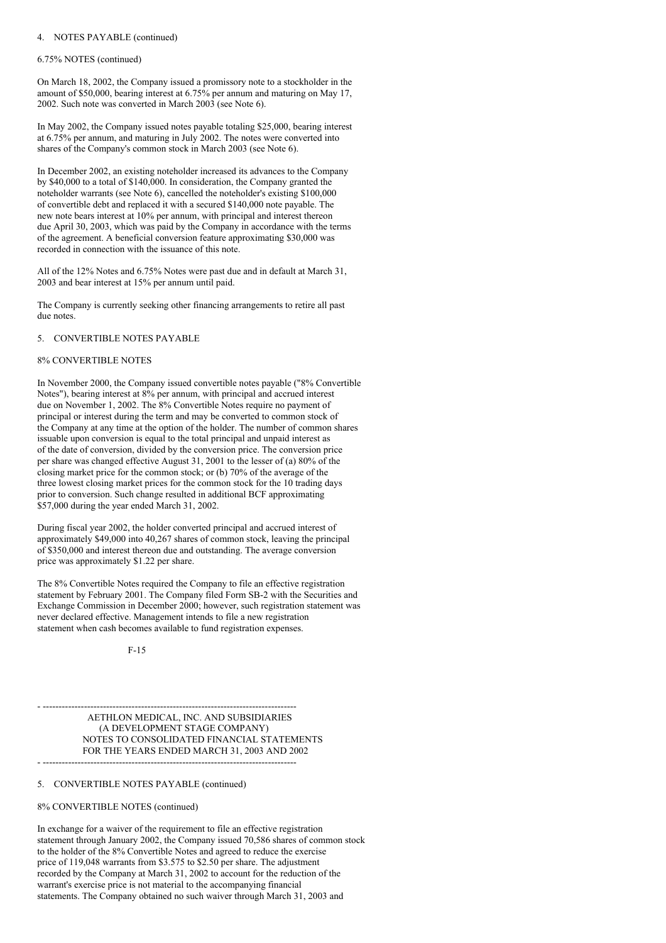#### 4. NOTES PAYABLE (continued)

#### 6.75% NOTES (continued)

On March 18, 2002, the Company issued a promissory note to a stockholder in the amount of \$50,000, bearing interest at 6.75% per annum and maturing on May 17, 2002. Such note was converted in March 2003 (see Note 6).

In May 2002, the Company issued notes payable totaling \$25,000, bearing interest at 6.75% per annum, and maturing in July 2002. The notes were converted into shares of the Company's common stock in March 2003 (see Note 6).

In December 2002, an existing noteholder increased its advances to the Company by \$40,000 to a total of \$140,000. In consideration, the Company granted the noteholder warrants (see Note 6), cancelled the noteholder's existing \$100,000 of convertible debt and replaced it with a secured \$140,000 note payable. The new note bears interest at 10% per annum, with principal and interest thereon due April 30, 2003, which was paid by the Company in accordance with the terms of the agreement. A beneficial conversion feature approximating \$30,000 was recorded in connection with the issuance of this note.

All of the 12% Notes and 6.75% Notes were past due and in default at March 31, 2003 and bear interest at 15% per annum until paid.

The Company is currently seeking other financing arrangements to retire all past due notes.

#### 5. CONVERTIBLE NOTES PAYABLE

## 8% CONVERTIBLE NOTES

In November 2000, the Company issued convertible notes payable ("8% Convertible Notes"), bearing interest at 8% per annum, with principal and accrued interest due on November 1, 2002. The 8% Convertible Notes require no payment of principal or interest during the term and may be converted to common stock of the Company at any time at the option of the holder. The number of common shares issuable upon conversion is equal to the total principal and unpaid interest as of the date of conversion, divided by the conversion price. The conversion price per share was changed effective August 31, 2001 to the lesser of (a) 80% of the closing market price for the common stock; or (b) 70% of the average of the three lowest closing market prices for the common stock for the 10 trading days prior to conversion. Such change resulted in additional BCF approximating \$57,000 during the year ended March 31, 2002.

During fiscal year 2002, the holder converted principal and accrued interest of approximately \$49,000 into 40,267 shares of common stock, leaving the principal of \$350,000 and interest thereon due and outstanding. The average conversion price was approximately \$1.22 per share.

The 8% Convertible Notes required the Company to file an effective registration statement by February 2001. The Company filed Form SB-2 with the Securities and Exchange Commission in December 2000; however, such registration statement was never declared effective. Management intends to file a new registration statement when cash becomes available to fund registration expenses.

F-15

- -------------------------------------------------------------------------------- AETHLON MEDICAL, INC. AND SUBSIDIARIES (A DEVELOPMENT STAGE COMPANY) NOTES TO CONSOLIDATED FINANCIAL STATEMENTS FOR THE YEARS ENDED MARCH 31, 2003 AND 2002 - --------------------------------------------------------------------------------

#### 5. CONVERTIBLE NOTES PAYABLE (continued)

#### 8% CONVERTIBLE NOTES (continued)

In exchange for a waiver of the requirement to file an effective registration statement through January 2002, the Company issued 70,586 shares of common stock to the holder of the 8% Convertible Notes and agreed to reduce the exercise price of 119,048 warrants from \$3.575 to \$2.50 per share. The adjustment recorded by the Company at March 31, 2002 to account for the reduction of the warrant's exercise price is not material to the accompanying financial statements. The Company obtained no such waiver through March 31, 2003 and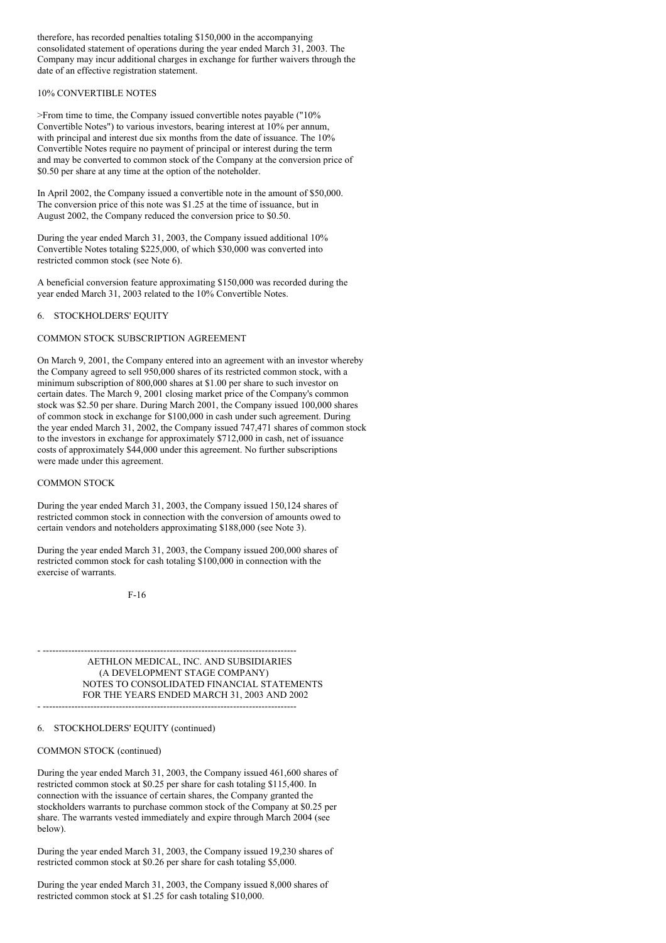therefore, has recorded penalties totaling \$150,000 in the accompanying consolidated statement of operations during the year ended March 31, 2003. The Company may incur additional charges in exchange for further waivers through the date of an effective registration statement.

### 10% CONVERTIBLE NOTES

>From time to time, the Company issued convertible notes payable ("10% Convertible Notes") to various investors, bearing interest at 10% per annum, with principal and interest due six months from the date of issuance. The 10% Convertible Notes require no payment of principal or interest during the term and may be converted to common stock of the Company at the conversion price of \$0.50 per share at any time at the option of the noteholder.

In April 2002, the Company issued a convertible note in the amount of \$50,000. The conversion price of this note was \$1.25 at the time of issuance, but in August 2002, the Company reduced the conversion price to \$0.50.

During the year ended March 31, 2003, the Company issued additional 10% Convertible Notes totaling \$225,000, of which \$30,000 was converted into restricted common stock (see Note 6).

A beneficial conversion feature approximating \$150,000 was recorded during the year ended March 31, 2003 related to the 10% Convertible Notes.

## 6. STOCKHOLDERS' EQUITY

#### COMMON STOCK SUBSCRIPTION AGREEMENT

On March 9, 2001, the Company entered into an agreement with an investor whereby the Company agreed to sell 950,000 shares of its restricted common stock, with a minimum subscription of 800,000 shares at \$1.00 per share to such investor on certain dates. The March 9, 2001 closing market price of the Company's common stock was \$2.50 per share. During March 2001, the Company issued 100,000 shares of common stock in exchange for \$100,000 in cash under such agreement. During the year ended March 31, 2002, the Company issued 747,471 shares of common stock to the investors in exchange for approximately \$712,000 in cash, net of issuance costs of approximately \$44,000 under this agreement. No further subscriptions were made under this agreement.

#### COMMON STOCK

During the year ended March 31, 2003, the Company issued 150,124 shares of restricted common stock in connection with the conversion of amounts owed to certain vendors and noteholders approximating \$188,000 (see Note 3).

During the year ended March 31, 2003, the Company issued 200,000 shares of restricted common stock for cash totaling \$100,000 in connection with the exercise of warrants.

F-16

- -------------------------------------------------------------------------------- AETHLON MEDICAL, INC. AND SUBSIDIARIES (A DEVELOPMENT STAGE COMPANY) NOTES TO CONSOLIDATED FINANCIAL STATEMENTS FOR THE YEARS ENDED MARCH 31, 2003 AND 2002

### 6. STOCKHOLDERS' EQUITY (continued)

#### COMMON STOCK (continued)

During the year ended March 31, 2003, the Company issued 461,600 shares of restricted common stock at \$0.25 per share for cash totaling \$115,400. In connection with the issuance of certain shares, the Company granted the stockholders warrants to purchase common stock of the Company at \$0.25 per share. The warrants vested immediately and expire through March 2004 (see below).

During the year ended March 31, 2003, the Company issued 19,230 shares of restricted common stock at \$0.26 per share for cash totaling \$5,000.

During the year ended March 31, 2003, the Company issued 8,000 shares of restricted common stock at \$1.25 for cash totaling \$10,000.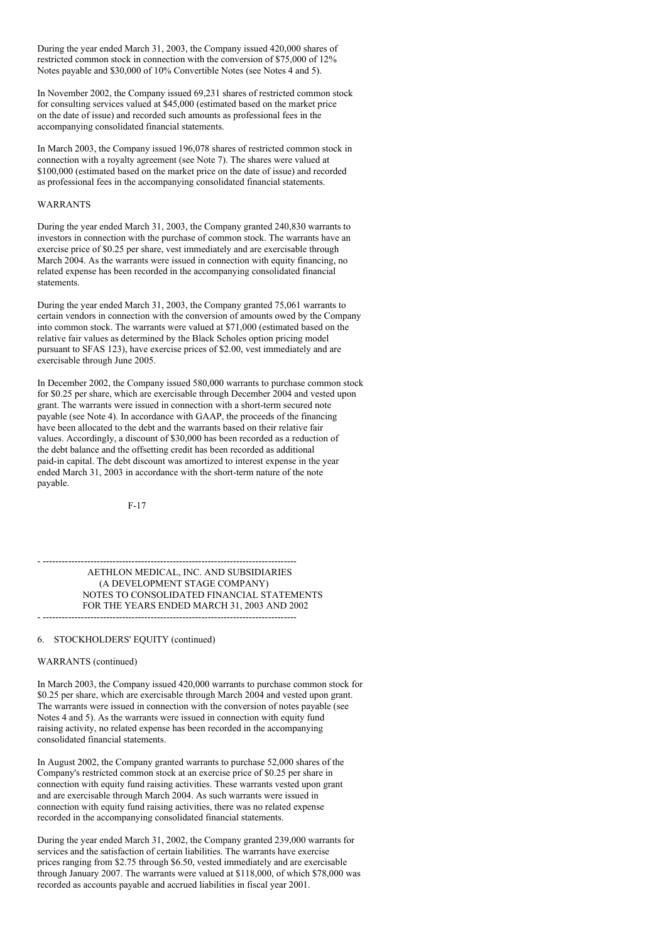During the year ended March 31, 2003, the Company issued 420,000 shares of restricted common stock in connection with the conversion of \$75,000 of 12% Notes payable and \$30,000 of 10% Convertible Notes (see Notes 4 and 5).

In November 2002, the Company issued 69,231 shares of restricted common stock for consulting services valued at \$45,000 (estimated based on the market price on the date of issue) and recorded such amounts as professional fees in the accompanying consolidated financial statements.

In March 2003, the Company issued 196,078 shares of restricted common stock in connection with a royalty agreement (see Note 7). The shares were valued at \$100,000 (estimated based on the market price on the date of issue) and recorded as professional fees in the accompanying consolidated financial statements.

## WARRANTS

During the year ended March 31, 2003, the Company granted 240,830 warrants to investors in connection with the purchase of common stock. The warrants have an exercise price of \$0.25 per share, vest immediately and are exercisable through March 2004. As the warrants were issued in connection with equity financing, no related expense has been recorded in the accompanying consolidated financial statements.

During the year ended March 31, 2003, the Company granted 75,061 warrants to certain vendors in connection with the conversion of amounts owed by the Company into common stock. The warrants were valued at \$71,000 (estimated based on the relative fair values as determined by the Black Scholes option pricing model pursuant to SFAS 123), have exercise prices of \$2.00, vest immediately and are exercisable through June 2005.

In December 2002, the Company issued 580,000 warrants to purchase common stock for \$0.25 per share, which are exercisable through December 2004 and vested upon grant. The warrants were issued in connection with a short-term secured note payable (see Note 4). In accordance with GAAP, the proceeds of the financing have been allocated to the debt and the warrants based on their relative fair values. Accordingly, a discount of \$30,000 has been recorded as a reduction of the debt balance and the offsetting credit has been recorded as additional paid-in capital. The debt discount was amortized to interest expense in the year ended March 31, 2003 in accordance with the short-term nature of the note payable.

F-17

- -------------------------------------------------------------------------------- AETHLON MEDICAL, INC. AND SUBSIDIARIES (A DEVELOPMENT STAGE COMPANY) NOTES TO CONSOLIDATED FINANCIAL STATEMENTS FOR THE YEARS ENDED MARCH 31, 2003 AND 2002 - --------------------------------------------------------------------------------

# 6. STOCKHOLDERS' EQUITY (continued)

#### WARRANTS (continued)

In March 2003, the Company issued 420,000 warrants to purchase common stock for \$0.25 per share, which are exercisable through March 2004 and vested upon grant. The warrants were issued in connection with the conversion of notes payable (see Notes 4 and 5). As the warrants were issued in connection with equity fund raising activity, no related expense has been recorded in the accompanying consolidated financial statements.

In August 2002, the Company granted warrants to purchase 52,000 shares of the Company's restricted common stock at an exercise price of \$0.25 per share in connection with equity fund raising activities. These warrants vested upon grant and are exercisable through March 2004. As such warrants were issued in connection with equity fund raising activities, there was no related expense recorded in the accompanying consolidated financial statements.

During the year ended March 31, 2002, the Company granted 239,000 warrants for services and the satisfaction of certain liabilities. The warrants have exercise prices ranging from \$2.75 through \$6.50, vested immediately and are exercisable through January 2007. The warrants were valued at \$118,000, of which \$78,000 was recorded as accounts payable and accrued liabilities in fiscal year 2001.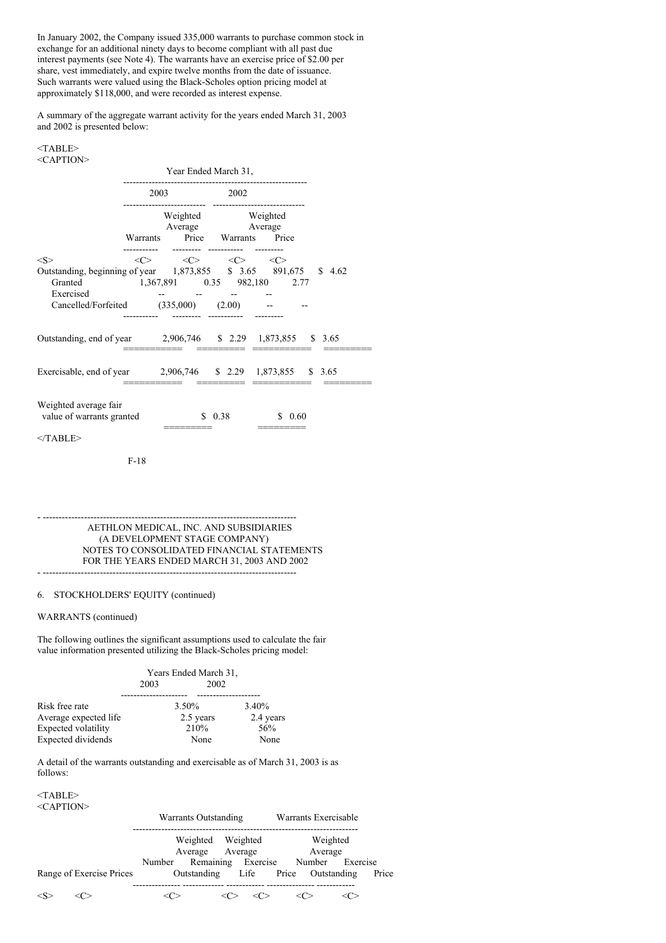In January 2002, the Company issued 335,000 warrants to purchase common stock in exchange for an additional ninety days to become compliant with all past due interest payments (see Note 4). The warrants have an exercise price of \$2.00 per share, vest immediately, and expire twelve months from the date of issuance. Such warrants were valued using the Black-Scholes option pricing model at approximately \$118,000, and were recorded as interest expense.

A summary of the aggregate warrant activity for the years ended March 31, 2003 and 2002 is presented below:

### <TABLE> <CAPTION>

|                                                                                                                                                                   | Year Ended March 31, |                                                                                 |        |        |  |  |
|-------------------------------------------------------------------------------------------------------------------------------------------------------------------|----------------------|---------------------------------------------------------------------------------|--------|--------|--|--|
|                                                                                                                                                                   | 2003                 |                                                                                 | 2002   |        |  |  |
|                                                                                                                                                                   |                      | Weighted Weighted<br>Average Average<br>Warrants Price Warrants Price           |        |        |  |  |
| < S >                                                                                                                                                             |                      | $\langle C \rangle$ $\langle C \rangle$ $\langle C \rangle$ $\langle C \rangle$ |        |        |  |  |
| Outstanding, beginning of year 1,873,855 \$ 3.65 891,675 \$ 4.62<br>Granted 1,367,891 0.35 982,180 2.77<br>Exercised<br>Cancelled/Forfeited (335,000) (2.00) -- - |                      |                                                                                 |        |        |  |  |
| Outstanding, end of year 2,906,746 \$ 2.29 1,873,855 \$ 3.65                                                                                                      |                      |                                                                                 |        |        |  |  |
| Exercisable, end of year 2,906,746 \$ 2.29 1,873,855 \$ 3.65                                                                                                      |                      |                                                                                 |        |        |  |  |
| Weighted average fair<br>value of warrants granted                                                                                                                |                      |                                                                                 | \$0.38 | \$0.60 |  |  |
| $<$ TABLE>                                                                                                                                                        |                      |                                                                                 |        |        |  |  |
|                                                                                                                                                                   | $F-18$               |                                                                                 |        |        |  |  |

- -------------------------------------------------------------------------------- AETHLON MEDICAL, INC. AND SUBSIDIARIES (A DEVELOPMENT STAGE COMPANY) NOTES TO CONSOLIDATED FINANCIAL STATEMENTS FOR THE YEARS ENDED MARCH 31, 2003 AND 2002 - --------------------------------------------------------------------------------

# 6. STOCKHOLDERS' EQUITY (continued)

# WARRANTS (continued)

The following outlines the significant assumptions used to calculate the fair value information presented utilizing the Black-Scholes pricing model:

|                       | Years Ended March 31, |           |           |
|-----------------------|-----------------------|-----------|-----------|
|                       | 2003                  | 2002      |           |
|                       |                       |           |           |
| Risk free rate        |                       | $3.50\%$  | 3.40%     |
| Average expected life |                       | 2.5 years | 2.4 years |
| Expected volatility   |                       | 210%      | 56%       |
| Expected dividends    |                       | None      | None      |

A detail of the warrants outstanding and exercisable as of March 31, 2003 is as follows:

<TABLE> <CAPTION>

|                          | Warrants Outstanding |                    | Warrants Exercisable |          |
|--------------------------|----------------------|--------------------|----------------------|----------|
|                          |                      | Weighted Weighted  | Weighted             |          |
|                          | Average              | Average            | Average              |          |
|                          | Number               | Remaining Exercise | Number               | Exercise |
| Range of Exercise Prices |                      | Outstanding Life   | Price Outstanding    | Price    |
|                          |                      |                    |                      |          |
|                          |                      |                    |                      |          |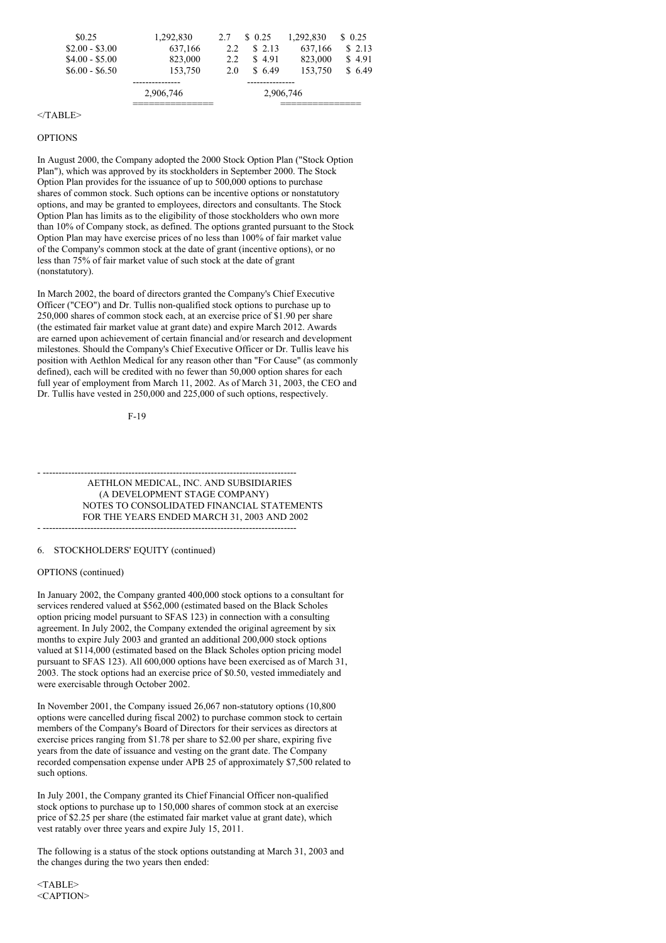| \$0.25          | 1,292,830   | 2.7 | \$0.25     | 1.292.830 | \$ 0.25 |
|-----------------|-------------|-----|------------|-----------|---------|
| $$2.00 - $3.00$ | 637,166     | 2.2 | \$2.13     | 637,166   | \$2.13  |
| $$4.00 - $5.00$ | 823,000     | 2.2 | 4.91<br>S. | 823,000   | \$4.91  |
| $$6.00 - $6.50$ | 153,750     | 2.0 | 6.49       | 153,750   | \$6.49  |
|                 | ----------- |     |            |           |         |
|                 | 2,906,746   |     | 2,906,746  |           |         |
|                 |             |     |            |           |         |

### $<$ /TABLE>

#### OPTIONS

In August 2000, the Company adopted the 2000 Stock Option Plan ("Stock Option Plan"), which was approved by its stockholders in September 2000. The Stock Option Plan provides for the issuance of up to 500,000 options to purchase shares of common stock. Such options can be incentive options or nonstatutory options, and may be granted to employees, directors and consultants. The Stock Option Plan has limits as to the eligibility of those stockholders who own more than 10% of Company stock, as defined. The options granted pursuant to the Stock Option Plan may have exercise prices of no less than 100% of fair market value of the Company's common stock at the date of grant (incentive options), or no less than 75% of fair market value of such stock at the date of grant (nonstatutory).

In March 2002, the board of directors granted the Company's Chief Executive Officer ("CEO") and Dr. Tullis non-qualified stock options to purchase up to 250,000 shares of common stock each, at an exercise price of \$1.90 per share (the estimated fair market value at grant date) and expire March 2012. Awards are earned upon achievement of certain financial and/or research and development milestones. Should the Company's Chief Executive Officer or Dr. Tullis leave his position with Aethlon Medical for any reason other than "For Cause" (as commonly defined), each will be credited with no fewer than 50,000 option shares for each full year of employment from March 11, 2002. As of March 31, 2003, the CEO and Dr. Tullis have vested in 250,000 and 225,000 of such options, respectively.

F-19

- -------------------------------------------------------------------------------- AETHLON MEDICAL, INC. AND SUBSIDIARIES (A DEVELOPMENT STAGE COMPANY) NOTES TO CONSOLIDATED FINANCIAL STATEMENTS FOR THE YEARS ENDED MARCH 31, 2003 AND 2002 - --------------------------------------------------------------------------------

# 6. STOCKHOLDERS' EQUITY (continued)

#### OPTIONS (continued)

In January 2002, the Company granted 400,000 stock options to a consultant for services rendered valued at \$562,000 (estimated based on the Black Scholes option pricing model pursuant to SFAS 123) in connection with a consulting agreement. In July 2002, the Company extended the original agreement by six months to expire July 2003 and granted an additional 200,000 stock options valued at \$114,000 (estimated based on the Black Scholes option pricing model pursuant to SFAS 123). All 600,000 options have been exercised as of March 31, 2003. The stock options had an exercise price of \$0.50, vested immediately and were exercisable through October 2002.

In November 2001, the Company issued 26,067 non-statutory options (10,800 options were cancelled during fiscal 2002) to purchase common stock to certain members of the Company's Board of Directors for their services as directors at exercise prices ranging from \$1.78 per share to \$2.00 per share, expiring five years from the date of issuance and vesting on the grant date. The Company recorded compensation expense under APB 25 of approximately \$7,500 related to such options.

In July 2001, the Company granted its Chief Financial Officer non-qualified stock options to purchase up to 150,000 shares of common stock at an exercise price of \$2.25 per share (the estimated fair market value at grant date), which vest ratably over three years and expire July 15, 2011.

The following is a status of the stock options outstanding at March 31, 2003 and the changes during the two years then ended:

 $<$ TABLE> <CAPTION>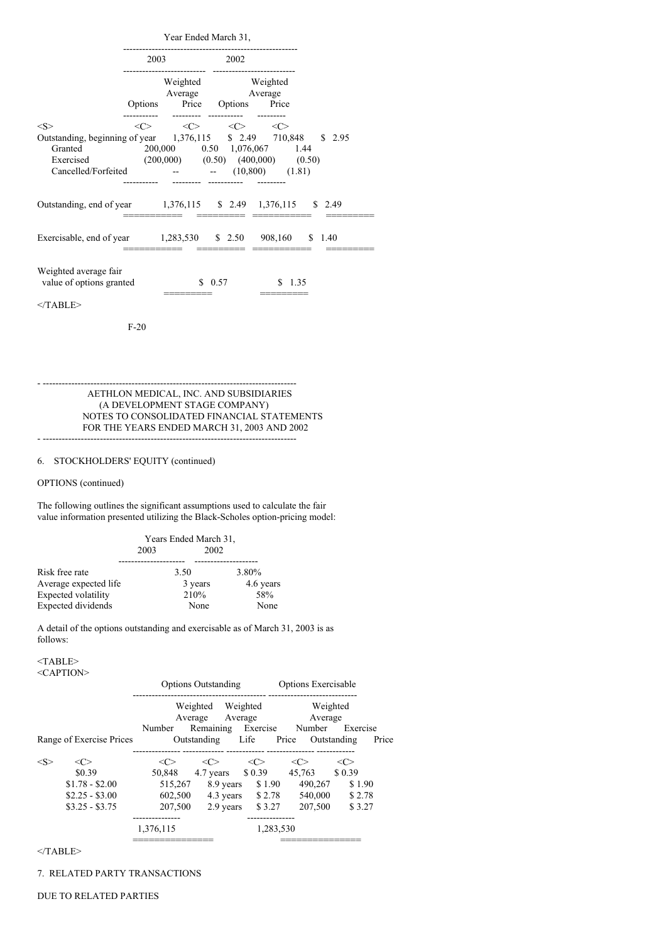|                                                                                                                                                                                                                     | Year Ended March 31,       |           |                                                                     |        |  |
|---------------------------------------------------------------------------------------------------------------------------------------------------------------------------------------------------------------------|----------------------------|-----------|---------------------------------------------------------------------|--------|--|
|                                                                                                                                                                                                                     |                            | 2003 2002 |                                                                     |        |  |
|                                                                                                                                                                                                                     |                            |           | Weighted Weighted<br>Average Average<br>Options Price Options Price |        |  |
| $<\!\!S\!\!>$<br>Outstanding, beginning of year 1,376,115 \$ 2.49 710,848 \$ 2.95<br>Granted 200,000 0.50 1,076,067 1.44<br>Exercised (200,000) (0.50) (400,000) (0.50)<br>Cancelled/Forfeited -- - (10,800) (1.81) | $\langle$ $\sim$ $\rangle$ |           | $\langle C \rangle$ $\langle C \rangle$ $\langle C \rangle$         |        |  |
| Outstanding, end of year 1,376,115 \$ 2.49 1,376,115 \$ 2.49                                                                                                                                                        |                            |           |                                                                     |        |  |
| Exercisable, end of year 1,283,530 \$ 2.50 908,160 \$ 1.40                                                                                                                                                          |                            |           |                                                                     |        |  |
| Weighted average fair<br>value of options granted                                                                                                                                                                   |                            |           | \$0.57                                                              | \$1.35 |  |
| $<$ TABLE>                                                                                                                                                                                                          |                            |           |                                                                     |        |  |
|                                                                                                                                                                                                                     | $F-20$                     |           |                                                                     |        |  |

AETHLON MEDICAL, INC. AND SUBSIDIARIES (A DEVELOPMENT STAGE COMPANY) NOTES TO CONSOLIDATED FINANCIAL STATEMENTS FOR THE YEARS ENDED MARCH 31, 2003 AND 2002 - --------------------------------------------------------------------------------

- --------------------------------------------------------------------------------

# 6. STOCKHOLDERS' EQUITY (continued)

# OPTIONS (continued)

The following outlines the significant assumptions used to calculate the fair value information presented utilizing the Black-Scholes option-pricing model:

|                       | Years Ended March 31, |         |           |  |
|-----------------------|-----------------------|---------|-----------|--|
|                       | 2003                  | 2002    |           |  |
|                       |                       |         |           |  |
| Risk free rate        |                       | 3.50    | 3.80%     |  |
| Average expected life |                       | 3 years | 4.6 years |  |
| Expected volatility   |                       | 210%    | 58%       |  |
| Expected dividends    |                       | None    | None      |  |

A detail of the options outstanding and exercisable as of March 31, 2003 is as follows:

#### <TABLE> <CAPTION>

|                          | <b>Options Outstanding</b> |                    | Options Exercisable |          |                      |
|--------------------------|----------------------------|--------------------|---------------------|----------|----------------------|
|                          |                            | Weighted           | Weighted            | Weighted |                      |
|                          |                            | Average            | Average             | Average  |                      |
|                          | Number                     | Remaining Exercise |                     | Number   | Exercise             |
| Range of Exercise Prices |                            | Outstanding        | Life                | Price    | Price<br>Outstanding |
|                          |                            |                    |                     |          |                      |
| $<\!\!C\!\!>$            | <<                         | <<>                | $\langle C \rangle$ | <<>      | <c></c>              |
| \$0.39                   | 50,848                     | 4.7 years \$ 0.39  |                     | 45,763   | \$0.39               |
| $$1.78 - $2.00$          | 515,267                    | 8.9 years          | \$1.90              | 490,267  | \$1.90               |
| $$2.25 - $3.00$          | 602,500                    | 4.3 years          | \$2.78              | 540,000  | \$2.78               |
| $$3.25 - $3.75$          | 207,500                    | 2.9 years          | \$3.27              | 207,500  | \$3.27               |
|                          |                            |                    |                     |          |                      |
|                          | 1,376,115                  |                    | 1,283,530           |          |                      |
|                          |                            |                    |                     |          |                      |

 $<$ /TABLE>

7. RELATED PARTY TRANSACTIONS

## DUE TO RELATED PARTIES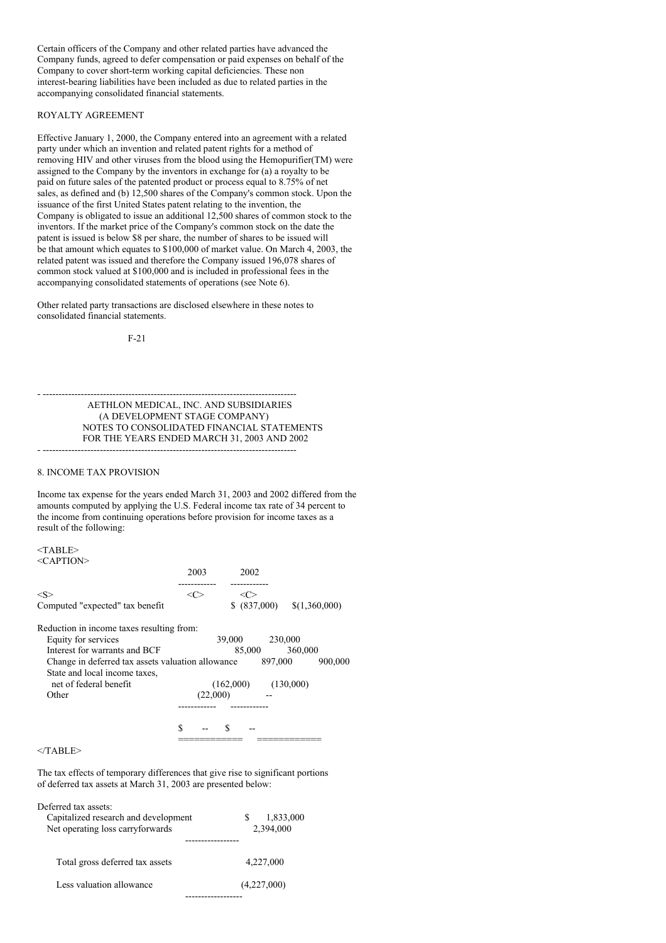Certain officers of the Company and other related parties have advanced the Company funds, agreed to defer compensation or paid expenses on behalf of the Company to cover short-term working capital deficiencies. These non interest-bearing liabilities have been included as due to related parties in the accompanying consolidated financial statements.

# ROYALTY AGREEMENT

Effective January 1, 2000, the Company entered into an agreement with a related party under which an invention and related patent rights for a method of removing HIV and other viruses from the blood using the Hemopurifier(TM) were assigned to the Company by the inventors in exchange for (a) a royalty to be paid on future sales of the patented product or process equal to 8.75% of net sales, as defined and (b) 12,500 shares of the Company's common stock. Upon the issuance of the first United States patent relating to the invention, the Company is obligated to issue an additional 12,500 shares of common stock to the inventors. If the market price of the Company's common stock on the date the patent is issued is below \$8 per share, the number of shares to be issued will be that amount which equates to \$100,000 of market value. On March 4, 2003, the related patent was issued and therefore the Company issued 196,078 shares of common stock valued at \$100,000 and is included in professional fees in the accompanying consolidated statements of operations (see Note 6).

Other related party transactions are disclosed elsewhere in these notes to consolidated financial statements.

F-21

- -------------------------------------------------------------------------------- AETHLON MEDICAL, INC. AND SUBSIDIARIES (A DEVELOPMENT STAGE COMPANY) NOTES TO CONSOLIDATED FINANCIAL STATEMENTS FOR THE YEARS ENDED MARCH 31, 2003 AND 2002 - --------------------------------------------------------------------------------

## 8. INCOME TAX PROVISION

Income tax expense for the years ended March 31, 2003 and 2002 differed from the amounts computed by applying the U.S. Federal income tax rate of 34 percent to the income from continuing operations before provision for income taxes as a result of the following:

<TABLE>  $\langle C$  A PTION $>$ 

| NATHA TIOTA                                                                        | 2003     | 2002         |         |           |               |
|------------------------------------------------------------------------------------|----------|--------------|---------|-----------|---------------|
| $<\!\!S\!\!>$                                                                      | <( `>    | <<>          |         |           |               |
| Computed "expected" tax benefit                                                    |          | \$ (837,000) |         |           | \$(1,360,000) |
| Reduction in income taxes resulting from:                                          |          |              |         |           |               |
| Equity for services                                                                |          | 39,000       | 230,000 |           |               |
| Interest for warrants and BCF                                                      |          | 85,000       |         | 360,000   |               |
| Change in deferred tax assets valuation allowance<br>State and local income taxes, |          |              | 897,000 |           | 900,000       |
| net of federal benefit                                                             |          | (162,000)    |         | (130,000) |               |
| Other                                                                              | (22,000) |              |         |           |               |
|                                                                                    |          |              |         |           |               |
|                                                                                    | S        | S            |         |           |               |
|                                                                                    |          |              |         |           |               |

  |  |  |  |  |</TABLE>

The tax effects of temporary differences that give rise to significant portions of deferred tax assets at March 31, 2003 are presented below:

| Deferred tax assets:<br>Capitalized research and development<br>Net operating loss carryforwards | 1,833,000<br>S<br>2,394,000 |
|--------------------------------------------------------------------------------------------------|-----------------------------|
| Total gross deferred tax assets                                                                  | 4,227,000                   |
| Less valuation allowance                                                                         | (4,227,000)                 |
|                                                                                                  |                             |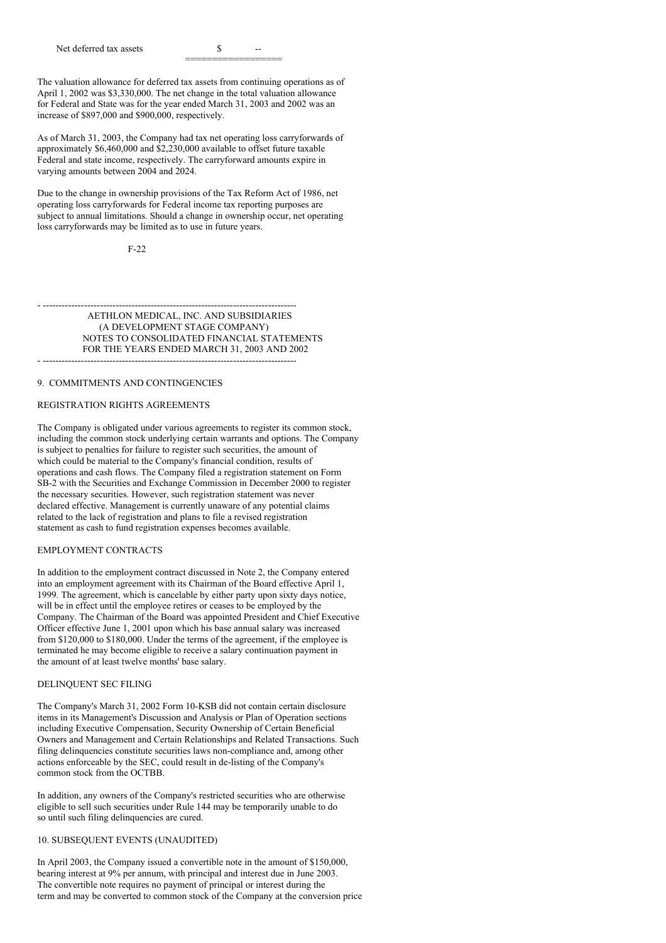Net deferred tax assets  $\sim$ 

The valuation allowance for deferred tax assets from continuing operations as of April 1, 2002 was \$3,330,000. The net change in the total valuation allowance for Federal and State was for the year ended March 31, 2003 and 2002 was an increase of \$897,000 and \$900,000, respectively.

As of March 31, 2003, the Company had tax net operating loss carryforwards of approximately \$6,460,000 and \$2,230,000 available to offset future taxable Federal and state income, respectively. The carryforward amounts expire in varying amounts between 2004 and 2024.

Due to the change in ownership provisions of the Tax Reform Act of 1986, net operating loss carryforwards for Federal income tax reporting purposes are subject to annual limitations. Should a change in ownership occur, net operating loss carryforwards may be limited as to use in future years.

 $F-22$ 

- -------------------------------------------------------------------------------- AETHLON MEDICAL, INC. AND SUBSIDIARIES (A DEVELOPMENT STAGE COMPANY) NOTES TO CONSOLIDATED FINANCIAL STATEMENTS FOR THE YEARS ENDED MARCH 31, 2003 AND 2002 - --------------------------------------------------------------------------------

#### 9. COMMITMENTS AND CONTINGENCIES

#### REGISTRATION RIGHTS AGREEMENTS

The Company is obligated under various agreements to register its common stock, including the common stock underlying certain warrants and options. The Company is subject to penalties for failure to register such securities, the amount of which could be material to the Company's financial condition, results of operations and cash flows. The Company filed a registration statement on Form SB-2 with the Securities and Exchange Commission in December 2000 to register the necessary securities. However, such registration statement was never declared effective. Management is currently unaware of any potential claims related to the lack of registration and plans to file a revised registration statement as cash to fund registration expenses becomes available.

### EMPLOYMENT CONTRACTS

In addition to the employment contract discussed in Note 2, the Company entered into an employment agreement with its Chairman of the Board effective April 1, 1999. The agreement, which is cancelable by either party upon sixty days notice, will be in effect until the employee retires or ceases to be employed by the Company. The Chairman of the Board was appointed President and Chief Executive Officer effective June 1, 2001 upon which his base annual salary was increased from \$120,000 to \$180,000. Under the terms of the agreement, if the employee is terminated he may become eligible to receive a salary continuation payment in the amount of at least twelve months' base salary.

#### DELINQUENT SEC FILING

The Company's March 31, 2002 Form 10-KSB did not contain certain disclosure items in its Management's Discussion and Analysis or Plan of Operation sections including Executive Compensation, Security Ownership of Certain Beneficial Owners and Management and Certain Relationships and Related Transactions. Such filing delinquencies constitute securities laws non-compliance and, among other actions enforceable by the SEC, could result in de-listing of the Company's common stock from the OCTBB.

In addition, any owners of the Company's restricted securities who are otherwise eligible to sell such securities under Rule 144 may be temporarily unable to do so until such filing delinquencies are cured.

# 10. SUBSEQUENT EVENTS (UNAUDITED)

In April 2003, the Company issued a convertible note in the amount of \$150,000, bearing interest at 9% per annum, with principal and interest due in June 2003. The convertible note requires no payment of principal or interest during the term and may be converted to common stock of the Company at the conversion price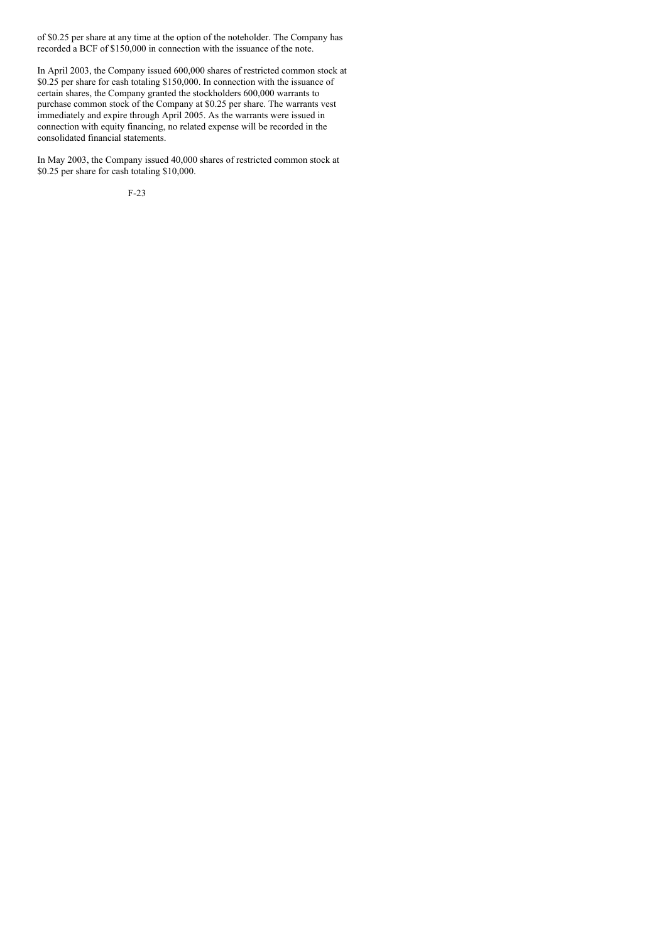of \$0.25 per share at any time at the option of the noteholder. The Company has recorded a BCF of \$150,000 in connection with the issuance of the note.

In April 2003, the Company issued 600,000 shares of restricted common stock at \$0.25 per share for cash totaling \$150,000. In connection with the issuance of certain shares, the Company granted the stockholders 600,000 warrants to purchase common stock of the Company at \$0.25 per share. The warrants vest immediately and expire through April 2005. As the warrants were issued in connection with equity financing, no related expense will be recorded in the consolidated financial statements.

In May 2003, the Company issued 40,000 shares of restricted common stock at \$0.25 per share for cash totaling \$10,000.